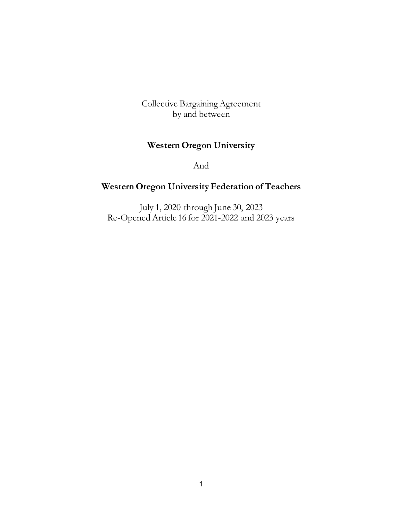Collective Bargaining Agreement by and between

# **Western Oregon University**

And

# **Western Oregon University Federation of Teachers**

July 1, 2020 through June 30, 2023 Re-Opened Article 16 for 2021-2022 and 2023 years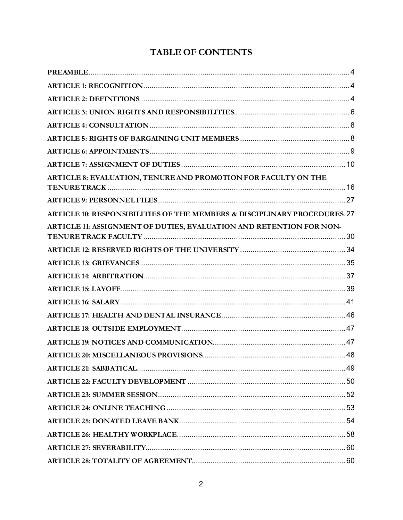# **TABLE OF CONTENTS**

| ARTICLE 8: EVALUATION, TENURE AND PROMOTION FOR FACULTY ON THE                       |  |
|--------------------------------------------------------------------------------------|--|
|                                                                                      |  |
| <b>ARTICLE 10: RESPONSIBILITIES OF THE MEMBERS &amp; DISCIPLINARY PROCEDURES. 27</b> |  |
| ARTICLE 11: ASSIGNMENT OF DUTIES, EVALUATION AND RETENTION FOR NON-                  |  |
|                                                                                      |  |
|                                                                                      |  |
|                                                                                      |  |
|                                                                                      |  |
|                                                                                      |  |
|                                                                                      |  |
|                                                                                      |  |
|                                                                                      |  |
|                                                                                      |  |
|                                                                                      |  |
|                                                                                      |  |
|                                                                                      |  |
|                                                                                      |  |
|                                                                                      |  |
|                                                                                      |  |
|                                                                                      |  |
|                                                                                      |  |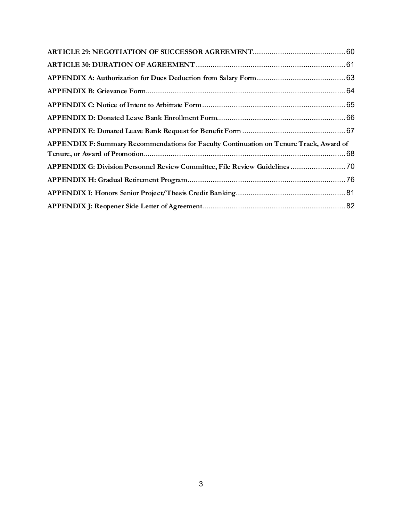| APPENDIX F: Summary Recommendations for Faculty Continuation on Tenure Track, Award of |  |
|----------------------------------------------------------------------------------------|--|
| APPENDIX G: Division Personnel Review Committee, File Review Guidelines  70            |  |
|                                                                                        |  |
|                                                                                        |  |
|                                                                                        |  |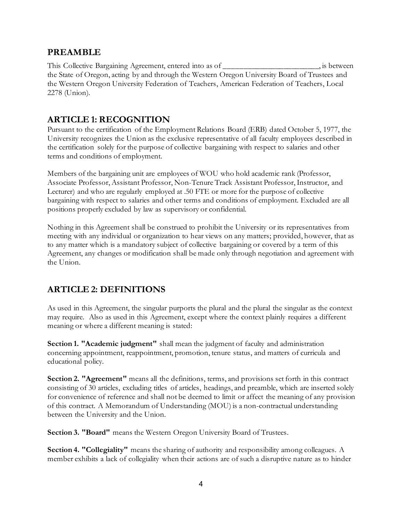## <span id="page-3-0"></span>**PREAMBLE**

This Collective Bargaining Agreement, entered into as of \_\_\_\_\_\_\_\_\_\_\_\_\_\_\_\_\_\_\_\_\_\_\_\_, is between the State of Oregon, acting by and through the Western Oregon University Board of Trustees and the Western Oregon University Federation of Teachers, American Federation of Teachers, Local 2278 (Union).

## <span id="page-3-1"></span>**ARTICLE 1: RECOGNITION**

Pursuant to the certification of the Employment Relations Board (ERB) dated October 5, 1977, the University recognizes the Union as the exclusive representative of all faculty employees described in the certification solely for the purpose of collective bargaining with respect to salaries and other terms and conditions of employment.

Members of the bargaining unit are employees of WOU who hold academic rank (Professor, Associate Professor, Assistant Professor, Non-Tenure Track Assistant Professor, Instructor, and Lecturer) and who are regularly employed at .50 FTE or more for the purpose of collective bargaining with respect to salaries and other terms and conditions of employment. Excluded are all positions properly excluded by law as supervisory or confidential.

Nothing in this Agreement shall be construed to prohibit the University or its representatives from meeting with any individual or organization to hear views on any matters; provided, however, that as to any matter which is a mandatory subject of collective bargaining or covered by a term of this Agreement, any changes or modification shall be made only through negotiation and agreement with the Union.

# <span id="page-3-2"></span>**ARTICLE 2: DEFINITIONS**

As used in this Agreement, the singular purports the plural and the plural the singular as the context may require. Also as used in this Agreement, except where the context plainly requires a different meaning or where a different meaning is stated:

**Section 1. "Academic judgment"** shall mean the judgment of faculty and administration concerning appointment, reappointment, promotion, tenure status, and matters of curricula and educational policy.

**Section 2. "Agreement"** means all the definitions, terms, and provisions set forth in this contract consisting of 30 articles, excluding titles of articles, headings, and preamble, which are inserted solely for convenience of reference and shall not be deemed to limit or affect the meaning of any provision of this contract. A Memorandum of Understanding (MOU) is a non-contractual understanding between the University and the Union.

**Section 3. "Board"** means the Western Oregon University Board of Trustees.

**Section 4. "Collegiality"** means the sharing of authority and responsibility among colleagues. A member exhibits a lack of collegiality when their actions are of such a disruptive nature as to hinder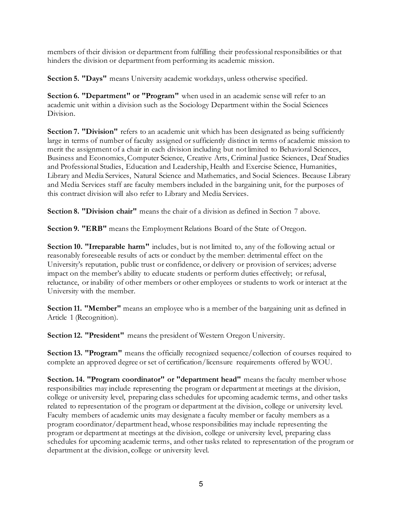members of their division or department from fulfilling their professional responsibilities or that hinders the division or department from performing its academic mission.

**Section 5. "Days"** means University academic workdays, unless otherwise specified.

**Section 6. "Department" or "Program"** when used in an academic sense will refer to an academic unit within a division such as the Sociology Department within the Social Sciences Division.

**Section 7. "Division"** refers to an academic unit which has been designated as being sufficiently large in terms of number of faculty assigned or sufficiently distinct in terms of academic mission to merit the assignment of a chair in each division including but not limited to Behavioral Sciences, Business and Economics, Computer Science, Creative Arts, Criminal Justice Sciences, Deaf Studies and Professional Studies, Education and Leadership, Health and Exercise Science, Humanities, Library and Media Services, Natural Science and Mathematics, and Social Sciences. Because Library and Media Services staff are faculty members included in the bargaining unit, for the purposes of this contract division will also refer to Library and Media Services.

**Section 8. "Division chair"** means the chair of a division as defined in Section 7 above.

**Section 9. "ERB"** means the Employment Relations Board of the State of Oregon.

**Section 10. "Irreparable harm"** includes, but is not limited to, any of the following actual or reasonably foreseeable results of acts or conduct by the member: detrimental effect on the University's reputation, public trust or confidence, or delivery or provision of services; adverse impact on the member's ability to educate students or perform duties effectively; or refusal, reluctance, or inability of other members or other employees or students to work or interact at the University with the member.

**Section 11. "Member"** means an employee who is a member of the bargaining unit as defined in Article 1 (Recognition).

**Section 12. "President"** means the president of Western Oregon University.

**Section 13. "Program"** means the officially recognized sequence/collection of courses required to complete an approved degree or set of certification/licensure requirements offered by WOU.

**Section. 14. "Program coordinator" or "department head"** means the faculty member whose responsibilities may include representing the program or department at meetings at the division, college or university level, preparing class schedules for upcoming academic terms, and other tasks related to representation of the program or department at the division, college or university level. Faculty members of academic units may designate a faculty member or faculty members as a program coordinator/department head, whose responsibilities may include representing the program or department at meetings at the division, college or university level, preparing class schedules for upcoming academic terms, and other tasks related to representation of the program or department at the division, college or university level.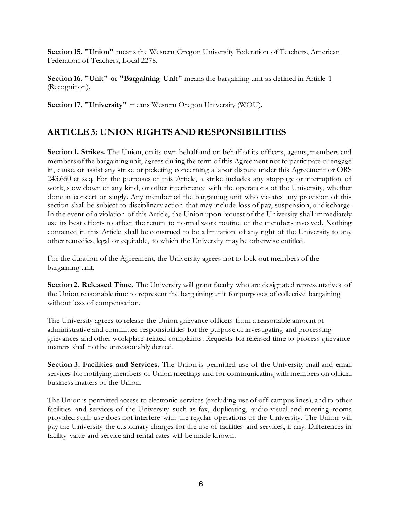**Section 15. "Union"** means the Western Oregon University Federation of Teachers, American Federation of Teachers, Local 2278.

**Section 16. "Unit" or "Bargaining Unit"** means the bargaining unit as defined in Article 1 (Recognition).

**Section 17. "University"** means Western Oregon University (WOU).

## <span id="page-5-0"></span>**ARTICLE 3: UNION RIGHTS AND RESPONSIBILITIES**

**Section 1. Strikes.** The Union, on its own behalf and on behalf of its officers, agents, members and members of the bargaining unit, agrees during the term of this Agreement not to participate or engage in, cause, or assist any strike or picketing concerning a labor dispute under this Agreement or ORS 243.650 et seq. For the purposes of this Article, a strike includes any stoppage or interruption of work, slow down of any kind, or other interference with the operations of the University, whether done in concert or singly. Any member of the bargaining unit who violates any provision of this section shall be subject to disciplinary action that may include loss of pay, suspension, or discharge. In the event of a violation of this Article, the Union upon request of the University shall immediately use its best efforts to affect the return to normal work routine of the members involved. Nothing contained in this Article shall be construed to be a limitation of any right of the University to any other remedies, legal or equitable, to which the University may be otherwise entitled.

For the duration of the Agreement, the University agrees not to lock out members of the bargaining unit.

**Section 2. Released Time.** The University will grant faculty who are designated representatives of the Union reasonable time to represent the bargaining unit for purposes of collective bargaining without loss of compensation.

The University agrees to release the Union grievance officers from a reasonable amount of administrative and committee responsibilities for the purpose of investigating and processing grievances and other workplace-related complaints. Requests for released time to process grievance matters shall not be unreasonably denied.

**Section 3. Facilities and Services.** The Union is permitted use of the University mail and email services for notifying members of Union meetings and for communicating with members on official business matters of the Union.

The Union is permitted access to electronic services (excluding use of off-campus lines), and to other facilities and services of the University such as fax, duplicating, audio-visual and meeting rooms provided such use does not interfere with the regular operations of the University. The Union will pay the University the customary charges for the use of facilities and services, if any. Differences in facility value and service and rental rates will be made known.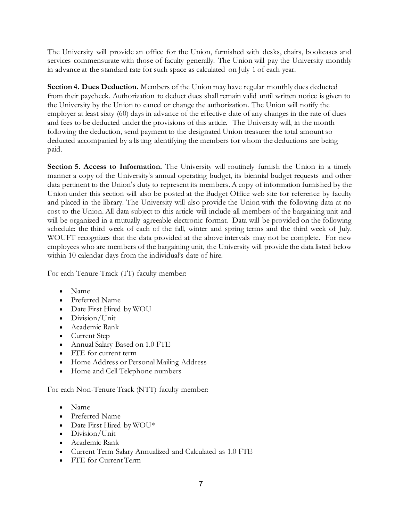The University will provide an office for the Union, furnished with desks, chairs, bookcases and services commensurate with those of faculty generally. The Union will pay the University monthly in advance at the standard rate for such space as calculated on July 1 of each year.

**Section 4. Dues Deduction.** Members of the Union may have regular monthly dues deducted from their paycheck. Authorization to deduct dues shall remain valid until written notice is given to the University by the Union to cancel or change the authorization. The Union will notify the employer at least sixty (60) days in advance of the effective date of any changes in the rate of dues and fees to be deducted under the provisions of this article. The University will, in the month following the deduction, send payment to the designated Union treasurer the total amount so deducted accompanied by a listing identifying the members for whom the deductions are being paid.

**Section 5. Access to Information.** The University will routinely furnish the Union in a timely manner a copy of the University's annual operating budget, its biennial budget requests and other data pertinent to the Union's duty to represent its members. A copy of information furnished by the Union under this section will also be posted at the Budget Office web site for reference by faculty and placed in the library. The University will also provide the Union with the following data at no cost to the Union. All data subject to this article will include all members of the bargaining unit and will be organized in a mutually agreeable electronic format. Data will be provided on the following schedule: the third week of each of the fall, winter and spring terms and the third week of July. WOUFT recognizes that the data provided at the above intervals may not be complete. For new employees who are members of the bargaining unit, the University will provide the data listed below within 10 calendar days from the individual's date of hire.

For each Tenure-Track (TT) faculty member:

- Name
- Preferred Name
- Date First Hired by WOU
- Division/Unit
- Academic Rank
- Current Step
- Annual Salary Based on 1.0 FTE
- FTE for current term
- Home Address or Personal Mailing Address
- Home and Cell Telephone numbers

For each Non-Tenure Track (NTT) faculty member:

- Name
- Preferred Name
- Date First Hired by WOU\*
- Division/Unit
- Academic Rank
- Current Term Salary Annualized and Calculated as 1.0 FTE
- FTE for Current Term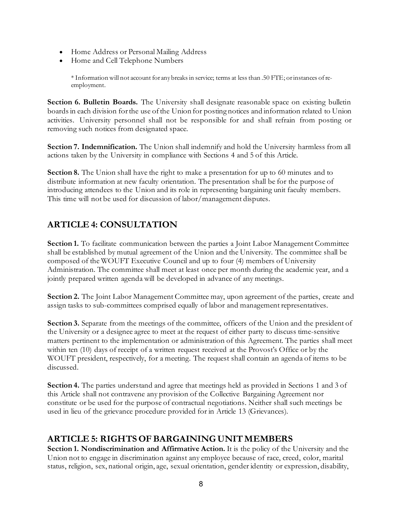- Home Address or Personal Mailing Address
- Home and Cell Telephone Numbers

\* Information will not account for any breaks in service; terms at less than .50 FTE; or instances of reemployment.

**Section 6. Bulletin Boards.** The University shall designate reasonable space on existing bulletin boards in each division for the use of the Union for posting notices and information related to Union activities. University personnel shall not be responsible for and shall refrain from posting or removing such notices from designated space.

**Section 7. Indemnification.** The Union shall indemnify and hold the University harmless from all actions taken by the University in compliance with Sections 4 and 5 of this Article.

**Section 8.** The Union shall have the right to make a presentation for up to 60 minutes and to distribute information at new faculty orientation. The presentation shall be for the purpose of introducing attendees to the Union and its role in representing bargaining unit faculty members. This time will not be used for discussion of labor/management disputes.

# <span id="page-7-0"></span>**ARTICLE 4: CONSULTATION**

**Section 1.** To facilitate communication between the parties a Joint Labor Management Committee shall be established by mutual agreement of the Union and the University. The committee shall be composed of the WOUFT Executive Council and up to four (4) members of University Administration. The committee shall meet at least once per month during the academic year, and a jointly prepared written agenda will be developed in advance of any meetings.

**Section 2.** The Joint Labor Management Committee may, upon agreement of the parties, create and assign tasks to sub-committees comprised equally of labor and management representatives.

Section 3. Separate from the meetings of the committee, officers of the Union and the president of the University or a designee agree to meet at the request of either party to discuss time-sensitive matters pertinent to the implementation or administration of this Agreement. The parties shall meet within ten (10) days of receipt of a written request received at the Provost's Office or by the WOUFT president, respectively, for a meeting. The request shall contain an agenda of items to be discussed.

**Section 4.** The parties understand and agree that meetings held as provided in Sections 1 and 3 of this Article shall not contravene any provision of the Collective Bargaining Agreement nor constitute or be used for the purpose of contractual negotiations. Neither shall such meetings be used in lieu of the grievance procedure provided for in Article 13 (Grievances).

# <span id="page-7-1"></span>**ARTICLE 5: RIGHTS OF BARGAINING UNIT MEMBERS**

**Section 1. Nondiscrimination and Affirmative Action.** It is the policy of the University and the Union not to engage in discrimination against any employee because of race, creed, color, marital status, religion, sex, national origin, age, sexual orientation, gender identity or expression, disability,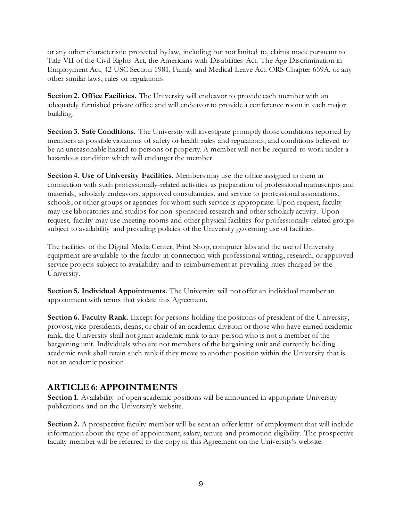or any other characteristic protected by law, including but not limited to, claims made pursuant to Title VII of the Civil Rights Act, the Americans with Disabilities Act. The Age Discrimination in Employment Act, 42 USC Section 1981, Family and Medical Leave Act. ORS Chapter 659A, or any other similar laws, rules or regulations.

**Section 2. Office Facilities.** The University will endeavor to provide each member with an adequately furnished private office and will endeavor to provide a conference room in each major building.

**Section 3. Safe Conditions.** The University will investigate promptly those conditions reported by members as possible violations of safety or health rules and regulations, and conditions believed to be an unreasonable hazard to persons or property. A member will not be required to work under a hazardous condition which will endanger the member.

**Section 4. Use of University Facilities.** Members may use the office assigned to them in connection with such professionally-related activities as preparation of professional manuscripts and materials, scholarly endeavors, approved consultancies, and service to professional associations, schools, or other groups or agencies for whom such service is appropriate. Upon request, faculty may use laboratories and studios for non-sponsored research and other scholarly activity. Upon request, faculty may use meeting rooms and other physical facilities for professionally-related groups subject to availability and prevailing policies of the University governing use of facilities.

The facilities of the Digital Media Center, Print Shop, computer labs and the use of University equipment are available to the faculty in connection with professional writing, research, or approved service projects subject to availability and to reimbursement at prevailing rates charged by the University.

**Section 5. Individual Appointments.** The University will not offer an individual member an appointment with terms that violate this Agreement.

**Section 6. Faculty Rank.** Except for persons holding the positions of president of the University, provost, vice presidents, deans, or chair of an academic division or those who have earned academic rank, the University shall not grant academic rank to any person who is not a member of the bargaining unit. Individuals who are not members of the bargaining unit and currently holding academic rank shall retain such rank if they move to another position within the University that is not an academic position.

# <span id="page-8-0"></span>**ARTICLE 6: APPOINTMENTS**

Section 1. Availability of open academic positions will be announced in appropriate University publications and on the University's website.

**Section 2.** A prospective faculty member will be sent an offer letter of employment that will include information about the type of appointment, salary, tenure and promotion eligibility. The prospective faculty member will be referred to the copy of this Agreement on the University's website.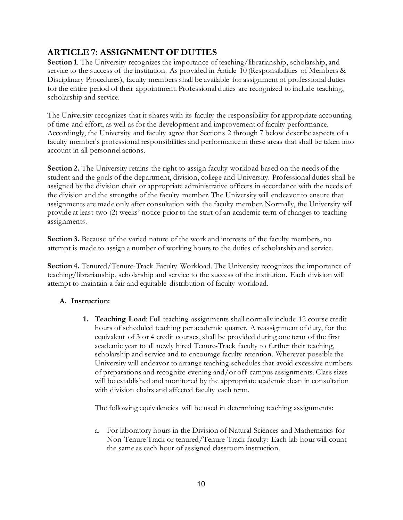# <span id="page-9-0"></span>**ARTICLE 7: ASSIGNMENT OF DUTIES**

**Section 1**. The University recognizes the importance of teaching/librarianship, scholarship, and service to the success of the institution. As provided in Article 10 (Responsibilities of Members & Disciplinary Procedures), faculty members shall be available for assignment of professional duties for the entire period of their appointment. Professional duties are recognized to include teaching, scholarship and service.

The University recognizes that it shares with its faculty the responsibility for appropriate accounting of time and effort, as well as for the development and improvement of faculty performance. Accordingly, the University and faculty agree that Sections 2 through 7 below describe aspects of a faculty member's professional responsibilities and performance in these areas that shall be taken into account in all personnel actions.

**Section 2.** The University retains the right to assign faculty workload based on the needs of the student and the goals of the department, division, college and University. Professional duties shall be assigned by the division chair or appropriate administrative officers in accordance with the needs of the division and the strengths of the faculty member. The University will endeavor to ensure that assignments are made only after consultation with the faculty member. Normally, the University will provide at least two (2) weeks' notice prior to the start of an academic term of changes to teaching assignments.

Section 3. Because of the varied nature of the work and interests of the faculty members, no attempt is made to assign a number of working hours to the duties of scholarship and service.

**Section 4.** Tenured/Tenure-Track Faculty Workload. The University recognizes the importance of teaching/librarianship, scholarship and service to the success of the institution. Each division will attempt to maintain a fair and equitable distribution of faculty workload.

## **A. Instruction:**

**1. Teaching Load**: Full teaching assignments shall normally include 12 course credit hours of scheduled teaching per academic quarter. A reassignment of duty, for the equivalent of 3 or 4 credit courses, shall be provided during one term of the first academic year to all newly hired Tenure-Track faculty to further their teaching, scholarship and service and to encourage faculty retention. Wherever possible the University will endeavor to arrange teaching schedules that avoid excessive numbers of preparations and recognize evening and/or off-campus assignments. Class sizes will be established and monitored by the appropriate academic dean in consultation with division chairs and affected faculty each term.

The following equivalencies will be used in determining teaching assignments:

a. For laboratory hours in the Division of Natural Sciences and Mathematics for Non-Tenure Track or tenured/Tenure-Track faculty: Each lab hour will count the same as each hour of assigned classroom instruction.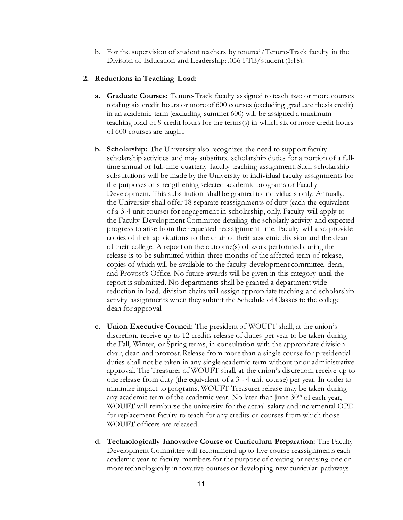b. For the supervision of student teachers by tenured/Tenure-Track faculty in the Division of Education and Leadership: .056 FTE/student (1:18).

### **2. Reductions in Teaching Load:**

- **a. Graduate Courses:** Tenure-Track faculty assigned to teach two or more courses totaling six credit hours or more of 600 courses (excluding graduate thesis credit) in an academic term (excluding summer 600) will be assigned a maximum teaching load of 9 credit hours for the terms(s) in which six or more credit hours of 600 courses are taught.
- **b. Scholarship:** The University also recognizes the need to support faculty scholarship activities and may substitute scholarship duties for a portion of a fulltime annual or full-time quarterly faculty teaching assignment. Such scholarship substitutions will be made by the University to individual faculty assignments for the purposes of strengthening selected academic programs or Faculty Development. This substitution shall be granted to individuals only. Annually, the University shall offer 18 separate reassignments of duty (each the equivalent of a 3-4 unit course) for engagement in scholarship, only. Faculty will apply to the Faculty Development Committee detailing the scholarly activity and expected progress to arise from the requested reassignment time. Faculty will also provide copies of their applications to the chair of their academic division and the dean of their college. A report on the outcome(s) of work performed during the release is to be submitted within three months of the affected term of release, copies of which will be available to the faculty development committee, dean, and Provost's Office. No future awards will be given in this category until the report is submitted. No departments shall be granted a department wide reduction in load. division chairs will assign appropriate teaching and scholarship activity assignments when they submit the Schedule of Classes to the college dean for approval.
- **c. Union Executive Council:** The president of WOUFT shall, at the union's discretion, receive up to 12 credits release of duties per year to be taken during the Fall, Winter, or Spring terms, in consultation with the appropriate division chair, dean and provost. Release from more than a single course for presidential duties shall not be taken in any single academic term without prior administrative approval. The Treasurer of WOUFT shall, at the union's discretion, receive up to one release from duty (the equivalent of a 3 - 4 unit course) per year. In order to minimize impact to programs, WOUFT Treasurer release may be taken during any academic term of the academic year. No later than June 30<sup>th</sup> of each year, WOUFT will reimburse the university for the actual salary and incremental OPE for replacement faculty to teach for any credits or courses from which those WOUFT officers are released.
- **d. Technologically Innovative Course or Curriculum Preparation:** The Faculty Development Committee will recommend up to five course reassignments each academic year to faculty members for the purpose of creating or revising one or more technologically innovative courses or developing new curricular pathways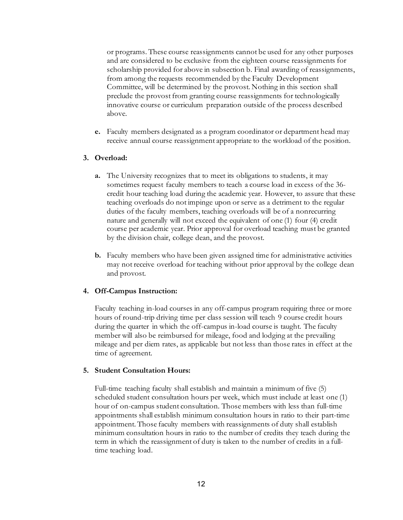or programs. These course reassignments cannot be used for any other purposes and are considered to be exclusive from the eighteen course reassignments for scholarship provided for above in subsection b. Final awarding of reassignments, from among the requests recommended by the Faculty Development Committee, will be determined by the provost. Nothing in this section shall preclude the provost from granting course reassignments for technologically innovative course or curriculum preparation outside of the process described above.

**e.** Faculty members designated as a program coordinator or department head may receive annual course reassignment appropriate to the workload of the position.

### **3. Overload:**

- **a.** The University recognizes that to meet its obligations to students, it may sometimes request faculty members to teach a course load in excess of the 36 credit hour teaching load during the academic year. However, to assure that these teaching overloads do not impinge upon or serve as a detriment to the regular duties of the faculty members, teaching overloads will be of a nonrecurring nature and generally will not exceed the equivalent of one (1) four (4) credit course per academic year. Prior approval for overload teaching must be granted by the division chair, college dean, and the provost.
- **b.** Faculty members who have been given assigned time for administrative activities may not receive overload for teaching without prior approval by the college dean and provost.

### **4. Off-Campus Instruction:**

Faculty teaching in-load courses in any off-campus program requiring three or more hours of round-trip driving time per class session will teach 9 course credit hours during the quarter in which the off-campus in-load course is taught. The faculty member will also be reimbursed for mileage, food and lodging at the prevailing mileage and per diem rates, as applicable but not less than those rates in effect at the time of agreement.

#### **5. Student Consultation Hours:**

Full-time teaching faculty shall establish and maintain a minimum of five (5) scheduled student consultation hours per week, which must include at least one (1) hour of on-campus student consultation. Those members with less than full-time appointments shall establish minimum consultation hours in ratio to their part-time appointment. Those faculty members with reassignments of duty shall establish minimum consultation hours in ratio to the number of credits they teach during the term in which the reassignment of duty is taken to the number of credits in a fulltime teaching load.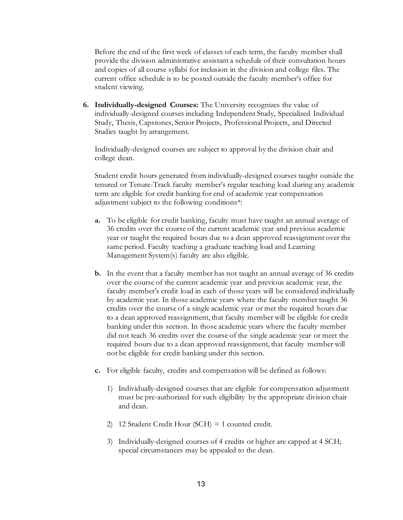Before the end of the first week of classes of each term, the faculty member shall provide the division administrative assistant a schedule of their consultation hours and copies of all course syllabi for inclusion in the division and college files. The current office schedule is to be posted outside the faculty member's office for student viewing.

**6. Individually-designed Courses:** The University recognizes the value of individually-designed courses including Independent Study, Specialized Individual Study, Thesis, Capstones, Senior Projects, Professional Projects, and Directed Studies taught by arrangement.

Individually-designed courses are subject to approval by the division chair and college dean.

Student credit hours generated from individually-designed courses taught outside the tenured or Tenure-Track faculty member's regular teaching load during any academic term are eligible for credit banking for end of academic year compensation adjustment subject to the following conditions\*:

- **a.** To be eligible for credit banking, faculty must have taught an annual average of 36 credits over the course of the current academic year and previous academic year or taught the required hours due to a dean approved reassignment over the same period. Faculty teaching a graduate teaching load and Learning Management System(s) faculty are also eligible.
- **b.** In the event that a faculty member has not taught an annual average of 36 credits over the course of the current academic year and previous academic year, the faculty member's credit load in each of those years will be considered individually by academic year. In those academic years where the faculty member taught 36 credits over the course of a single academic year or met the required hours due to a dean approved reassignment, that faculty member will be eligible for credit banking under this section. In those academic years where the faculty member did not teach 36 credits over the course of the single academic year or meet the required hours due to a dean approved reassignment, that faculty member will not be eligible for credit banking under this section.
- **c.** For eligible faculty, credits and compensation will be defined as follows:
	- 1) Individually-designed courses that are eligible for compensation adjustment must be pre-authorized for such eligibility by the appropriate division chair and dean.
	- 2) 12 Student Credit Hour (SCH) = 1 counted credit.
	- 3) Individually-designed courses of 4 credits or higher are capped at 4 SCH; special circumstances may be appealed to the dean.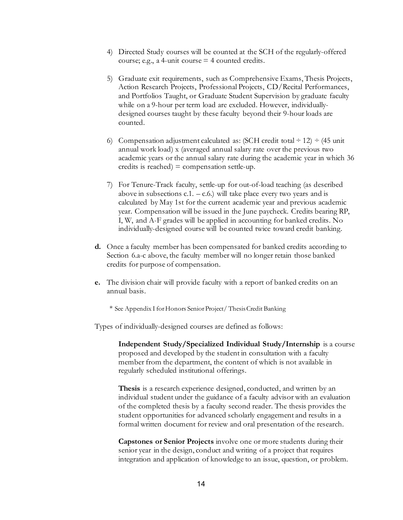- 4) Directed Study courses will be counted at the SCH of the regularly-offered course; e.g., a 4-unit course  $=$  4 counted credits.
- 5) Graduate exit requirements, such as Comprehensive Exams, Thesis Projects, Action Research Projects, Professional Projects, CD/Recital Performances, and Portfolios Taught, or Graduate Student Supervision by graduate faculty while on a 9-hour per term load are excluded. However, individuallydesigned courses taught by these faculty beyond their 9-hour loads are counted.
- 6) Compensation adjustment calculated as: (SCH credit total  $\div$  12)  $\div$  (45 unit annual work load) x (averaged annual salary rate over the previous two academic years or the annual salary rate during the academic year in which 36 credits is reached)  $=$  compensation settle-up.
- 7) For Tenure-Track faculty, settle-up for out-of-load teaching (as described above in subsections  $c.1 - c.6$ ) will take place every two years and is calculated by May 1st for the current academic year and previous academic year. Compensation will be issued in the June paycheck. Credits bearing RP, I, W, and A-F grades will be applied in accounting for banked credits. No individually-designed course will be counted twice toward credit banking.
- **d.** Once a faculty member has been compensated for banked credits according to Section 6.a-c above, the faculty member will no longer retain those banked credits for purpose of compensation.
- **e.** The division chair will provide faculty with a report of banked credits on an annual basis.
	- \* See Appendix I for Honors Senior Project/ Thesis Credit Banking

Types of individually-designed courses are defined as follows:

**Independent Study/Specialized Individual Study/Internship** is a course proposed and developed by the student in consultation with a faculty member from the department, the content of which is not available in regularly scheduled institutional offerings.

**Thesis** is a research experience designed, conducted, and written by an individual student under the guidance of a faculty advisor with an evaluation of the completed thesis by a faculty second reader. The thesis provides the student opportunities for advanced scholarly engagement and results in a formal written document for review and oral presentation of the research.

**Capstones or Senior Projects** involve one or more students during their senior year in the design, conduct and writing of a project that requires integration and application of knowledge to an issue, question, or problem.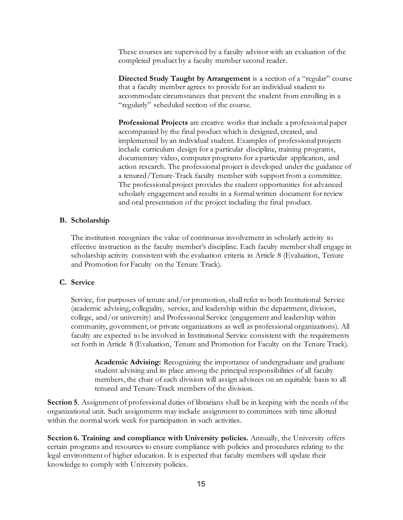These courses are supervised by a faculty advisor with an evaluation of the completed product by a faculty member second reader.

**Directed Study Taught by Arrangement** is a section of a "regular" course that a faculty member agrees to provide for an individual student to accommodate circumstances that prevent the student from enrolling in a "regularly" scheduled section of the course.

**Professional Projects** are creative works that include a professional paper accompanied by the final product which is designed, created, and implemented by an individual student. Examples of professional projects include curriculum design for a particular discipline, training programs, documentary video, computer programs for a particular application, and action research. The professional project is developed under the guidance of a tenured/Tenure-Track faculty member with support from a committee. The professional project provides the student opportunities for advanced scholarly engagement and results in a formal written document for review and oral presentation of the project including the final product.

### **B. Scholarship**

The institution recognizes the value of continuous involvement in scholarly activity to effective instruction in the faculty member's discipline. Each faculty member shall engage in scholarship activity consistent with the evaluation criteria in Article 8 (Evaluation, Tenure and Promotion for Faculty on the Tenure Track).

### **C. Service**

Service, for purposes of tenure and/or promotion, shall refer to both Institutional Service (academic advising, collegiality, service, and leadership within the department, division, college, and/or university) and Professional Service (engagement and leadership within community, government, or private organizations as well as professional organizations). All faculty are expected to be involved in Institutional Service consistent with the requirements set forth in Article 8 (Evaluation, Tenure and Promotion for Faculty on the Tenure Track).

**Academic Advising:** Recognizing the importance of undergraduate and graduate student advising and its place among the principal responsibilities of all faculty members, the chair of each division will assign advisees on an equitable basis to all tenured and Tenure-Track members of the division.

**Section 5.** Assignment of professional duties of librarians shall be in keeping with the needs of the organizational unit. Such assignments may include assignment to committees with time allotted within the normal work week for participation in such activities.

**Section 6. Training and compliance with University policies.** Annually, the University offers certain programs and resources to ensure compliance with policies and procedures relating to the legal environment of higher education. It is expected that faculty members will update their knowledge to comply with University policies.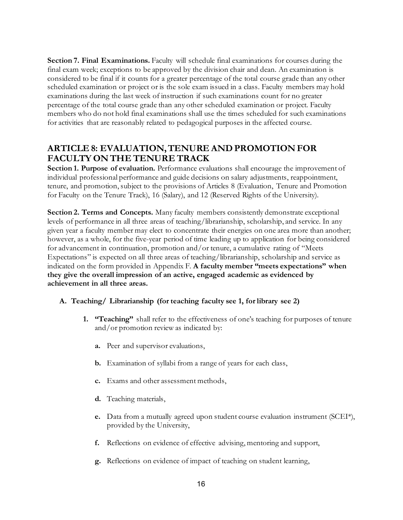**Section 7. Final Examinations.** Faculty will schedule final examinations for courses during the final exam week; exceptions to be approved by the division chair and dean. An examination is considered to be final if it counts for a greater percentage of the total course grade than any other scheduled examination or project or is the sole exam issued in a class. Faculty members may hold examinations during the last week of instruction if such examinations count for no greater percentage of the total course grade than any other scheduled examination or project. Faculty members who do not hold final examinations shall use the times scheduled for such examinations for activities that are reasonably related to pedagogical purposes in the affected course.

## <span id="page-15-0"></span>**ARTICLE 8: EVALUATION, TENURE AND PROMOTION FOR FACULTY ON THE TENURE TRACK**

**Section 1. Purpose of evaluation.** Performance evaluations shall encourage the improvement of individual professional performance and guide decisions on salary adjustments, reappointment, tenure, and promotion, subject to the provisions of Articles 8 (Evaluation, Tenure and Promotion for Faculty on the Tenure Track), 16 (Salary), and 12 (Reserved Rights of the University).

**Section 2. Terms and Concepts.** Many faculty members consistently demonstrate exceptional levels of performance in all three areas of teaching/librarianship, scholarship, and service. In any given year a faculty member may elect to concentrate their energies on one area more than another; however, as a whole, for the five-year period of time leading up to application for being considered for advancement in continuation, promotion and/or tenure, a cumulative rating of "Meets Expectations" is expected on all three areas of teaching/librarianship, scholarship and service as indicated on the form provided in Appendix F. **A faculty member "meets expectations" when they give the overall impression of an active, engaged academic as evidenced by achievement in all three areas.**

### **A. Teaching/ Librarianship (for teaching faculty see 1, for library see 2)**

- **1. "Teaching"** shall refer to the effectiveness of one's teaching for purposes of tenure and/or promotion review as indicated by:
	- **a.** Peer and supervisor evaluations,
	- **b.** Examination of syllabi from a range of years for each class,
	- **c.** Exams and other assessment methods,
	- **d.** Teaching materials,
	- **e.** Data from a mutually agreed upon student course evaluation instrument (SCEI\*), provided by the University,
	- **f.** Reflections on evidence of effective advising, mentoring and support,
	- **g.** Reflections on evidence of impact of teaching on student learning,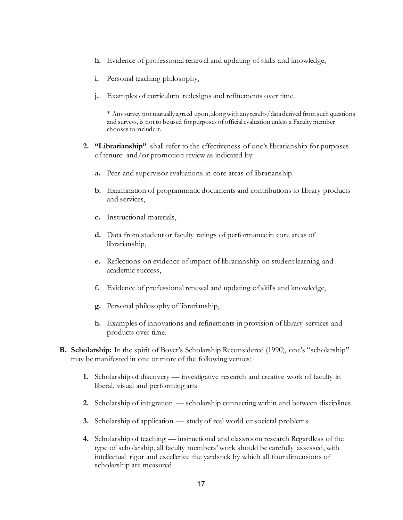- **h.** Evidence of professional renewal and updating of skills and knowledge,
- **i.** Personal teaching philosophy,
- **j.** Examples of curriculum redesigns and refinements over time.

\* Any survey not mutually agreed upon, along with any results/data derived from such questions and surveys, is not to be used for purposes of official evaluation unless a Faculty member chooses to include it.

- **2. "Librarianship"** shall refer to the effectiveness of one's librarianship for purposes of tenure: and/or promotion review as indicated by:
	- **a.** Peer and supervisor evaluations in core areas of librarianship.
	- **b.** Examination of programmatic documents and contributions to library products and services,
	- **c.** Instructional materials,
	- **d.** Data from student or faculty ratings of performance in core areas of librarianship,
	- **e.** Reflections on evidence of impact of librarianship on student learning and academic success,
	- **f.** Evidence of professional renewal and updating of skills and knowledge,
	- **g.** Personal philosophy of librarianship,
	- **h.** Examples of innovations and refinements in provision of library services and products over time.
- **B. Scholarship:** In the spirit of Boyer's Scholarship Reconsidered (1990), one's "scholarship" may be manifested in one or more of the following venues:
	- **1.** Scholarship of discovery investigative research and creative work of faculty in liberal, visual and performing arts
	- **2.** Scholarship of integration scholarship connecting within and between disciplines
	- **3.** Scholarship of application study of real world or societal problems
	- **4.** Scholarship of teaching instructional and classroom research Regardless of the type of scholarship, all faculty members' work should be carefully assessed, with intellectual rigor and excellence the yardstick by which all four dimensions of scholarship are measured.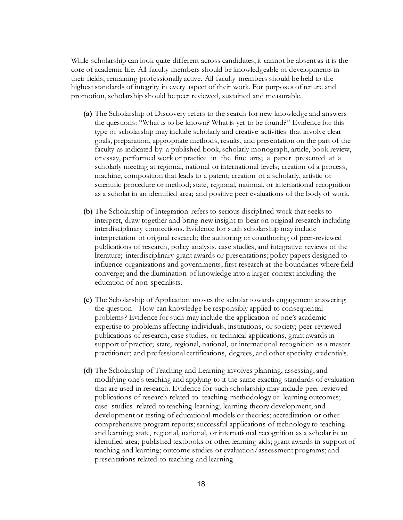While scholarship can look quite different across candidates, it cannot be absent as it is the core of academic life. All faculty members should be knowledgeable of developments in their fields, remaining professionally active. All faculty members should be held to the highest standards of integrity in every aspect of their work. For purposes of tenure and promotion, scholarship should be peer reviewed, sustained and measurable.

- **(a)** The Scholarship of Discovery refers to the search for new knowledge and answers the questions: "What is to be known? What is yet to be found?" Evidence for this type of scholarship may include scholarly and creative activities that involve clear goals, preparation, appropriate methods, results, and presentation on the part of the faculty as indicated by: a published book, scholarly monograph, article, book review, or essay, performed work or practice in the fine arts; a paper presented at a scholarly meeting at regional, national or international levels; creation of a process, machine, composition that leads to a patent; creation of a scholarly, artistic or scientific procedure or method; state, regional, national, or international recognition as a scholar in an identified area; and positive peer evaluations of the body of work.
- **(b)** The Scholarship of Integration refers to serious disciplined work that seeks to interpret, draw together and bring new insight to bear on original research including interdisciplinary connections. Evidence for such scholarship may include interpretation of original research; the authoring or coauthoring of peer-reviewed publications of research, policy analysis, case studies, and integrative reviews of the literature; interdisciplinary grant awards or presentations; policy papers designed to influence organizations and governments; first research at the boundaries where field converge; and the illumination of knowledge into a larger context including the education of non-specialists.
- **(c)** The Scholarship of Application moves the scholar towards engagement answering the question - How can knowledge be responsibly applied to consequential problems? Evidence for such may include the application of one's academic expertise to problems affecting individuals, institutions, or society; peer-reviewed publications of research, case studies, or technical applications, grant awards in support of practice; state, regional, national, or international recognition as a master practitioner; and professional certifications, degrees, and other specialty credentials.
- **(d)** The Scholarship of Teaching and Learning involves planning, assessing, and modifying one's teaching and applying to it the same exacting standards of evaluation that are used in research. Evidence for such scholarship may include peer-reviewed publications of research related to teaching methodology or learning outcomes; case studies related to teaching-learning; learning theory development; and development or testing of educational models or theories; accreditation or other comprehensive program reports; successful applications of technology to teaching and learning; state, regional, national, or international recognition as a scholar in an identified area; published textbooks or other learning aids; grant awards in support of teaching and learning; outcome studies or evaluation/assessment programs; and presentations related to teaching and learning.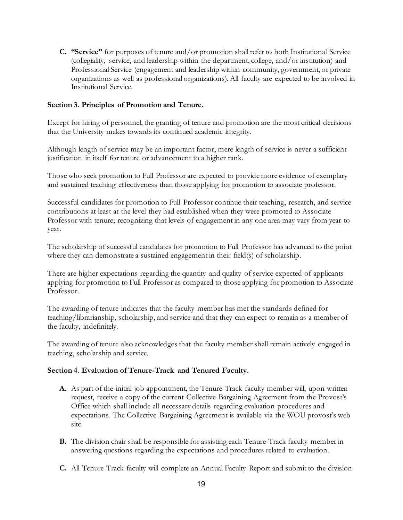**C. "Service"** for purposes of tenure and/or promotion shall refer to both Institutional Service (collegiality, service, and leadership within the department, college, and/or institution) and Professional Service (engagement and leadership within community, government, or private organizations as well as professional organizations). All faculty are expected to be involved in Institutional Service.

### **Section 3. Principles of Promotion and Tenure.**

Except for hiring of personnel, the granting of tenure and promotion are the most critical decisions that the University makes towards its continued academic integrity.

Although length of service may be an important factor, mere length of service is never a sufficient justification in itself for tenure or advancement to a higher rank.

Those who seek promotion to Full Professor are expected to provide more evidence of exemplary and sustained teaching effectiveness than those applying for promotion to associate professor.

Successful candidates for promotion to Full Professor continue their teaching, research, and service contributions at least at the level they had established when they were promoted to Associate Professor with tenure; recognizing that levels of engagement in any one area may vary from year-toyear.

The scholarship of successful candidates for promotion to Full Professor has advanced to the point where they can demonstrate a sustained engagement in their field(s) of scholarship.

There are higher expectations regarding the quantity and quality of service expected of applicants applying for promotion to Full Professor as compared to those applying for promotion to Associate Professor.

The awarding of tenure indicates that the faculty member has met the standards defined for teaching/librarianship, scholarship, and service and that they can expect to remain as a member of the faculty, indefinitely.

The awarding of tenure also acknowledges that the faculty member shall remain actively engaged in teaching, scholarship and service.

#### **Section 4. Evaluation of Tenure-Track and Tenured Faculty.**

- **A.** As part of the initial job appointment, the Tenure-Track faculty member will, upon written request, receive a copy of the current Collective Bargaining Agreement from the Provost's Office which shall include all necessary details regarding evaluation procedures and expectations. The Collective Bargaining Agreement is available via the WOU provost's web site.
- **B.** The division chair shall be responsible for assisting each Tenure-Track faculty member in answering questions regarding the expectations and procedures related to evaluation.
- **C.** All Tenure-Track faculty will complete an Annual Faculty Report and submit to the division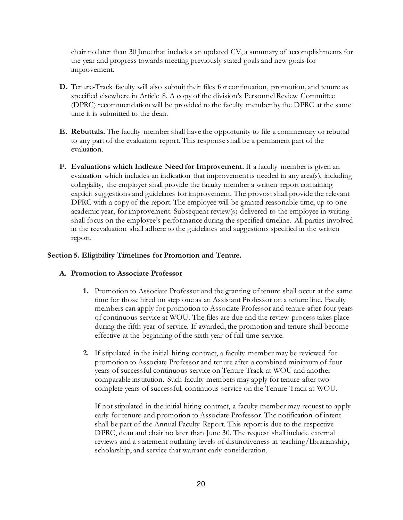chair no later than 30 June that includes an updated CV, a summary of accomplishments for the year and progress towards meeting previously stated goals and new goals for improvement.

- **D.** Tenure-Track faculty will also submit their files for continuation, promotion, and tenure as specified elsewhere in Article 8. A copy of the division's Personnel Review Committee (DPRC) recommendation will be provided to the faculty member by the DPRC at the same time it is submitted to the dean.
- **E. Rebuttals.** The faculty member shall have the opportunity to file a commentary or rebuttal to any part of the evaluation report. This response shall be a permanent part of the evaluation.
- **F. Evaluations which Indicate Need for Improvement.** If a faculty member is given an evaluation which includes an indication that improvement is needed in any area(s), including collegiality, the employer shall provide the faculty member a written report containing explicit suggestions and guidelines for improvement. The provostshall provide the relevant DPRC with a copy of the report. The employee will be granted reasonable time, up to one academic year, for improvement. Subsequent review(s) delivered to the employee in writing shall focus on the employee's performance during the specified timeline. All parties involved in the reevaluation shall adhere to the guidelines and suggestions specified in the written report.

### **Section 5. Eligibility Timelines for Promotion and Tenure.**

#### **A. Promotion to Associate Professor**

- **1.** Promotion to Associate Professor and the granting of tenure shall occur at the same time for those hired on step one as an Assistant Professor on a tenure line. Faculty members can apply for promotion to Associate Professor and tenure after four years of continuous service at WOU. The files are due and the review process takes place during the fifth year of service. If awarded, the promotion and tenure shall become effective at the beginning of the sixth year of full-time service.
- **2.** If stipulated in the initial hiring contract, a faculty member may be reviewed for promotion to Associate Professor and tenure after a combined minimum of four years of successful continuous service on Tenure Track at WOU and another comparable institution. Such faculty members may apply for tenure after two complete years of successful, continuous service on the Tenure Track at WOU.

If not stipulated in the initial hiring contract, a faculty member may request to apply early for tenure and promotion to Associate Professor. The notification of intent shall be part of the Annual Faculty Report. This report is due to the respective DPRC, dean and chair no later than June 30. The request shall include external reviews and a statement outlining levels of distinctiveness in teaching/librarianship, scholarship, and service that warrant early consideration.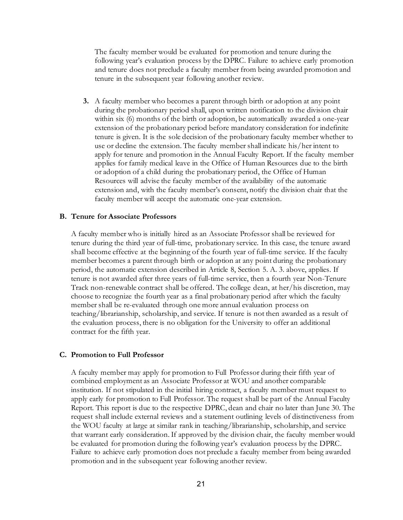The faculty member would be evaluated for promotion and tenure during the following year's evaluation process by the DPRC. Failure to achieve early promotion and tenure does not preclude a faculty member from being awarded promotion and tenure in the subsequent year following another review.

**3.** A faculty member who becomes a parent through birth or adoption at any point during the probationary period shall, upon written notification to the division chair within six (6) months of the birth or adoption, be automatically awarded a one-year extension of the probationary period before mandatory consideration for indefinite tenure is given. It is the sole decision of the probationary faculty member whether to use or decline the extension. The faculty member shall indicate his/her intent to apply for tenure and promotion in the Annual Faculty Report. If the faculty member applies for family medical leave in the Office of Human Resources due to the birth or adoption of a child during the probationary period, the Office of Human Resources will advise the faculty member of the availability of the automatic extension and, with the faculty member's consent, notify the division chair that the faculty member will accept the automatic one-year extension.

#### **B. Tenure for Associate Professors**

A faculty member who is initially hired as an Associate Professor shall be reviewed for tenure during the third year of full-time, probationary service. In this case, the tenure award shall become effective at the beginning of the fourth year of full-time service. If the faculty member becomes a parent through birth or adoption at any point during the probationary period, the automatic extension described in Article 8, Section 5. A. 3. above, applies. If tenure is not awarded after three years of full-time service, then a fourth year Non-Tenure Track non-renewable contract shall be offered. The college dean, at her/his discretion, may choose to recognize the fourth year as a final probationary period after which the faculty member shall be re-evaluated through one more annual evaluation process on teaching/librarianship, scholarship, and service. If tenure is not then awarded as a result of the evaluation process, there is no obligation for the University to offer an additional contract for the fifth year.

#### **C. Promotion to Full Professor**

A faculty member may apply for promotion to Full Professor during their fifth year of combined employment as an Associate Professor at WOU and another comparable institution. If not stipulated in the initial hiring contract, a faculty member must request to apply early for promotion to Full Professor. The request shall be part of the Annual Faculty Report. This report is due to the respective DPRC, dean and chair no later than June 30. The request shall include external reviews and a statement outlining levels of distinctiveness from the WOU faculty at large at similar rank in teaching/librarianship, scholarship, and service that warrant early consideration. If approved by the division chair, the faculty member would be evaluated for promotion during the following year's evaluation process by the DPRC. Failure to achieve early promotion does not preclude a faculty member from being awarded promotion and in the subsequent year following another review.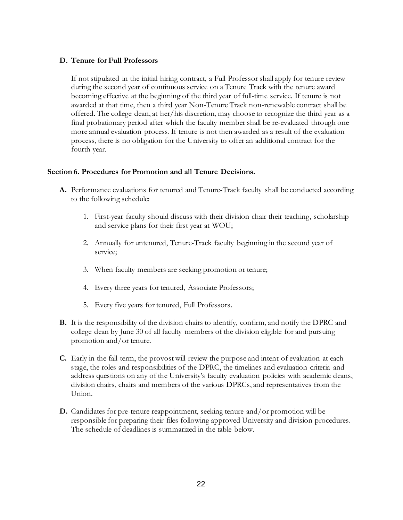### **D. Tenure for Full Professors**

If not stipulated in the initial hiring contract, a Full Professor shall apply for tenure review during the second year of continuous service on a Tenure Track with the tenure award becoming effective at the beginning of the third year of full-time service. If tenure is not awarded at that time, then a third year Non-Tenure Track non-renewable contract shall be offered. The college dean, at her/his discretion, may choose to recognize the third year as a final probationary period after which the faculty member shall be re-evaluated through one more annual evaluation process. If tenure is not then awarded as a result of the evaluation process, there is no obligation for the University to offer an additional contract for the fourth year.

### **Section 6. Procedures for Promotion and all Tenure Decisions.**

- A. Performance evaluations for tenured and Tenure-Track faculty shall be conducted according to the following schedule:
	- 1. First-year faculty should discuss with their division chair their teaching, scholarship and service plans for their first year at WOU;
	- 2. Annually for untenured, Tenure-Track faculty beginning in the second year of service;
	- 3. When faculty members are seeking promotion or tenure;
	- 4. Every three years for tenured, Associate Professors;
	- 5. Every five years for tenured, Full Professors.
- **B.** It is the responsibility of the division chairs to identify, confirm, and notify the DPRC and college dean by June 30 of all faculty members of the division eligible for and pursuing promotion and/or tenure.
- **C.** Early in the fall term, the provost will review the purpose and intent of evaluation at each stage, the roles and responsibilities of the DPRC, the timelines and evaluation criteria and address questions on any of the University's faculty evaluation policies with academic deans, division chairs, chairs and members of the various DPRCs, and representatives from the Union.
- **D.** Candidates for pre-tenure reappointment, seeking tenure and/or promotion will be responsible for preparing their files following approved University and division procedures. The schedule of deadlines is summarized in the table below.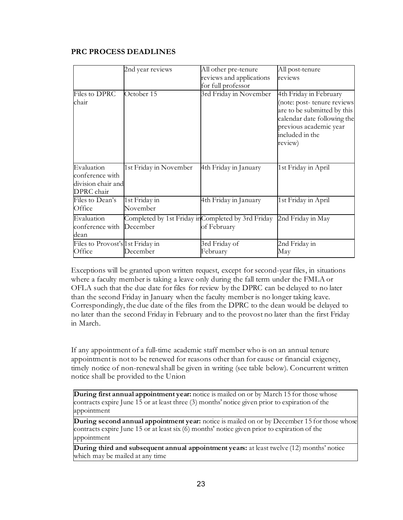## **PRC PROCESS DEADLINES**

|                                  | 2nd year reviews                                   | All other pre-tenure     | All post-tenure                                           |
|----------------------------------|----------------------------------------------------|--------------------------|-----------------------------------------------------------|
|                                  |                                                    | reviews and applications | reviews                                                   |
|                                  |                                                    | for full professor       |                                                           |
| Files to DPRC                    | October 15                                         | 3rd Friday in November   | 4th Friday in February                                    |
| chair                            |                                                    |                          | (note: post-tenure reviews<br>are to be submitted by this |
|                                  |                                                    |                          | calendar date following the<br>previous academic year     |
|                                  |                                                    |                          | included in the                                           |
|                                  |                                                    |                          | review)                                                   |
|                                  |                                                    |                          |                                                           |
| Evaluation                       | 1st Friday in November                             | 4th Friday in January    | 1st Friday in April                                       |
| conference with                  |                                                    |                          |                                                           |
| division chair and               |                                                    |                          |                                                           |
| DPRC chair                       |                                                    |                          |                                                           |
| Files to Dean's                  | 1st Friday in                                      | 4th Friday in January    | 1st Friday in April                                       |
| Office                           | November                                           |                          |                                                           |
| Evaluation                       | Completed by 1st Friday in Completed by 3rd Friday |                          | 2nd Friday in May                                         |
| conference with                  | December                                           | of February              |                                                           |
| dean                             |                                                    |                          |                                                           |
| Files to Provost's 1st Friday in |                                                    | 3rd Friday of            | 2nd Friday in                                             |
| Office                           | December                                           | February                 | May                                                       |

Exceptions will be granted upon written request, except for second-year files, in situations where a faculty member is taking a leave only during the fall term under the FMLA or OFLA such that the due date for files for review by the DPRC can be delayed to no later than the second Friday in January when the faculty member is no longer taking leave. Correspondingly, the due date of the files from the DPRC to the dean would be delayed to no later than the second Friday in February and to the provost no later than the first Friday in March.

If any appointment of a full-time academic staff member who is on an annual tenure appointment is not to be renewed for reasons other than for cause or financial exigency, timely notice of non-renewal shall be given in writing (see table below). Concurrent written notice shall be provided to the Union

**During first annual appointment year:** notice is mailed on or by March 15 for those whose contracts expire June 15 or at least three (3) months' notice given prior to expiration of the appointment

**During second annual appointment year:** notice is mailed on or by December 15 for those whose contracts expire June 15 or at least six (6) months' notice given prior to expiration of the appointment

**During third and subsequent annual appointment years:** at least twelve (12) months' notice which may be mailed at any time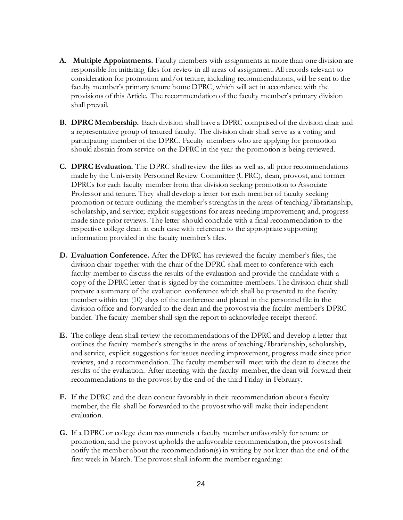- **A. Multiple Appointments.** Faculty members with assignments in more than one division are responsible for initiating files for review in all areas of assignment. All records relevant to consideration for promotion and/or tenure, including recommendations, will be sent to the faculty member's primary tenure home DPRC, which will act in accordance with the provisions of this Article. The recommendation of the faculty member's primary division shall prevail.
- **B. DPRC Membership.** Each division shall have a DPRC comprised of the division chair and a representative group of tenured faculty. The division chair shall serve as a voting and participating member of the DPRC. Faculty members who are applying for promotion should abstain from service on the DPRC in the year the promotion is being reviewed.
- **C. DPRC Evaluation.** The DPRC shall review the files as well as, all prior recommendations made by the University Personnel Review Committee (UPRC), dean, provost, and former DPRCs for each faculty member from that division seeking promotion to Associate Professor and tenure. They shall develop a letter for each member of faculty seeking promotion or tenure outlining the member's strengths in the areas of teaching/librarianship, scholarship, and service; explicit suggestions for areas needing improvement; and, progress made since prior reviews. The letter should conclude with a final recommendation to the respective college dean in each case with reference to the appropriate supporting information provided in the faculty member's files.
- **D. Evaluation Conference.** After the DPRC has reviewed the faculty member's files, the division chair together with the chair of the DPRC shall meet to conference with each faculty member to discuss the results of the evaluation and provide the candidate with a copy of the DPRC letter that is signed by the committee members. The division chair shall prepare a summary of the evaluation conference which shall be presented to the faculty member within ten (10) days of the conference and placed in the personnel file in the division office and forwarded to the dean and the provost via the faculty member's DPRC binder. The faculty member shall sign the report to acknowledge receipt thereof.
- **E.** The college dean shall review the recommendations of the DPRC and develop a letter that outlines the faculty member's strengths in the areas of teaching/librarianship, scholarship, and service, explicit suggestions for issues needing improvement, progress made since prior reviews, and a recommendation. The faculty member will meet with the dean to discuss the results of the evaluation. After meeting with the faculty member, the dean will forward their recommendations to the provost by the end of the third Friday in February.
- **F.** If the DPRC and the dean concur favorably in their recommendation about a faculty member, the file shall be forwarded to the provost who will make their independent evaluation.
- **G.** If a DPRC or college dean recommends a faculty member unfavorably for tenure or promotion, and the provost upholds the unfavorable recommendation, the provostshall notify the member about the recommendation(s) in writing by not later than the end of the first week in March. The provostshall inform the member regarding: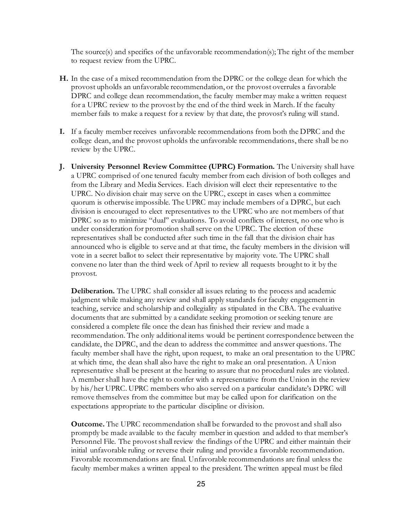The source(s) and specifics of the unfavorable recommendation(s); The right of the member to request review from the UPRC.

- **H.** In the case of a mixed recommendation from the DPRC or the college dean for which the provost upholds an unfavorable recommendation, or the provost overrules a favorable DPRC and college dean recommendation, the faculty member may make a written request for a UPRC review to the provost by the end of the third week in March. If the faculty member fails to make a request for a review by that date, the provost's ruling will stand.
- **I.** If a faculty member receives unfavorable recommendations from both the DPRC and the college dean, and the provost upholds the unfavorable recommendations, there shall be no review by the UPRC.
- **J. University Personnel Review Committee (UPRC) Formation.** The University shall have a UPRC comprised of one tenured faculty member from each division of both colleges and from the Library and Media Services. Each division will elect their representative to the UPRC. No division chair may serve on the UPRC, except in cases when a committee quorum is otherwise impossible. The UPRC may include members of a DPRC, but each division is encouraged to elect representatives to the UPRC who are not members of that DPRC so as to minimize "dual" evaluations. To avoid conflicts of interest, no one who is under consideration for promotion shall serve on the UPRC. The election of these representatives shall be conducted after such time in the fall that the division chair has announced who is eligible to serve and at that time, the faculty members in the division will vote in a secret ballot to select their representative by majority vote. The UPRC shall convene no later than the third week of April to review all requests brought to it by the provost.

**Deliberation.** The UPRC shall consider all issues relating to the process and academic judgment while making any review and shall apply standards for faculty engagement in teaching, service and scholarship and collegiality as stipulated in the CBA. The evaluative documents that are submitted by a candidate seeking promotion or seeking tenure are considered a complete file once the dean has finished their review and made a recommendation. The only additional items would be pertinent correspondence between the candidate, the DPRC, and the dean to address the committee and answer questions. The faculty member shall have the right, upon request, to make an oral presentation to the UPRC at which time, the dean shall also have the right to make an oral presentation. A Union representative shall be present at the hearing to assure that no procedural rules are violated. A member shall have the right to confer with a representative from the Union in the review by his/her UPRC. UPRC members who also served on a particular candidate's DPRC will remove themselves from the committee but may be called upon for clarification on the expectations appropriate to the particular discipline or division.

**Outcome.** The UPRC recommendation shall be forwarded to the provost and shall also promptly be made available to the faculty member in question and added to that member's Personnel File. The provost shall review the findings of the UPRC and either maintain their initial unfavorable ruling or reverse their ruling and provide a favorable recommendation. Favorable recommendations are final. Unfavorable recommendations are final unless the faculty member makes a written appeal to the president. The written appeal must be filed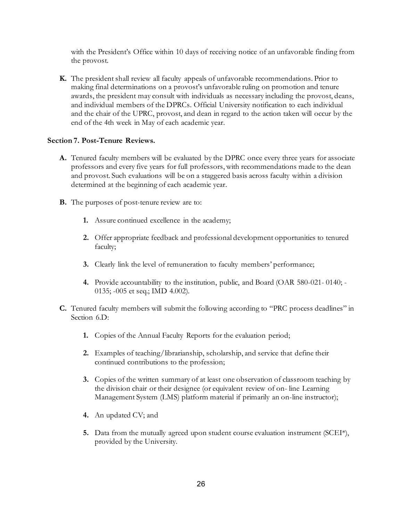with the President's Office within 10 days of receiving notice of an unfavorable finding from the provost.

**K.** The president shall review all faculty appeals of unfavorable recommendations. Prior to making final determinations on a provost's unfavorable ruling on promotion and tenure awards, the president may consult with individuals as necessary including the provost, deans, and individual members of the DPRCs. Official University notification to each individual and the chair of the UPRC, provost, and dean in regard to the action taken will occur by the end of the 4th week in May of each academic year.

### **Section 7. Post-Tenure Reviews.**

- **A.** Tenured faculty members will be evaluated by the DPRC once every three years for associate professors and every five years for full professors, with recommendations made to the dean and provost. Such evaluations will be on a staggered basis across faculty within a division determined at the beginning of each academic year.
- **B.** The purposes of post-tenure review are to:
	- **1.** Assure continued excellence in the academy;
	- **2.** Offer appropriate feedback and professional development opportunities to tenured faculty;
	- **3.** Clearly link the level of remuneration to faculty members' performance;
	- **4.** Provide accountability to the institution, public, and Board (OAR 580-021- 0140; 0135; -005 et seq.; IMD 4.002).
- **C.** Tenured faculty members will submit the following according to "PRC process deadlines" in Section 6.D:
	- **1.** Copies of the Annual Faculty Reports for the evaluation period;
	- **2.** Examples of teaching/librarianship, scholarship, and service that define their continued contributions to the profession;
	- **3.** Copies of the written summary of at least one observation of classroom teaching by the division chair or their designee (or equivalent review of on- line Learning Management System (LMS) platform material if primarily an on-line instructor);
	- **4.** An updated CV; and
	- **5.** Data from the mutually agreed upon student course evaluation instrument (SCEI\*), provided by the University.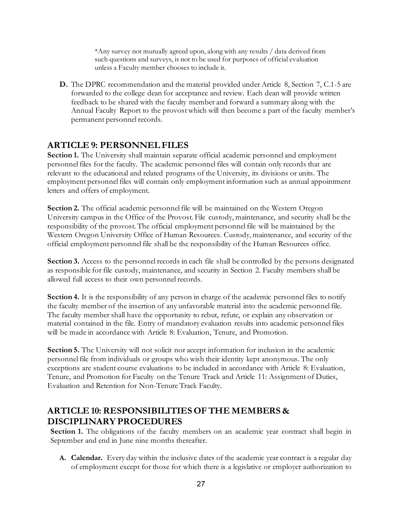\*Any survey not mutually agreed upon, along with any results / data derived from such questions and surveys, is not to be used for purposes of official evaluation unless a Faculty member chooses to include it.

**D.** The DPRC recommendation and the material provided under Article 8, Section 7, C.1-5 are forwarded to the college dean for acceptance and review. Each dean will provide written feedback to be shared with the faculty member and forward a summary along with the Annual Faculty Report to the provost which will then become a part of the faculty member's permanent personnel records.

## <span id="page-26-0"></span>**ARTICLE 9: PERSONNEL FILES**

Section 1. The University shall maintain separate official academic personnel and employment personnel files for the faculty. The academic personnel files will contain only records that are relevant to the educational and related programs of the University, its divisions or units. The employment personnel files will contain only employment information such as annual appointment letters and offers of employment.

**Section 2.** The official academic personnel file will be maintained on the Western Oregon University campus in the Office of the Provost. File custody, maintenance, and security shall be the responsibility of the provost. The official employment personnel file will be maintained by the Western Oregon University Office of Human Resources. Custody, maintenance, and security of the official employment personnel file shall be the responsibility of the Human Resources office.

**Section 3.** Access to the personnel records in each file shall be controlled by the persons designated as responsible for file custody, maintenance, and security in Section 2. Faculty members shall be allowed full access to their own personnel records.

**Section 4.** It is the responsibility of any person in charge of the academic personnel files to notify the faculty member of the insertion of any unfavorable material into the academic personnel file. The faculty member shall have the opportunity to rebut, refute, or explain any observation or material contained in the file. Entry of mandatory evaluation results into academic personnel files will be made in accordance with Article 8: Evaluation, Tenure, and Promotion.

**Section 5.** The University will not solicit nor accept information for inclusion in the academic personnel file from individuals or groups who wish their identity kept anonymous. The only exceptions are student course evaluations to be included in accordance with Article 8: Evaluation, Tenure, and Promotion for Faculty on the Tenure Track and Article 11: Assignment of Duties, Evaluation and Retention for Non-Tenure Track Faculty.

## <span id="page-26-1"></span>**ARTICLE 10: RESPONSIBILITIES OF THE MEMBERS & DISCIPLINARY PROCEDURES**

Section 1. The obligations of the faculty members on an academic year contract shall begin in September and end in June nine months thereafter.

**A. Calendar.** Every day within the inclusive dates of the academic year contract is a regular day of employment except for those for which there is a legislative or employer authorization to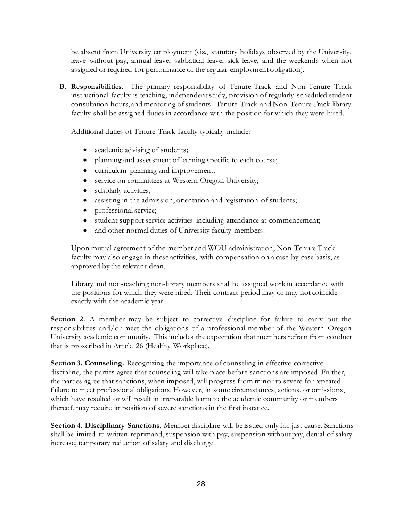be absent from University employment (viz., statutory holidays observed by the University, leave without pay, annual leave, sabbatical leave, sick leave, and the weekends when not assigned or required for performance of the regular employment obligation).

**B. Responsibilities.** The primary responsibility of Tenure-Track and Non-Tenure Track instructional faculty is teaching, independent study, provision of regularly scheduled student consultation hours, and mentoring of students. Tenure-Track and Non-Tenure Track library faculty shall be assigned duties in accordance with the position for which they were hired.

Additional duties of Tenure-Track faculty typically include:

- academic advising of students;
- planning and assessment of learning specific to each course;
- curriculum planning and improvement;
- service on committees at Western Oregon University;
- scholarly activities;
- assisting in the admission, orientation and registration of students;
- professional service;
- student support service activities including attendance at commencement;
- and other normal duties of University faculty members.

Upon mutual agreement of the member and WOU administration, Non-Tenure Track faculty may also engage in these activities, with compensation on a case-by-case basis, as approved by the relevant dean.

Library and non-teaching non-library members shall be assigned work in accordance with the positions for which they were hired. Their contract period may or may not coincide exactly with the academic year.

**Section 2.** A member may be subject to corrective discipline for failure to carry out the responsibilities and/or meet the obligations of a professional member of the Western Oregon University academic community. This includes the expectation that members refrain from conduct that is proscribed in Article 26 (Healthy Workplace).

**Section 3. Counseling.** Recognizing the importance of counseling in effective corrective discipline, the parties agree that counseling will take place before sanctions are imposed. Further, the parties agree that sanctions, when imposed, will progress from minor to severe for repeated failure to meet professional obligations. However, in some circumstances, actions, or omissions, which have resulted or will result in irreparable harm to the academic community or members thereof, may require imposition of severe sanctions in the first instance.

**Section 4. Disciplinary Sanctions.** Member discipline will be issued only for just cause. Sanctions shall be limited to written reprimand, suspension with pay, suspension without pay, denial of salary increase, temporary reduction of salary and discharge.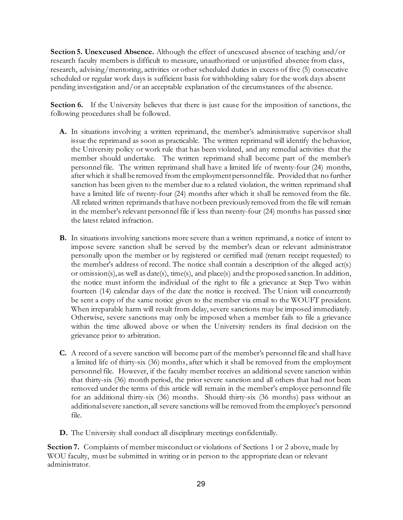**Section 5. Unexcused Absence.** Although the effect of unexcused absence of teaching and/or research faculty members is difficult to measure, unauthorized or unjustified absence from class, research, advising/mentoring, activities or other scheduled duties in excess of five (5) consecutive scheduled or regular work days is sufficient basis for withholding salary for the work days absent pending investigation and/or an acceptable explanation of the circumstances of the absence.

**Section 6.** If the University believes that there is just cause for the imposition of sanctions, the following procedures shall be followed.

- **A.** In situations involving a written reprimand, the member's administrative supervisor shall issue the reprimand as soon as practicable. The written reprimand will identify the behavior, the University policy or work rule that has been violated, and any remedial activities that the member should undertake. The written reprimand shall become part of the member's personnel file. The written reprimand shall have a limited life of twenty-four (24) months, after which it shall be removed from the employment personnel file. Provided that no further sanction has been given to the member due to a related violation, the written reprimand shall have a limited life of twenty-four (24) months after which it shall be removed from the file. All related written reprimands that have not been previously removed from the file will remain in the member's relevant personnel file if less than twenty-four (24) months has passed since the latest related infraction.
- **B.** In situations involving sanctions more severe than a written reprimand, a notice of intent to impose severe sanction shall be served by the member's dean or relevant administrator personally upon the member or by registered or certified mail (return receipt requested) to the member's address of record. The notice shall contain a description of the alleged act(s) or omission(s), as well as date(s), time(s), and place(s) and the proposed sanction. In addition, the notice must inform the individual of the right to file a grievance at Step Two within fourteen (14) calendar days of the date the notice is received. The Union will concurrently be sent a copy of the same notice given to the member via email to the WOUFT president. When irreparable harm will result from delay, severe sanctions may be imposed immediately. Otherwise, severe sanctions may only be imposed when a member fails to file a grievance within the time allowed above or when the University renders its final decision on the grievance prior to arbitration.
- **C.** A record of a severe sanction will become part of the member's personnel file and shall have a limited life of thirty-six (36) months, after which it shall be removed from the employment personnel file. However, if the faculty member receives an additional severe sanction within that thirty-six (36) month period, the prior severe sanction and all others that had not been removed under the terms of this article will remain in the member's employee personnel file for an additional thirty-six (36) months. Should thirty-six (36 months) pass without an additional severe sanction, all severe sanctions will be removed from the employee's personnel file.
- **D.** The University shall conduct all disciplinary meetings confidentially.

**Section 7.** Complaints of member misconduct or violations of Sections 1 or 2 above, made by WOU faculty, must be submitted in writing or in person to the appropriate dean or relevant administrator.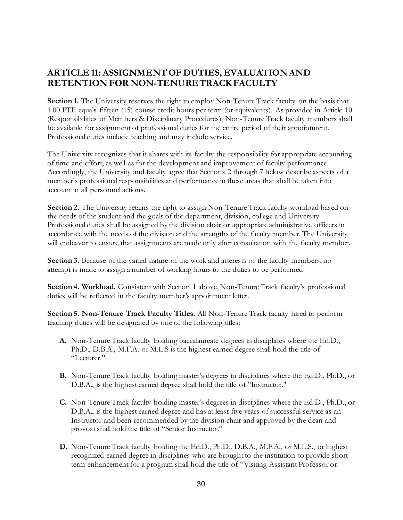# <span id="page-29-0"></span>**ARTICLE 11: ASSIGNMENT OF DUTIES, EVALUATION AND RETENTION FOR NON-TENURE TRACK FACULTY**

Section 1. The University reserves the right to employ Non-Tenure Track faculty on the basis that 1.00 FTE equals fifteen (15) course credit hours per term (or equivalents). As provided in Article 10 (Responsibilities of Members & Disciplinary Procedures), Non-Tenure Track faculty members shall be available for assignment of professional duties for the entire period of their appointment. Professional duties include teaching and may include service.

The University recognizes that it shares with its faculty the responsibility for appropriate accounting of time and effort, as well as for the development and improvement of faculty performance. Accordingly, the University and faculty agree that Sections 2 through 7 below describe aspects of a member's professional responsibilities and performance in these areas that shall be taken into account in all personnel actions.

**Section 2.** The University retains the right to assign Non-Tenure Track faculty workload based on the needs of the student and the goals of the department, division, college and University. Professional duties shall be assigned by the division chair or appropriate administrative officers in accordance with the needs of the division and the strengths of the faculty member. The University will endeavor to ensure that assignments are made only after consultation with the faculty member.

**Section 3.** Because of the varied nature of the work and interests of the faculty members, no attempt is made to assign a number of working hours to the duties to be performed.

**Section 4. Workload.** Consistent with Section 1 above, Non-Tenure Track faculty's professional duties will be reflected in the faculty member's appointment letter.

**Section 5. Non-Tenure Track Faculty Titles.** All Non-Tenure Track faculty hired to perform teaching duties will be designated by one of the following titles:

- **A.** Non-Tenure Track faculty holding baccalaureate degrees in disciplines where the Ed.D., Ph.D., D.B.A., M.F.A. or M.L.S is the highest earned degree shall hold the title of "Lecturer."
- **B.** Non-Tenure Track faculty holding master's degrees in disciplines where the Ed.D., Ph.D., or D.B.A., is the highest earned degree shall hold the title of "Instructor."
- **C.** Non-Tenure Track faculty holding master's degrees in disciplines where the Ed.D., Ph.D., or D.B.A., is the highest earned degree and has at least five years of successful service as an Instructor and been recommended by the division chair and approved by the dean and provostshall hold the title of "Senior Instructor."
- **D.** Non-Tenure Track faculty holding the Ed.D., Ph.D., D.B.A., M.F.A., or M.L.S., or highest recognized earned degree in disciplines who are brought to the institution to provide shortterm enhancement for a program shall hold the title of "Visiting Assistant Professor or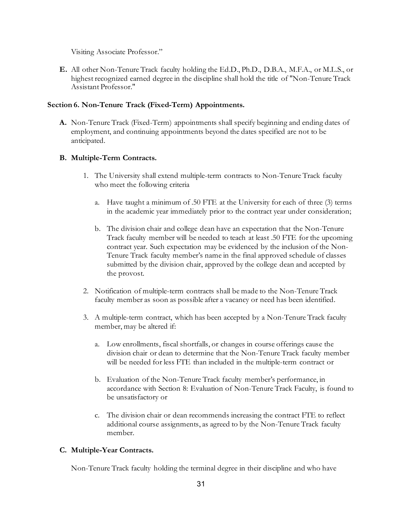Visiting Associate Professor."

**E.** All other Non-Tenure Track faculty holding the Ed.D., Ph.D., D.B.A., M.F.A., or M.L.S., or highest recognized earned degree in the discipline shall hold the title of "Non-Tenure Track Assistant Professor."

## **Section 6. Non-Tenure Track (Fixed-Term) Appointments.**

**A.** Non-Tenure Track (Fixed-Term) appointments shall specify beginning and ending dates of employment, and continuing appointments beyond the dates specified are not to be anticipated.

## **B. Multiple-Term Contracts.**

- 1. The University shall extend multiple-term contracts to Non-Tenure Track faculty who meet the following criteria
	- a. Have taught a minimum of .50 FTE at the University for each of three (3) terms in the academic year immediately prior to the contract year under consideration;
	- b. The division chair and college dean have an expectation that the Non-Tenure Track faculty member will be needed to teach at least .50 FTE for the upcoming contract year. Such expectation may be evidenced by the inclusion of the Non-Tenure Track faculty member's name in the final approved schedule of classes submitted by the division chair, approved by the college dean and accepted by the provost.
- 2. Notification of multiple-term contracts shall be made to the Non-Tenure Track faculty member as soon as possible after a vacancy or need has been identified.
- 3. A multiple-term contract, which has been accepted by a Non-Tenure Track faculty member, may be altered if:
	- a. Low enrollments, fiscal shortfalls, or changes in course offerings cause the division chair or dean to determine that the Non-Tenure Track faculty member will be needed for less FTE than included in the multiple-term contract or
	- b. Evaluation of the Non-Tenure Track faculty member's performance, in accordance with Section 8: Evaluation of Non-Tenure Track Faculty, is found to be unsatisfactory or
	- c. The division chair or dean recommends increasing the contract FTE to reflect additional course assignments, as agreed to by the Non-Tenure Track faculty member.

## **C. Multiple-Year Contracts.**

Non-Tenure Track faculty holding the terminal degree in their discipline and who have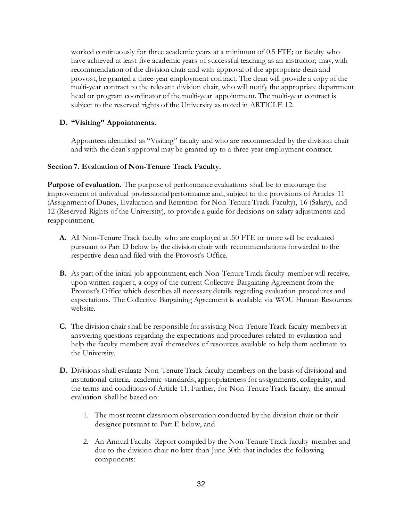worked continuously for three academic years at a minimum of 0.5 FTE; or faculty who have achieved at least five academic years of successful teaching as an instructor; may, with recommendation of the division chair and with approval of the appropriate dean and provost, be granted a three-year employment contract. The dean will provide a copy of the multi-year contract to the relevant division chair, who will notify the appropriate department head or program coordinator of the multi-year appointment. The multi-year contract is subject to the reserved rights of the University as noted in ARTICLE 12.

## **D. "Visiting" Appointments.**

Appointees identified as "Visiting" faculty and who are recommended by the division chair and with the dean's approval may be granted up to a three-year employment contract.

### **Section 7. Evaluation of Non-Tenure Track Faculty.**

**Purpose of evaluation.** The purpose of performance evaluations shall be to encourage the improvement of individual professional performance and, subject to the provisions of Articles 11 (Assignment of Duties, Evaluation and Retention for Non-Tenure Track Faculty), 16 (Salary), and 12 (Reserved Rights of the University), to provide a guide for decisions on salary adjustments and reappointment.

- **A.** All Non-Tenure Track faculty who are employed at .50 FTE or more will be evaluated pursuant to Part D below by the division chair with recommendations forwarded to the respective dean and filed with the Provost's Office.
- **B.** As part of the initial job appointment, each Non-Tenure Track faculty member will receive, upon written request, a copy of the current Collective Bargaining Agreement from the Provost's Office which describes all necessary details regarding evaluation procedures and expectations. The Collective Bargaining Agreement is available via WOU Human Resources website.
- **C.** The division chair shall be responsible for assisting Non-Tenure Track faculty members in answering questions regarding the expectations and procedures related to evaluation and help the faculty members avail themselves of resources available to help them acclimate to the University.
- **D.** Divisions shall evaluate Non-Tenure Track faculty members on the basis of divisional and institutional criteria, academic standards, appropriateness for assignments, collegiality, and the terms and conditions of Article 11. Further, for Non-Tenure Track faculty, the annual evaluation shall be based on:
	- 1. The most recent classroom observation conducted by the division chair or their designee pursuant to Part E below, and
	- 2. An Annual Faculty Report compiled by the Non-Tenure Track faculty member and due to the division chair no later than June 30th that includes the following components: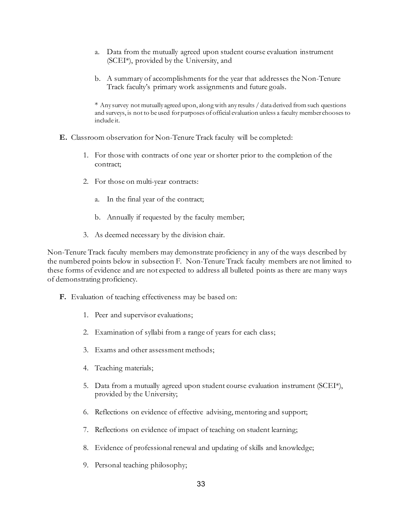- a. Data from the mutually agreed upon student course evaluation instrument (SCEI\*), provided by the University, and
- b. A summary of accomplishments for the year that addresses the Non-Tenure Track faculty's primary work assignments and future goals.

\* Any survey not mutually agreed upon, along with any results / data derived from such questions and surveys, is not to be used for purposes of official evaluation unless a faculty member chooses to include it.

- **E.** Classroom observation for Non-Tenure Track faculty will be completed:
	- 1. For those with contracts of one year or shorter prior to the completion of the contract;
	- 2. For those on multi-year contracts:
		- a. In the final year of the contract;
		- b. Annually if requested by the faculty member;
	- 3. As deemed necessary by the division chair.

Non-Tenure Track faculty members may demonstrate proficiency in any of the ways described by the numbered points below in subsection F. Non-Tenure Track faculty members are not limited to these forms of evidence and are not expected to address all bulleted points as there are many ways of demonstrating proficiency.

- **F.** Evaluation of teaching effectiveness may be based on:
	- 1. Peer and supervisor evaluations;
	- 2. Examination of syllabi from a range of years for each class;
	- 3. Exams and other assessment methods;
	- 4. Teaching materials;
	- 5. Data from a mutually agreed upon student course evaluation instrument (SCEI\*), provided by the University;
	- 6. Reflections on evidence of effective advising, mentoring and support;
	- 7. Reflections on evidence of impact of teaching on student learning;
	- 8. Evidence of professional renewal and updating of skills and knowledge;
	- 9. Personal teaching philosophy;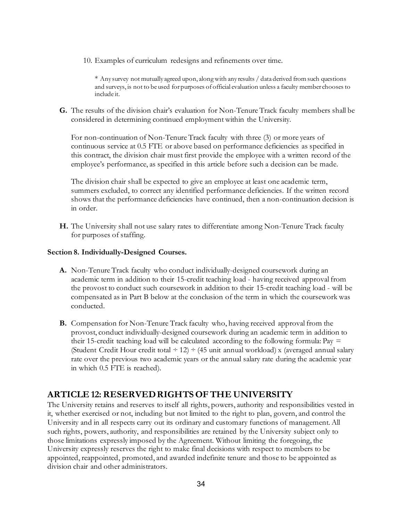10. Examples of curriculum redesigns and refinements over time.

\* Any survey not mutually agreed upon, along with any results / data derived from such questions and surveys, is not to be used for purposes of official evaluation unless a faculty member chooses to include it.

**G.** The results of the division chair's evaluation for Non-Tenure Track faculty members shall be considered in determining continued employment within the University.

For non-continuation of Non-Tenure Track faculty with three (3) or more years of continuous service at 0.5 FTE or above based on performance deficiencies as specified in this contract, the division chair must first provide the employee with a written record of the employee's performance, as specified in this article before such a decision can be made.

The division chair shall be expected to give an employee at least one academic term, summers excluded, to correct any identified performance deficiencies. If the written record shows that the performance deficiencies have continued, then a non-continuation decision is in order.

**H.** The University shall not use salary rates to differentiate among Non-Tenure Track faculty for purposes of staffing.

### **Section 8. Individually-Designed Courses.**

- **A.** Non-Tenure Track faculty who conduct individually-designed coursework during an academic term in addition to their 15-credit teaching load - having received approval from the provost to conduct such coursework in addition to their 15-credit teaching load - will be compensated as in Part B below at the conclusion of the term in which the coursework was conducted.
- **B.** Compensation for Non-Tenure Track faculty who, having received approval from the provost, conduct individually-designed coursework during an academic term in addition to their 15-credit teaching load will be calculated according to the following formula: Pay  $=$ (Student Credit Hour credit total  $\div$  12)  $\div$  (45 unit annual workload) x (averaged annual salary rate over the previous two academic years or the annual salary rate during the academic year in which 0.5 FTE is reached).

## <span id="page-33-0"></span>**ARTICLE 12: RESERVED RIGHTS OF THE UNIVERSITY**

The University retains and reserves to itself all rights, powers, authority and responsibilities vested in it, whether exercised or not, including but not limited to the right to plan, govern, and control the University and in all respects carry out its ordinary and customary functions of management. All such rights, powers, authority, and responsibilities are retained by the University subject only to those limitations expressly imposed by the Agreement. Without limiting the foregoing, the University expressly reserves the right to make final decisions with respect to members to be appointed, reappointed, promoted, and awarded indefinite tenure and those to be appointed as division chair and other administrators.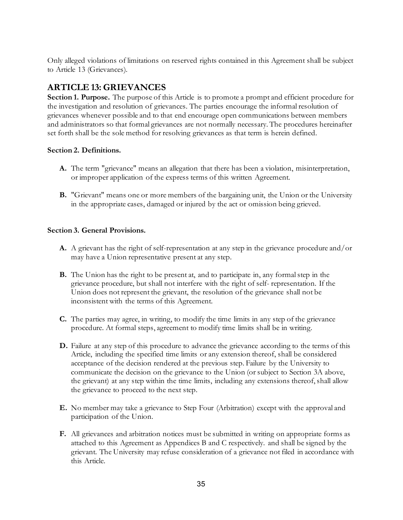Only alleged violations of limitations on reserved rights contained in this Agreement shall be subject to Article 13 (Grievances).

# <span id="page-34-0"></span>**ARTICLE 13: GRIEVANCES**

**Section 1. Purpose.** The purpose of this Article is to promote a prompt and efficient procedure for the investigation and resolution of grievances. The parties encourage the informal resolution of grievances whenever possible and to that end encourage open communications between members and administrators so that formal grievances are not normally necessary. The procedures hereinafter set forth shall be the sole method for resolving grievances as that term is herein defined.

## **Section 2. Definitions.**

- **A.** The term "grievance" means an allegation that there has been a violation, misinterpretation, or improper application of the express terms of this written Agreement.
- **B.** "Grievant" means one or more members of the bargaining unit, the Union or the University in the appropriate cases, damaged or injured by the act or omission being grieved.

## **Section 3. General Provisions.**

- **A.** A grievant has the right of self-representation at any step in the grievance procedure and/or may have a Union representative present at any step.
- **B.** The Union has the right to be present at, and to participate in, any formal step in the grievance procedure, but shall not interfere with the right of self- representation. If the Union does not represent the grievant, the resolution of the grievance shall not be inconsistent with the terms of this Agreement.
- **C.** The parties may agree, in writing, to modify the time limits in any step of the grievance procedure. At formal steps, agreement to modify time limits shall be in writing.
- **D.** Failure at any step of this procedure to advance the grievance according to the terms of this Article, including the specified time limits or any extension thereof, shall be considered acceptance of the decision rendered at the previous step. Failure by the University to communicate the decision on the grievance to the Union (or subject to Section 3A above, the grievant) at any step within the time limits, including any extensions thereof, shall allow the grievance to proceed to the next step.
- **E.** No member may take a grievance to Step Four (Arbitration) except with the approval and participation of the Union.
- **F.** All grievances and arbitration notices must be submitted in writing on appropriate forms as attached to this Agreement as Appendices B and C respectively. and shall be signed by the grievant. The University may refuse consideration of a grievance not filed in accordance with this Article.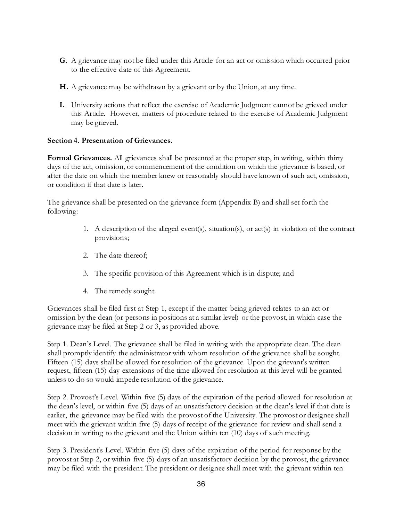- **G.** A grievance may not be filed under this Article for an act or omission which occurred prior to the effective date of this Agreement.
- **H.** A grievance may be withdrawn by a grievant or by the Union, at any time.
- **I.** University actions that reflect the exercise of Academic Judgment cannot be grieved under this Article. However, matters of procedure related to the exercise of Academic Judgment may be grieved.

## **Section 4. Presentation of Grievances.**

**Formal Grievances.** All grievances shall be presented at the proper step, in writing, within thirty days of the act, omission, or commencement of the condition on which the grievance is based, or after the date on which the member knew or reasonably should have known of such act, omission, or condition if that date is later.

The grievance shall be presented on the grievance form (Appendix B) and shall set forth the following:

- 1. A description of the alleged event(s), situation(s), or act(s) in violation of the contract provisions;
- 2. The date thereof;
- 3. The specific provision of this Agreement which is in dispute; and
- 4. The remedy sought.

Grievances shall be filed first at Step 1, except if the matter being grieved relates to an act or omission by the dean (or persons in positions at a similar level) or the provost, in which case the grievance may be filed at Step 2 or 3, as provided above.

Step 1. Dean's Level. The grievance shall be filed in writing with the appropriate dean. The dean shall promptly identify the administrator with whom resolution of the grievance shall be sought. Fifteen (15) days shall be allowed for resolution of the grievance. Upon the grievant's written request, fifteen (15)-day extensions of the time allowed for resolution at this level will be granted unless to do so would impede resolution of the grievance.

Step 2. Provost's Level. Within five (5) days of the expiration of the period allowed for resolution at the dean's level, or within five (5) days of an unsatisfactory decision at the dean's level if that date is earlier, the grievance may be filed with the provost of the University. The provost or designee shall meet with the grievant within five (5) days of receipt of the grievance for review and shall send a decision in writing to the grievant and the Union within ten (10) days of such meeting.

Step 3. President's Level. Within five (5) days of the expiration of the period for response by the provost at Step 2, or within five (5) days of an unsatisfactory decision by the provost, the grievance may be filed with the president. The president or designee shall meet with the grievant within ten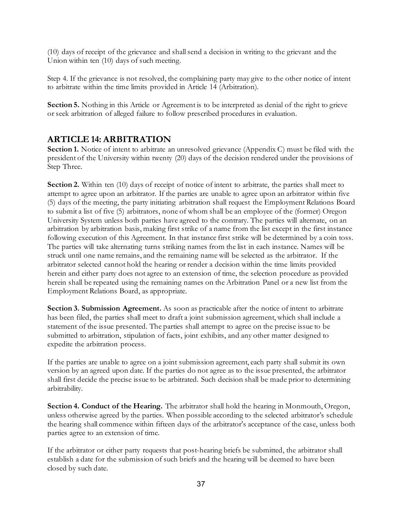(10) days of receipt of the grievance and shall send a decision in writing to the grievant and the Union within ten (10) days of such meeting.

Step 4. If the grievance is not resolved, the complaining party may give to the other notice of intent to arbitrate within the time limits provided in Article 14 (Arbitration).

Section 5. Nothing in this Article or Agreement is to be interpreted as denial of the right to grieve or seek arbitration of alleged failure to follow prescribed procedures in evaluation.

## **ARTICLE 14: ARBITRATION**

**Section 1.** Notice of intent to arbitrate an unresolved grievance (Appendix C) must be filed with the president of the University within twenty (20) days of the decision rendered under the provisions of Step Three.

**Section 2.** Within ten (10) days of receipt of notice of intent to arbitrate, the parties shall meet to attempt to agree upon an arbitrator. If the parties are unable to agree upon an arbitrator within five (5) days of the meeting, the party initiating arbitration shall request the Employment Relations Board to submit a list of five (5) arbitrators, none of whom shall be an employee of the (former) Oregon University System unless both parties have agreed to the contrary. The parties will alternate, on an arbitration by arbitration basis, making first strike of a name from the list except in the first instance following execution of this Agreement. In that instance first strike will be determined by a coin toss. The parties will take alternating turns striking names from the list in each instance. Names will be struck until one name remains, and the remaining name will be selected as the arbitrator. If the arbitrator selected cannot hold the hearing or render a decision within the time limits provided herein and either party does not agree to an extension of time, the selection procedure as provided herein shall be repeated using the remaining names on the Arbitration Panel or a new list from the Employment Relations Board, as appropriate.

**Section 3. Submission Agreement.** As soon as practicable after the notice of intent to arbitrate has been filed, the parties shall meet to draft a joint submission agreement, which shall include a statement of the issue presented. The parties shall attempt to agree on the precise issue to be submitted to arbitration, stipulation of facts, joint exhibits, and any other matter designed to expedite the arbitration process.

If the parties are unable to agree on a joint submission agreement, each party shall submit its own version by an agreed upon date. If the parties do not agree as to the issue presented, the arbitrator shall first decide the precise issue to be arbitrated. Such decision shall be made prior to determining arbitrability.

**Section 4. Conduct of the Hearing.** The arbitrator shall hold the hearing in Monmouth, Oregon, unless otherwise agreed by the parties. When possible according to the selected arbitrator's schedule the hearing shall commence within fifteen days of the arbitrator's acceptance of the case, unless both parties agree to an extension of time.

If the arbitrator or either party requests that post-hearing briefs be submitted, the arbitrator shall establish a date for the submission of such briefs and the hearing will be deemed to have been closed by such date.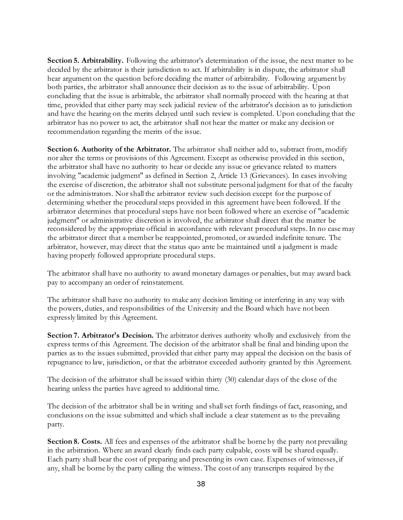**Section 5. Arbitrability.** Following the arbitrator's determination of the issue, the next matter to be decided by the arbitrator is their jurisdiction to act. If arbitrability is in dispute, the arbitrator shall hear argument on the question before deciding the matter of arbitrability. Following argument by both parties, the arbitrator shall announce their decision as to the issue of arbitrability. Upon concluding that the issue is arbitrable, the arbitrator shall normally proceed with the hearing at that time, provided that either party may seek judicial review of the arbitrator's decision as to jurisdiction and have the hearing on the merits delayed until such review is completed. Upon concluding that the arbitrator has no power to act, the arbitrator shall not hear the matter or make any decision or recommendation regarding the merits of the issue.

**Section 6. Authority of the Arbitrator.** The arbitrator shall neither add to, subtract from, modify nor alter the terms or provisions of this Agreement. Except as otherwise provided in this section, the arbitrator shall have no authority to hear or decide any issue or grievance related to matters involving "academic judgment" as defined in Section 2, Article 13 (Grievances). In cases involving the exercise of discretion, the arbitrator shall not substitute personal judgment for that of the faculty or the administrators. Nor shall the arbitrator review such decision except for the purpose of determining whether the procedural steps provided in this agreement have been followed. If the arbitrator determines that procedural steps have not been followed where an exercise of "academic judgment" or administrative discretion is involved, the arbitrator shall direct that the matter be reconsidered by the appropriate official in accordance with relevant procedural steps. In no case may the arbitrator direct that a member be reappointed, promoted, or awarded indefinite tenure. The arbitrator, however, may direct that the status quo ante be maintained until a judgment is made having properly followed appropriate procedural steps.

The arbitrator shall have no authority to award monetary damages or penalties, but may award back pay to accompany an order of reinstatement.

The arbitrator shall have no authority to make any decision limiting or interfering in any way with the powers, duties, and responsibilities of the University and the Board which have not been expressly limited by this Agreement.

**Section 7. Arbitrator's Decision.** The arbitrator derives authority wholly and exclusively from the express terms of this Agreement. The decision of the arbitrator shall be final and binding upon the parties as to the issues submitted, provided that either party may appeal the decision on the basis of repugnance to law, jurisdiction, or that the arbitrator exceeded authority granted by this Agreement.

The decision of the arbitrator shall be issued within thirty (30) calendar days of the close of the hearing unless the parties have agreed to additional time.

The decision of the arbitrator shall be in writing and shall set forth findings of fact, reasoning, and conclusions on the issue submitted and which shall include a clear statement as to the prevailing party.

**Section 8. Costs.** All fees and expenses of the arbitrator shall be borne by the party not prevailing in the arbitration. Where an award clearly finds each party culpable, costs will be shared equally. Each party shall bear the cost of preparing and presenting its own case. Expenses of witnesses, if any, shall be borne by the party calling the witness. The cost of any transcripts required by the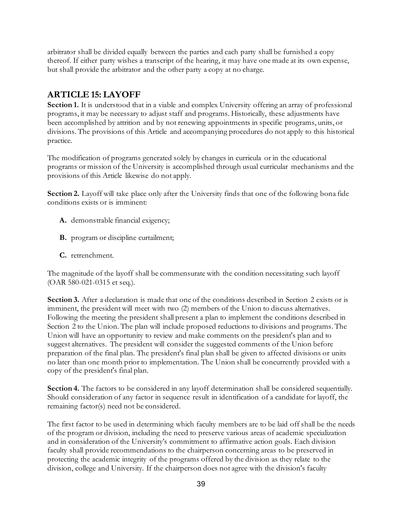arbitrator shall be divided equally between the parties and each party shall be furnished a copy thereof. If either party wishes a transcript of the hearing, it may have one made at its own expense, but shall provide the arbitrator and the other party a copy at no charge.

# **ARTICLE 15: LAYOFF**

Section 1. It is understood that in a viable and complex University offering an array of professional programs, it may be necessary to adjust staff and programs. Historically, these adjustments have been accomplished by attrition and by not renewing appointments in specific programs, units, or divisions. The provisions of this Article and accompanying procedures do not apply to this historical practice.

The modification of programs generated solely by changes in curricula or in the educational programs or mission of the University is accomplished through usual curricular mechanisms and the provisions of this Article likewise do not apply.

**Section 2.** Layoff will take place only after the University finds that one of the following bona fide conditions exists or is imminent:

- **A.** demonstrable financial exigency;
- **B.** program or discipline curtailment;
- **C.** retrenchment.

The magnitude of the layoff shall be commensurate with the condition necessitating such layoff (OAR 580-021-0315 et seq.).

Section 3. After a declaration is made that one of the conditions described in Section 2 exists or is imminent, the president will meet with two (2) members of the Union to discuss alternatives. Following the meeting the president shall present a plan to implement the conditions described in Section 2 to the Union. The plan will include proposed reductions to divisions and programs. The Union will have an opportunity to review and make comments on the president's plan and to suggest alternatives. The president will consider the suggested comments of the Union before preparation of the final plan. The president's final plan shall be given to affected divisions or units no later than one month prior to implementation. The Union shall be concurrently provided with a copy of the president's final plan.

**Section 4.** The factors to be considered in any layoff determination shall be considered sequentially. Should consideration of any factor in sequence result in identification of a candidate for layoff, the remaining factor(s) need not be considered.

The first factor to be used in determining which faculty members are to be laid off shall be the needs of the program or division, including the need to preserve various areas of academic specialization and in consideration of the University's commitment to affirmative action goals. Each division faculty shall provide recommendations to the chairperson concerning areas to be preserved in protecting the academic integrity of the programs offered by the division as they relate to the division, college and University. If the chairperson does not agree with the division's faculty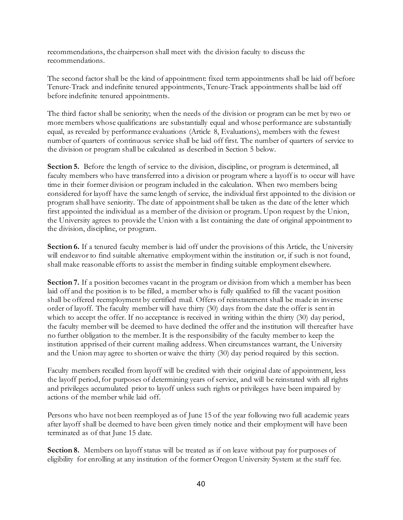recommendations, the chairperson shall meet with the division faculty to discuss the recommendations.

The second factor shall be the kind of appointment: fixed term appointments shall be laid off before Tenure-Track and indefinite tenured appointments, Tenure-Track appointments shall be laid off before indefinite tenured appointments.

The third factor shall be seniority; when the needs of the division or program can be met by two or more members whose qualifications are substantially equal and whose performance are substantially equal, as revealed by performance evaluations (Article 8, Evaluations), members with the fewest number of quarters of continuous service shall be laid off first. The number of quarters of service to the division or program shall be calculated as described in Section 5 below.

**Section 5.** Before the length of service to the division, discipline, or program is determined, all faculty members who have transferred into a division or program where a layoff is to occur will have time in their former division or program included in the calculation. When two members being considered for layoff have the same length of service, the individual first appointed to the division or program shall have seniority. The date of appointment shall be taken as the date of the letter which first appointed the individual as a member of the division or program. Upon request by the Union, the University agrees to provide the Union with a list containing the date of original appointment to the division, discipline, or program.

Section 6. If a tenured faculty member is laid off under the provisions of this Article, the University will endeavor to find suitable alternative employment within the institution or, if such is not found, shall make reasonable efforts to assist the member in finding suitable employment elsewhere.

**Section 7.** If a position becomes vacant in the program or division from which a member has been laid off and the position is to be filled, a member who is fully qualified to fill the vacant position shall be offered reemployment by certified mail. Offers of reinstatement shall be made in inverse order of layoff. The faculty member will have thirty (30) days from the date the offer is sent in which to accept the offer. If no acceptance is received in writing within the thirty (30) day period, the faculty member will be deemed to have declined the offer and the institution will thereafter have no further obligation to the member. It is the responsibility of the faculty member to keep the institution apprised of their current mailing address. When circumstances warrant, the University and the Union may agree to shorten or waive the thirty (30) day period required by this section.

Faculty members recalled from layoff will be credited with their original date of appointment, less the layoff period, for purposes of determining years of service, and will be reinstated with all rights and privileges accumulated prior to layoff unless such rights or privileges have been impaired by actions of the member while laid off.

Persons who have not been reemployed as of June 15 of the year following two full academic years after layoff shall be deemed to have been given timely notice and their employment will have been terminated as of that June 15 date.

**Section 8.** Members on layoff status will be treated as if on leave without pay for purposes of eligibility for enrolling at any institution of the former Oregon University System at the staff fee.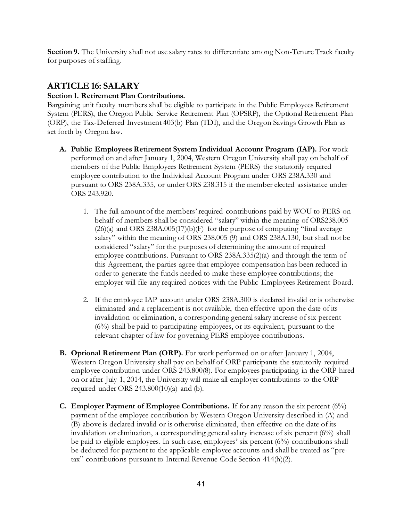**Section 9.** The University shall not use salary rates to differentiate among Non-Tenure Track faculty for purposes of staffing.

## **ARTICLE 16: SALARY**

### **Section 1. Retirement Plan Contributions.**

Bargaining unit faculty members shall be eligible to participate in the Public Employees Retirement System (PERS), the Oregon Public Service Retirement Plan (OPSRP), the Optional Retirement Plan (ORP), the Tax-Deferred Investment 403(b) Plan (TDI), and the Oregon Savings Growth Plan as set forth by Oregon law.

- **A. Public Employees Retirement System Individual Account Program (IAP).** For work performed on and after January 1, 2004, Western Oregon University shall pay on behalf of members of the Public Employees Retirement System (PERS) the statutorily required employee contribution to the Individual Account Program under ORS 238A.330 and pursuant to ORS 238A.335, or under ORS 238.315 if the member elected assistance under ORS 243.920.
	- 1. The full amount of the members' required contributions paid by WOU to PERS on behalf of members shall be considered "salary" within the meaning of ORS238.005  $(26)(a)$  and ORS 238A.005(17)(b)(F) for the purpose of computing "final average salary" within the meaning of ORS 238.005 (9) and ORS 238A.130, but shall not be considered "salary" for the purposes of determining the amount of required employee contributions. Pursuant to ORS 238A.335(2)(a) and through the term of this Agreement, the parties agree that employee compensation has been reduced in order to generate the funds needed to make these employee contributions; the employer will file any required notices with the Public Employees Retirement Board.
	- 2. If the employee IAP account under ORS 238A.300 is declared invalid or is otherwise eliminated and a replacement is not available, then effective upon the date of its invalidation or elimination, a corresponding general salary increase of six percent (6%) shall be paid to participating employees, or its equivalent, pursuant to the relevant chapter of law for governing PERS employee contributions.
- **B. Optional Retirement Plan (ORP).** For work performed on or after January 1, 2004, Western Oregon University shall pay on behalf of ORP participants the statutorily required employee contribution under ORS 243.800(8). For employees participating in the ORP hired on or after July 1, 2014, the University will make all employer contributions to the ORP required under ORS 243.800(10)(a) and (b).
- **C. Employer Payment of Employee Contributions.** If for any reason the six percent (6%) payment of the employee contribution by Western Oregon University described in (A) and (B) above is declared invalid or is otherwise eliminated, then effective on the date of its invalidation or elimination, a corresponding general salary increase of six percent (6%) shall be paid to eligible employees. In such case, employees' six percent (6%) contributions shall be deducted for payment to the applicable employee accounts and shall be treated as "pretax" contributions pursuant to Internal Revenue Code Section 414(h)(2).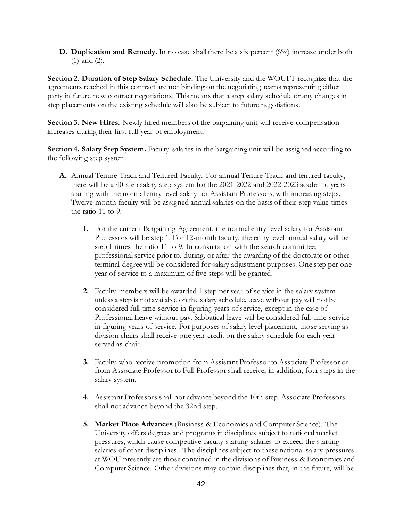**D. Duplication and Remedy.** In no case shall there be a six percent (6%) increase under both (1) and (2).

**Section 2. Duration of Step Salary Schedule.** The University and the WOUFT recognize that the agreements reached in this contract are not binding on the negotiating teams representing either party in future new contract negotiations. This means that a step salary schedule or any changes in step placements on the existing schedule will also be subject to future negotiations.

**Section 3. New Hires.** Newly hired members of the bargaining unit will receive compensation increases during their first full year of employment.

**Section 4. Salary Step System.** Faculty salaries in the bargaining unit will be assigned according to the following step system.

- **A.** Annual Tenure Track and Tenured Faculty. For annual Tenure-Track and tenured faculty, there will be a 40-step salary step system for the 2021-2022 and 2022-2023 academic years starting with the normal entry level salary for Assistant Professors, with increasing steps. Twelve-month faculty will be assigned annual salaries on the basis of their step value times the ratio 11 to 9.
	- **1.** For the current Bargaining Agreement, the normal entry-level salary for Assistant Professors will be step 1. For 12-month faculty, the entry level annual salary will be step 1 times the ratio 11 to 9. In consultation with the search committee, professional service prior to, during, or after the awarding of the doctorate or other terminal degree will be considered for salary adjustment purposes. One step per one year of service to a maximum of five steps will be granted.
	- **2.** Faculty members will be awarded 1 step per year of service in the salary system unless a step is not available on the salary schedule.Leave without pay will not be considered full-time service in figuring years of service, except in the case of Professional Leave without pay. Sabbatical leave will be considered full-time service in figuring years of service. For purposes of salary level placement, those serving as division chairs shall receive one year credit on the salary schedule for each year served as chair.
	- **3.** Faculty who receive promotion from Assistant Professor to Associate Professor or from Associate Professor to Full Professor shall receive, in addition, four steps in the salary system.
	- **4.** Assistant Professors shall not advance beyond the 10th step. Associate Professors shall not advance beyond the 32nd step.
	- **5. Market Place Advances** (Business & Economics and Computer Science). The University offers degrees and programs in disciplines subject to national market pressures, which cause competitive faculty starting salaries to exceed the starting salaries of other disciplines. The disciplines subject to these national salary pressures at WOU presently are those contained in the divisions of Business & Economics and Computer Science. Other divisions may contain disciplines that, in the future, will be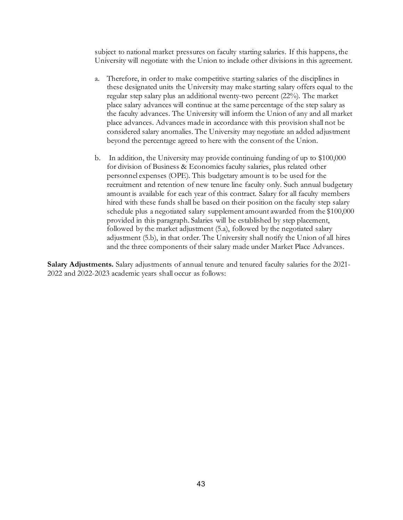subject to national market pressures on faculty starting salaries. If this happens, the University will negotiate with the Union to include other divisions in this agreement.

- a. Therefore, in order to make competitive starting salaries of the disciplines in these designated units the University may make starting salary offers equal to the regular step salary plus an additional twenty-two percent (22%). The market place salary advances will continue at the same percentage of the step salary as the faculty advances. The University will inform the Union of any and all market place advances. Advances made in accordance with this provision shall not be considered salary anomalies. The University may negotiate an added adjustment beyond the percentage agreed to here with the consent of the Union.
- b. In addition, the University may provide continuing funding of up to \$100,000 for division of Business & Economics faculty salaries, plus related other personnel expenses (OPE). This budgetary amount is to be used for the recruitment and retention of new tenure line faculty only. Such annual budgetary amount is available for each year of this contract. Salary for all faculty members hired with these funds shall be based on their position on the faculty step salary schedule plus a negotiated salary supplement amount awarded from the \$100,000 provided in this paragraph. Salaries will be established by step placement, followed by the market adjustment (5.a), followed by the negotiated salary adjustment (5.b), in that order. The University shall notify the Union of all hires and the three components of their salary made under Market Place Advances.

**Salary Adjustments.** Salary adjustments of annual tenure and tenured faculty salaries for the 2021- 2022 and 2022-2023 academic years shall occur as follows: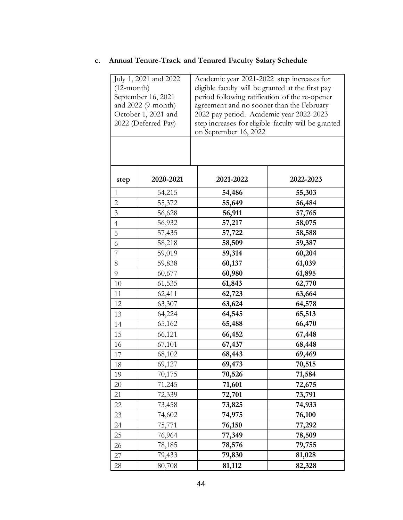### **c. Annual Tenure-Track and Tenured Faculty Salary Schedule**

| July 1, 2021 and 2022<br>$(12$ -month)<br>September 16, 2021<br>and 2022 (9-month)<br>October 1, 2021 and<br>2022 (Deferred Pay) |           | Academic year 2021-2022 step increases for<br>eligible faculty will be granted at the first pay<br>period following ratification of the re-opener<br>agreement and no sooner than the February<br>2022 pay period. Academic year 2022-2023<br>step increases for eligible faculty will be granted<br>on September 16, 2022 |           |
|----------------------------------------------------------------------------------------------------------------------------------|-----------|----------------------------------------------------------------------------------------------------------------------------------------------------------------------------------------------------------------------------------------------------------------------------------------------------------------------------|-----------|
| step                                                                                                                             | 2020-2021 | 2021-2022                                                                                                                                                                                                                                                                                                                  | 2022-2023 |
| 1                                                                                                                                | 54,215    | 54,486                                                                                                                                                                                                                                                                                                                     | 55,303    |
| $\overline{c}$                                                                                                                   | 55,372    | 55,649                                                                                                                                                                                                                                                                                                                     | 56,484    |
| $\overline{3}$                                                                                                                   | 56,628    | 56,911                                                                                                                                                                                                                                                                                                                     | 57,765    |
| $\overline{4}$                                                                                                                   | 56,932    | 57,217                                                                                                                                                                                                                                                                                                                     | 58,075    |
| 5                                                                                                                                | 57,435    | 57,722                                                                                                                                                                                                                                                                                                                     | 58,588    |
| 6                                                                                                                                | 58,218    | 58,509                                                                                                                                                                                                                                                                                                                     | 59,387    |
| $\overline{7}$                                                                                                                   | 59,019    | 59,314                                                                                                                                                                                                                                                                                                                     | 60,204    |
| $8\,$                                                                                                                            | 59,838    | 60,137                                                                                                                                                                                                                                                                                                                     | 61,039    |
| 9                                                                                                                                | 60,677    | 60,980                                                                                                                                                                                                                                                                                                                     | 61,895    |
| 10                                                                                                                               | 61,535    | 61,843                                                                                                                                                                                                                                                                                                                     | 62,770    |
| 11                                                                                                                               | 62,411    | 62,723                                                                                                                                                                                                                                                                                                                     | 63,664    |
| 12                                                                                                                               | 63,307    | 63,624                                                                                                                                                                                                                                                                                                                     | 64,578    |
| 13                                                                                                                               | 64,224    | 64,545                                                                                                                                                                                                                                                                                                                     | 65,513    |
| 14                                                                                                                               | 65,162    | 65,488                                                                                                                                                                                                                                                                                                                     | 66,470    |
| 15                                                                                                                               | 66,121    | 66,452                                                                                                                                                                                                                                                                                                                     | 67,448    |
| 16                                                                                                                               | 67,101    | 67,437                                                                                                                                                                                                                                                                                                                     | 68,448    |
| 17                                                                                                                               | 68,102    | 68,443                                                                                                                                                                                                                                                                                                                     | 69,469    |
| 18                                                                                                                               | 69,127    | 69,473                                                                                                                                                                                                                                                                                                                     | 70,515    |
| 19                                                                                                                               | 70,175    | 70,526                                                                                                                                                                                                                                                                                                                     | 71,584    |
| $20\,$                                                                                                                           | 71,245    | 71,601                                                                                                                                                                                                                                                                                                                     | 72,675    |
| 21                                                                                                                               | 72,339    | 72,701                                                                                                                                                                                                                                                                                                                     | 73,791    |
| 22                                                                                                                               | 73,458    | 73,825                                                                                                                                                                                                                                                                                                                     | 74,933    |
| 23                                                                                                                               | 74,602    | 74,975                                                                                                                                                                                                                                                                                                                     | 76,100    |
| 24                                                                                                                               | 75,771    | 76,150                                                                                                                                                                                                                                                                                                                     | 77,292    |
| 25                                                                                                                               | 76,964    | 77,349                                                                                                                                                                                                                                                                                                                     | 78,509    |
| 26                                                                                                                               | 78,185    | 78,576                                                                                                                                                                                                                                                                                                                     | 79,755    |
| 27                                                                                                                               | 79,433    | 79,830                                                                                                                                                                                                                                                                                                                     | 81,028    |
| 28                                                                                                                               | 80,708    | 81,112                                                                                                                                                                                                                                                                                                                     | 82,328    |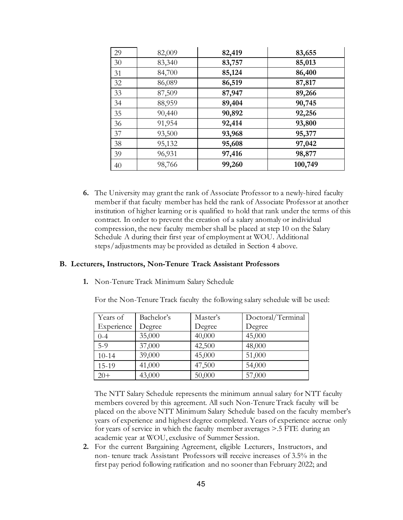| 29 | 82,009 | 82,419 | 83,655  |
|----|--------|--------|---------|
| 30 | 83,340 | 83,757 | 85,013  |
| 31 | 84,700 | 85,124 | 86,400  |
| 32 | 86,089 | 86,519 | 87,817  |
| 33 | 87,509 | 87,947 | 89,266  |
| 34 | 88,959 | 89,404 | 90,745  |
| 35 | 90,440 | 90,892 | 92,256  |
| 36 | 91,954 | 92,414 | 93,800  |
| 37 | 93,500 | 93,968 | 95,377  |
| 38 | 95,132 | 95,608 | 97,042  |
| 39 | 96,931 | 97,416 | 98,877  |
| 40 | 98,766 | 99,260 | 100,749 |

**6.** The University may grant the rank of Associate Professor to a newly-hired faculty member if that faculty member has held the rank of Associate Professor at another institution of higher learning or is qualified to hold that rank under the terms of this contract. In order to prevent the creation of a salary anomaly or individual compression, the new faculty member shall be placed at step 10 on the Salary Schedule A during their first year of employment at WOU. Additional steps/adjustments may be provided as detailed in Section 4 above.

#### **B. Lecturers, Instructors, Non-Tenure Track Assistant Professors**

**1.** Non-Tenure Track Minimum Salary Schedule

For the Non-Tenure Track faculty the following salary schedule will be used:

| Years of   | Bachelor's | Master's | Doctoral/Terminal |
|------------|------------|----------|-------------------|
| Experience | Degree     | Degree   | Degree            |
| $0 - 4$    | 35,000     | 40,000   | 45,000            |
| $5-9$      | 37,000     | 42,500   | 48,000            |
| $10 - 14$  | 39,000     | 45,000   | 51,000            |
| 15-19      | 41,000     | 47,500   | 54,000            |
| $20+$      | 43,000     | 50,000   | 57,000            |

The NTT Salary Schedule represents the minimum annual salary for NTT faculty members covered by this agreement. All such Non-Tenure Track faculty will be placed on the above NTT Minimum Salary Schedule based on the faculty member's years of experience and highest degree completed. Years of experience accrue only for years of service in which the faculty member averages >.5 FTE during an academic year at WOU, exclusive of Summer Session.

**2.** For the current Bargaining Agreement, eligible Lecturers, Instructors, and non- tenure track Assistant Professors will receive increases of 3.5% in the first pay period following ratification and no sooner than February 2022; and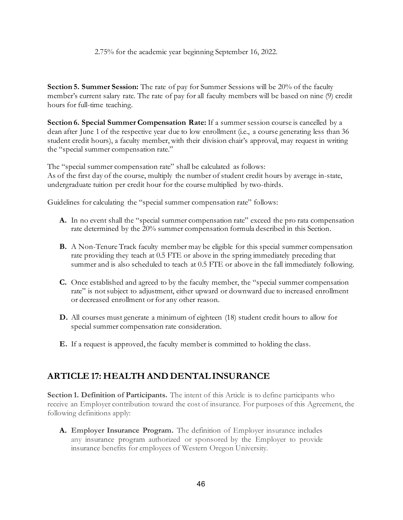#### 2.75% for the academic year beginning September 16, 2022.

**Section 5. Summer Session:** The rate of pay for Summer Sessions will be 20% of the faculty member's current salary rate. The rate of pay for all faculty members will be based on nine (9) credit hours for full-time teaching.

**Section 6. Special Summer Compensation Rate:** If a summer session course is cancelled by a dean after June 1 of the respective year due to low enrollment (i.e., a course generating less than 36 student credit hours), a faculty member, with their division chair's approval, may request in writing the "special summer compensation rate."

The "special summer compensation rate" shall be calculated as follows: As of the first day of the course, multiply the number of student credit hours by average in-state, undergraduate tuition per credit hour for the course multiplied by two-thirds.

Guidelines for calculating the "special summer compensation rate" follows:

- **A.** In no event shall the "special summer compensation rate" exceed the pro rata compensation rate determined by the 20% summer compensation formula described in this Section.
- **B.** A Non-Tenure Track faculty member may be eligible for this special summer compensation rate providing they teach at 0.5 FTE or above in the spring immediately preceding that summer and is also scheduled to teach at 0.5 FTE or above in the fall immediately following.
- **C.** Once established and agreed to by the faculty member, the "special summer compensation rate" is not subject to adjustment, either upward or downward due to increased enrollment or decreased enrollment or for any other reason.
- **D.** All courses must generate a minimum of eighteen (18) student credit hours to allow for special summer compensation rate consideration.
- **E.** If a request is approved, the faculty member is committed to holding the class.

## **ARTICLE 17: HEALTH AND DENTAL INSURANCE**

**Section 1. Definition of Participants.** The intent of this Article is to define participants who receive an Employer contribution toward the cost of insurance. For purposes of this Agreement, the following definitions apply:

**A. Employer Insurance Program.** The definition of Employer insurance includes any insurance program authorized or sponsored by the Employer to provide insurance benefits for employees of Western Oregon University.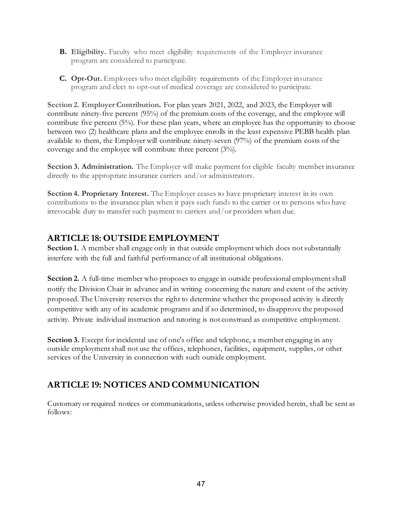- **B.** Eligibility. Faculty who meet eligibility requirements of the Employer insurance program are considered to participate.
- **C. Opt-Out.** Employees who meet eligibility requirements of the Employer insurance program and elect to opt-out of medical coverage are considered to participate.

**Section 2. Employer Contribution.** For plan years 2021, 2022, and 2023, the Employer will contribute ninety-five percent (95%) of the premium costs of the coverage, and the employee will contribute five percent (5%). For these plan years, where an employee has the opportunity to choose between two (2) healthcare plans and the employee enrolls in the least expensive PEBB health plan available to them, the Employer will contribute ninety-seven (97%) of the premium costs of the coverage and the employee will contribute three percent (3%).

**Section 3. Administration.** The Employer will make payment for eligible faculty member insurance directly to the appropriate insurance carriers and/or administrators.

**Section 4. Proprietary Interest.** The Employer ceases to have proprietary interest in its own contributions to the insurance plan when it pays such funds to the carrier or to persons who have irrevocable duty to transfer such payment to carriers and/or providers when due.

# **ARTICLE 18: OUTSIDE EMPLOYMENT**

**Section 1.** A member shall engage only in that outside employment which does not substantially interfere with the full and faithful performance of all institutional obligations.

**Section 2.** A full-time member who proposes to engage in outside professional employment shall notify the Division Chair in advance and in writing concerning the nature and extent of the activity proposed. The University reserves the right to determine whether the proposed activity is directly competitive with any of its academic programs and if so determined, to disapprove the proposed activity. Private individual instruction and tutoring is not construed as competitive employment.

**Section 3.** Except for incidental use of one's office and telephone, a member engaging in any outside employment shall not use the offices, telephones, facilities, equipment, supplies, or other services of the University in connection with such outside employment.

# **ARTICLE 19: NOTICES AND COMMUNICATION**

Customary or required notices or communications, unless otherwise provided herein, shall be sent as follows: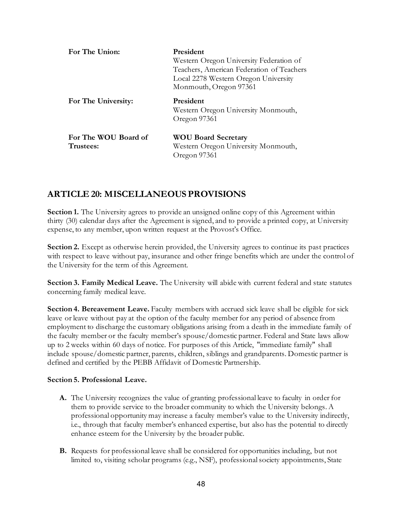| For The Union:                    | <b>President</b><br>Western Oregon University Federation of<br>Teachers, American Federation of Teachers<br>Local 2278 Western Oregon University<br>Monmouth, Oregon 97361 |
|-----------------------------------|----------------------------------------------------------------------------------------------------------------------------------------------------------------------------|
| For The University:               | President<br>Western Oregon University Monmouth,<br>Oregon 97361                                                                                                           |
| For The WOU Board of<br>Trustees: | <b>WOU Board Secretary</b><br>Western Oregon University Monmouth,<br>Oregon 97361                                                                                          |

### **ARTICLE 20: MISCELLANEOUS PROVISIONS**

**Section 1.** The University agrees to provide an unsigned online copy of this Agreement within thirty (30) calendar days after the Agreement is signed, and to provide a printed copy, at University expense, to any member, upon written request at the Provost's Office.

**Section 2.** Except as otherwise herein provided, the University agrees to continue its past practices with respect to leave without pay, insurance and other fringe benefits which are under the control of the University for the term of this Agreement.

**Section 3. Family Medical Leave.** The University will abide with current federal and state statutes concerning family medical leave.

**Section 4. Bereavement Leave.** Faculty members with accrued sick leave shall be eligible for sick leave or leave without pay at the option of the faculty member for any period of absence from employment to discharge the customary obligations arising from a death in the immediate family of the faculty member or the faculty member's spouse/domestic partner. Federal and State laws allow up to 2 weeks within 60 days of notice. For purposes of this Article, "immediate family" shall include spouse/domestic partner, parents, children, siblings and grandparents. Domestic partner is defined and certified by the PEBB Affidavit of Domestic Partnership.

#### **Section 5. Professional Leave.**

- **A.** The University recognizes the value of granting professional leave to faculty in order for them to provide service to the broader community to which the University belongs. A professional opportunity may increase a faculty member's value to the University indirectly, i.e., through that faculty member's enhanced expertise, but also has the potential to directly enhance esteem for the University by the broader public.
- **B.** Requests for professional leave shall be considered for opportunities including, but not limited to, visiting scholar programs (e.g., NSF), professional society appointments, State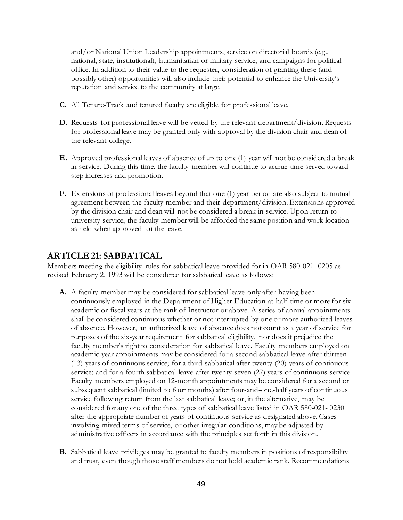and/or National Union Leadership appointments, service on directorial boards (e.g., national, state, institutional), humanitarian or military service, and campaigns for political office. In addition to their value to the requester, consideration of granting these (and possibly other) opportunities will also include their potential to enhance the University's reputation and service to the community at large.

- **C.** All Tenure-Track and tenured faculty are eligible for professional leave.
- **D.** Requests for professional leave will be vetted by the relevant department/division. Requests for professional leave may be granted only with approval by the division chair and dean of the relevant college.
- **E.** Approved professional leaves of absence of up to one (1) year will not be considered a break in service. During this time, the faculty member will continue to accrue time served toward step increases and promotion.
- **F.** Extensions of professional leaves beyond that one (1) year period are also subject to mutual agreement between the faculty member and their department/division. Extensions approved by the division chair and dean will not be considered a break in service. Upon return to university service, the faculty member will be afforded the same position and work location as held when approved for the leave.

### **ARTICLE 21: SABBATICAL**

Members meeting the eligibility rules for sabbatical leave provided for in OAR 580-021- 0205 as revised February 2, 1993 will be considered for sabbatical leave as follows:

- **A.** A faculty member may be considered for sabbatical leave only after having been continuously employed in the Department of Higher Education at half-time or more for six academic or fiscal years at the rank of Instructor or above. A series of annual appointments shall be considered continuous whether or not interrupted by one or more authorized leaves of absence. However, an authorized leave of absence does not count as a year of service for purposes of the six-year requirement for sabbatical eligibility, nor does it prejudice the faculty member's right to consideration for sabbatical leave. Faculty members employed on academic-year appointments may be considered for a second sabbatical leave after thirteen (13) years of continuous service; for a third sabbatical after twenty (20) years of continuous service; and for a fourth sabbatical leave after twenty-seven (27) years of continuous service. Faculty members employed on 12-month appointments may be considered for a second or subsequent sabbatical (limited to four months) after four-and-one-half years of continuous service following return from the last sabbatical leave; or, in the alternative, may be considered for any one of the three types of sabbatical leave listed in OAR 580-021- 0230 after the appropriate number of years of continuous service as designated above. Cases involving mixed terms of service, or other irregular conditions, may be adjusted by administrative officers in accordance with the principles set forth in this division.
- **B.** Sabbatical leave privileges may be granted to faculty members in positions of responsibility and trust, even though those staff members do not hold academic rank. Recommendations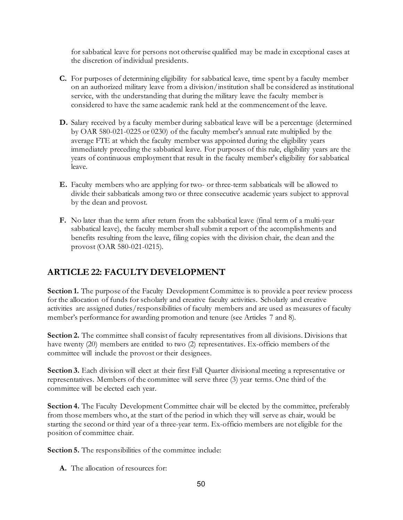for sabbatical leave for persons not otherwise qualified may be made in exceptional cases at the discretion of individual presidents.

- **C.** For purposes of determining eligibility for sabbatical leave, time spent by a faculty member on an authorized military leave from a division/institution shall be considered as institutional service, with the understanding that during the military leave the faculty member is considered to have the same academic rank held at the commencement of the leave.
- **D.** Salary received by a faculty member during sabbatical leave will be a percentage (determined by OAR 580-021-0225 or 0230) of the faculty member's annual rate multiplied by the average FTE at which the faculty member was appointed during the eligibility years immediately preceding the sabbatical leave. For purposes of this rule, eligibility years are the years of continuous employment that result in the faculty member's eligibility for sabbatical leave.
- **E.** Faculty members who are applying for two- or three-term sabbaticals will be allowed to divide their sabbaticals among two or three consecutive academic years subject to approval by the dean and provost.
- **F.** No later than the term after return from the sabbatical leave (final term of a multi-year sabbatical leave), the faculty member shall submit a report of the accomplishments and benefits resulting from the leave, filing copies with the division chair, the dean and the provost (OAR 580-021-0215).

# **ARTICLE 22: FACULTY DEVELOPMENT**

**Section 1.** The purpose of the Faculty Development Committee is to provide a peer review process for the allocation of funds for scholarly and creative faculty activities. Scholarly and creative activities are assigned duties/responsibilities of faculty members and are used as measures of faculty member's performance for awarding promotion and tenure (see Articles 7 and 8).

Section 2. The committee shall consist of faculty representatives from all divisions. Divisions that have twenty (20) members are entitled to two (2) representatives. Ex-officio members of the committee will include the provost or their designees.

**Section 3.** Each division will elect at their first Fall Quarter divisional meeting a representative or representatives. Members of the committee will serve three (3) year terms. One third of the committee will be elected each year.

**Section 4.** The Faculty Development Committee chair will be elected by the committee, preferably from those members who, at the start of the period in which they will serve as chair, would be starting the second or third year of a three-year term. Ex-officio members are not eligible for the position of committee chair.

**Section 5.** The responsibilities of the committee include:

**A.** The allocation of resources for: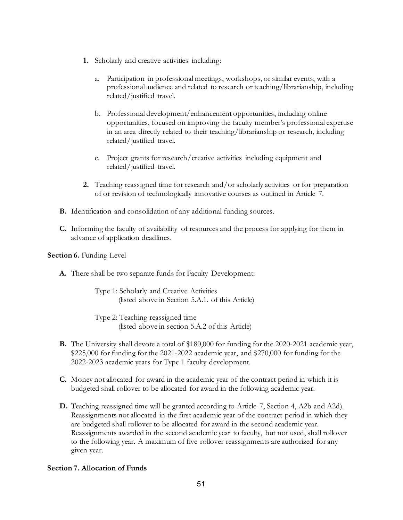- **1.** Scholarly and creative activities including:
	- a. Participation in professional meetings, workshops, or similar events, with a professional audience and related to research or teaching/librarianship, including related/justified travel.
	- b. Professional development/enhancement opportunities, including online opportunities, focused on improving the faculty member's professional expertise in an area directly related to their teaching/librarianship or research, including related/justified travel.
	- c. Project grants for research/creative activities including equipment and related/justified travel.
- **2.** Teaching reassigned time for research and/or scholarly activities or for preparation of or revision of technologically innovative courses as outlined in Article 7.
- **B.** Identification and consolidation of any additional funding sources.
- **C.** Informing the faculty of availability of resources and the process for applying for them in advance of application deadlines.

### **Section 6. Funding Level**

**A.** There shall be two separate funds for Faculty Development:

Type 1: Scholarly and Creative Activities (listed above in Section 5.A.1. of this Article)

Type 2: Teaching reassigned time (listed above in section 5.A.2 of this Article)

- **B.** The University shall devote a total of \$180,000 for funding for the 2020-2021 academic year, \$225,000 for funding for the 2021-2022 academic year, and \$270,000 for funding for the 2022-2023 academic years for Type 1 faculty development.
- **C.** Money not allocated for award in the academic year of the contract period in which it is budgeted shall rollover to be allocated for award in the following academic year.
- **D.** Teaching reassigned time will be granted according to Article 7, Section 4, A2b and A2d). Reassignments not allocated in the first academic year of the contract period in which they are budgeted shall rollover to be allocated for award in the second academic year. Reassignments awarded in the second academic year to faculty, but not used, shall rollover to the following year. A maximum of five rollover reassignments are authorized for any given year.

### **Section 7. Allocation of Funds**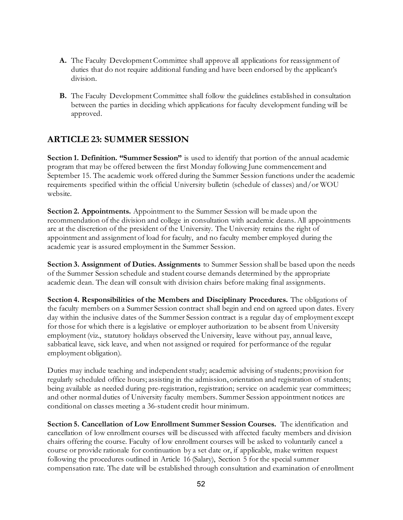- **A.** The Faculty Development Committee shall approve all applications for reassignment of duties that do not require additional funding and have been endorsed by the applicant's division.
- **B.** The Faculty Development Committee shall follow the guidelines established in consultation between the parties in deciding which applications for faculty development funding will be approved.

## **ARTICLE 23: SUMMER SESSION**

**Section 1. Definition. "Summer Session"** is used to identify that portion of the annual academic program that may be offered between the first Monday following June commencement and September 15. The academic work offered during the Summer Session functions under the academic requirements specified within the official University bulletin (schedule of classes) and/or WOU website.

**Section 2. Appointments.** Appointment to the Summer Session will be made upon the recommendation of the division and college in consultation with academic deans. All appointments are at the discretion of the president of the University. The University retains the right of appointment and assignment of load for faculty, and no faculty member employed during the academic year is assured employment in the Summer Session.

**Section 3. Assignment of Duties. Assignments** to Summer Session shall be based upon the needs of the Summer Session schedule and student course demands determined by the appropriate academic dean. The dean will consult with division chairs before making final assignments.

**Section 4. Responsibilities of the Members and Disciplinary Procedures.** The obligations of the faculty members on a Summer Session contract shall begin and end on agreed upon dates. Every day within the inclusive dates of the Summer Session contract is a regular day of employment except for those for which there is a legislative or employer authorization to be absent from University employment (viz., statutory holidays observed the University, leave without pay, annual leave, sabbatical leave, sick leave, and when not assigned or required for performance of the regular employment obligation).

Duties may include teaching and independent study; academic advising of students; provision for regularly scheduled office hours; assisting in the admission, orientation and registration of students; being available as needed during pre-registration, registration; service on academic year committees; and other normal duties of University faculty members. Summer Session appointment notices are conditional on classes meeting a 36-student credit hour minimum.

**Section 5. Cancellation of Low Enrollment Summer Session Courses.** The identification and cancellation of low enrollment courses will be discussed with affected faculty members and division chairs offering the course. Faculty of low enrollment courses will be asked to voluntarily cancel a course or provide rationale for continuation by a set date or, if applicable, make written request following the procedures outlined in Article 16 (Salary), Section 5 for the special summer compensation rate. The date will be established through consultation and examination of enrollment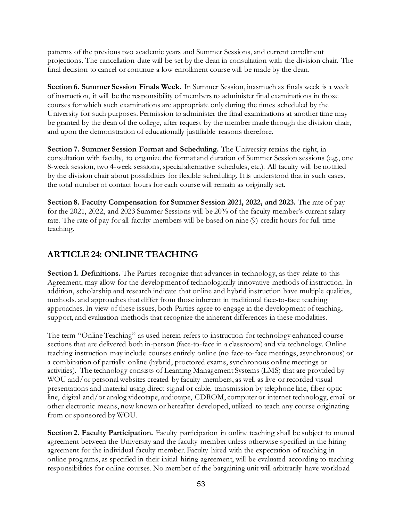patterns of the previous two academic years and Summer Sessions, and current enrollment projections. The cancellation date will be set by the dean in consultation with the division chair. The final decision to cancel or continue a low enrollment course will be made by the dean.

**Section 6. Summer Session Finals Week.** In Summer Session, inasmuch as finals week is a week of instruction, it will be the responsibility of members to administer final examinations in those courses for which such examinations are appropriate only during the times scheduled by the University for such purposes. Permission to administer the final examinations at another time may be granted by the dean of the college, after request by the member made through the division chair, and upon the demonstration of educationally justifiable reasons therefore.

**Section 7. Summer Session Format and Scheduling.** The University retains the right, in consultation with faculty, to organize the format and duration of Summer Session sessions (e.g., one 8-week session, two 4-week sessions, special alternative schedules, etc.). All faculty will be notified by the division chair about possibilities for flexible scheduling. It is understood that in such cases, the total number of contact hours for each course will remain as originally set.

**Section 8. Faculty Compensation for Summer Session 2021, 2022, and 2023.** The rate of pay for the 2021, 2022, and 2023 Summer Sessions will be 20% of the faculty member's current salary rate. The rate of pay for all faculty members will be based on nine (9) credit hours for full-time teaching.

## **ARTICLE 24: ONLINE TEACHING**

**Section 1. Definitions.** The Parties recognize that advances in technology, as they relate to this Agreement, may allow for the development of technologically innovative methods of instruction. In addition, scholarship and research indicate that online and hybrid instruction have multiple qualities, methods, and approaches that differ from those inherent in traditional face-to-face teaching approaches. In view of these issues, both Parties agree to engage in the development of teaching, support, and evaluation methods that recognize the inherent differences in these modalities.

The term "Online Teaching" as used herein refers to instruction for technology enhanced course sections that are delivered both in-person (face-to-face in a classroom) and via technology. Online teaching instruction may include courses entirely online (no face-to-face meetings, asynchronous) or a combination of partially online (hybrid, proctored exams, synchronous online meetings or activities). The technology consists of Learning Management Systems (LMS) that are provided by WOU and/or personal websites created by faculty members, as well as live or recorded visual presentations and material using direct signal or cable, transmission by telephone line, fiber optic line, digital and/or analog videotape, audiotape, CDROM, computer or internet technology, email or other electronic means, now known or hereafter developed, utilized to teach any course originating from or sponsored by WOU.

**Section 2. Faculty Participation.** Faculty participation in online teaching shall be subject to mutual agreement between the University and the faculty member unless otherwise specified in the hiring agreement for the individual faculty member. Faculty hired with the expectation of teaching in online programs, as specified in their initial hiring agreement, will be evaluated according to teaching responsibilities for online courses. No member of the bargaining unit will arbitrarily have workload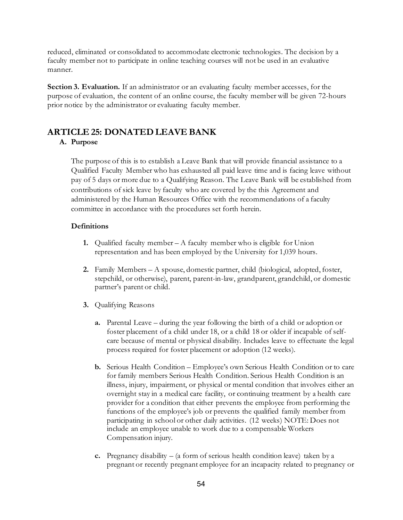reduced, eliminated or consolidated to accommodate electronic technologies. The decision by a faculty member not to participate in online teaching courses will not be used in an evaluative manner.

**Section 3. Evaluation.** If an administrator or an evaluating faculty member accesses, for the purpose of evaluation, the content of an online course, the faculty member will be given 72-hours prior notice by the administrator or evaluating faculty member.

### **ARTICLE 25: DONATED LEAVE BANK**

### **A. Purpose**

The purpose of this is to establish a Leave Bank that will provide financial assistance to a Qualified Faculty Member who has exhausted all paid leave time and is facing leave without pay of 5 days or more due to a Qualifying Reason. The Leave Bank will be established from contributions of sick leave by faculty who are covered by the this Agreement and administered by the Human Resources Office with the recommendations of a faculty committee in accordance with the procedures set forth herein.

### **Definitions**

- **1.** Qualified faculty member A faculty member who is eligible for Union representation and has been employed by the University for 1,039 hours.
- **2.** Family Members A spouse, domestic partner, child (biological, adopted, foster, stepchild, or otherwise), parent, parent-in-law, grandparent, grandchild, or domestic partner's parent or child.
- **3.** Qualifying Reasons
	- **a.** Parental Leave during the year following the birth of a child or adoption or foster placement of a child under 18, or a child 18 or older if incapable of selfcare because of mental or physical disability. Includes leave to effectuate the legal process required for foster placement or adoption (12 weeks).
	- **b.** Serious Health Condition Employee's own Serious Health Condition or to care for family members Serious Health Condition. Serious Health Condition is an illness, injury, impairment, or physical or mental condition that involves either an overnight stay in a medical care facility, or continuing treatment by a health care provider for a condition that either prevents the employee from performing the functions of the employee's job or prevents the qualified family member from participating in school or other daily activities. (12 weeks) NOTE: Does not include an employee unable to work due to a compensable Workers Compensation injury.
	- **c.** Pregnancy disability (a form of serious health condition leave) taken by a pregnant or recently pregnant employee for an incapacity related to pregnancy or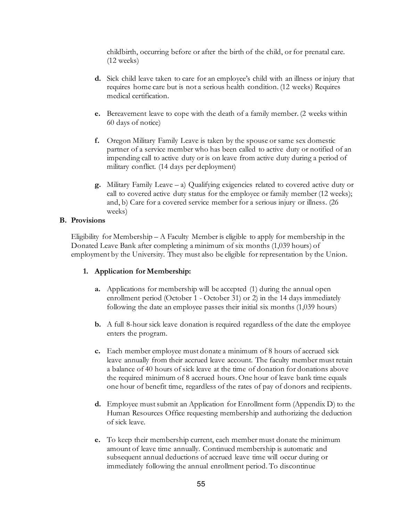childbirth, occurring before or after the birth of the child, or for prenatal care. (12 weeks)

- **d.** Sick child leave taken to care for an employee's child with an illness or injury that requires home care but is not a serious health condition. (12 weeks) Requires medical certification.
- **e.** Bereavement leave to cope with the death of a family member. (2 weeks within 60 days of notice)
- **f.** Oregon Military Family Leave is taken by the spouse or same sex domestic partner of a service member who has been called to active duty or notified of an impending call to active duty or is on leave from active duty during a period of military conflict. (14 days per deployment)
- **g.** Military Family Leave a) Qualifying exigencies related to covered active duty or call to covered active duty status for the employee or family member (12 weeks); and, b) Care for a covered service member for a serious injury or illness. (26 weeks)

### **B. Provisions**

Eligibility for Membership  $-A$  Faculty Member is eligible to apply for membership in the Donated Leave Bank after completing a minimum of six months (1,039 hours) of employment by the University. They must also be eligible for representation by the Union.

### **1. Application for Membership:**

- **a.** Applications for membership will be accepted (1) during the annual open enrollment period (October 1 - October 31) or 2) in the 14 days immediately following the date an employee passes their initial six months (1,039 hours)
- **b.** A full 8-hour sick leave donation is required regardless of the date the employee enters the program.
- **c.** Each member employee must donate a minimum of 8 hours of accrued sick leave annually from their accrued leave account. The faculty member must retain a balance of 40 hours of sick leave at the time of donation for donations above the required minimum of 8 accrued hours. One hour of leave bank time equals one hour of benefit time, regardless of the rates of pay of donors and recipients.
- **d.** Employee must submit an Application for Enrollment form (Appendix D) to the Human Resources Office requesting membership and authorizing the deduction of sick leave.
- **e.** To keep their membership current, each member must donate the minimum amount of leave time annually. Continued membership is automatic and subsequent annual deductions of accrued leave time will occur during or immediately following the annual enrollment period. To discontinue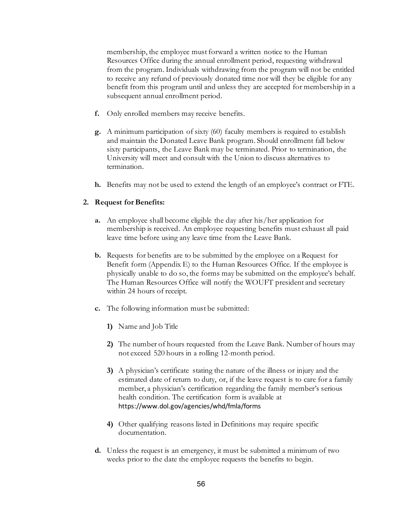membership, the employee must forward a written notice to the Human Resources Office during the annual enrollment period, requesting withdrawal from the program. Individuals withdrawing from the program will not be entitled to receive any refund of previously donated time nor will they be eligible for any benefit from this program until and unless they are accepted for membership in a subsequent annual enrollment period.

- **f.** Only enrolled members may receive benefits.
- **g.** A minimum participation of sixty (60) faculty members is required to establish and maintain the Donated Leave Bank program. Should enrollment fall below sixty participants, the Leave Bank may be terminated. Prior to termination, the University will meet and consult with the Union to discuss alternatives to termination.
- **h.** Benefits may not be used to extend the length of an employee's contract or FTE.

### **2. Request for Benefits:**

- **a.** An employee shall become eligible the day after his/her application for membership is received. An employee requesting benefits must exhaust all paid leave time before using any leave time from the Leave Bank.
- **b.** Requests for benefits are to be submitted by the employee on a Request for Benefit form (Appendix E) to the Human Resources Office. If the employee is physically unable to do so, the forms may be submitted on the employee's behalf. The Human Resources Office will notify the WOUFT president and secretary within 24 hours of receipt.
- **c.** The following information must be submitted:
	- **1)** Name and Job Title
	- **2)** The number of hours requested from the Leave Bank. Number of hours may not exceed 520 hours in a rolling 12-month period.
	- **3)** A physician's certificate stating the nature of the illness or injury and the estimated date of return to duty, or, if the leave request is to care for a family member, a physician's certification regarding the family member's serious health condition. The certification form is available a[t](http://www.dol.gov/regs/compliance/whd/fmla/wh380.pdf) https://www.dol.gov/agencies/whd/fmla/forms
	- **4)** Other qualifying reasons listed in Definitions may require specific documentation.
- **d.** Unless the request is an emergency, it must be submitted a minimum of two weeks prior to the date the employee requests the benefits to begin.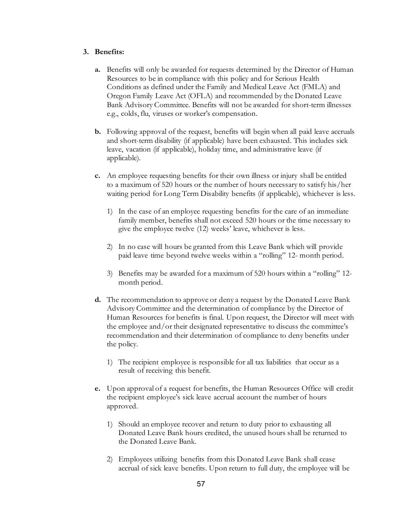#### **3. Benefits:**

- **a.** Benefits will only be awarded for requests determined by the Director of Human Resources to be in compliance with this policy and for Serious Health Conditions as defined under the Family and Medical Leave Act (FMLA) and Oregon Family Leave Act (OFLA) and recommended by the Donated Leave Bank Advisory Committee. Benefits will not be awarded for short-term illnesses e.g., colds, flu, viruses or worker's compensation.
- **b.** Following approval of the request, benefits will begin when all paid leave accruals and short-term disability (if applicable) have been exhausted. This includes sick leave, vacation (if applicable), holiday time, and administrative leave (if applicable).
- **c.** An employee requesting benefits for their own illness or injury shall be entitled to a maximum of 520 hours or the number of hours necessary to satisfy his/her waiting period for Long Term Disability benefits (if applicable), whichever is less.
	- 1) In the case of an employee requesting benefits for the care of an immediate family member, benefits shall not exceed 520 hours or the time necessary to give the employee twelve (12) weeks' leave, whichever is less.
	- 2) In no case will hours be granted from this Leave Bank which will provide paid leave time beyond twelve weeks within a "rolling" 12- month period.
	- 3) Benefits may be awarded for a maximum of 520 hours within a "rolling" 12 month period.
- **d.** The recommendation to approve or deny a request by the Donated Leave Bank Advisory Committee and the determination of compliance by the Director of Human Resources for benefits is final. Upon request, the Director will meet with the employee and/or their designated representative to discuss the committee's recommendation and their determination of compliance to deny benefits under the policy.
	- 1) The recipient employee is responsible for all tax liabilities that occur as a result of receiving this benefit.
- **e.** Upon approval of a request for benefits, the Human Resources Office will credit the recipient employee's sick leave accrual account the number of hours approved.
	- 1) Should an employee recover and return to duty prior to exhausting all Donated Leave Bank hours credited, the unused hours shall be returned to the Donated Leave Bank.
	- 2) Employees utilizing benefits from this Donated Leave Bank shall cease accrual of sick leave benefits. Upon return to full duty, the employee will be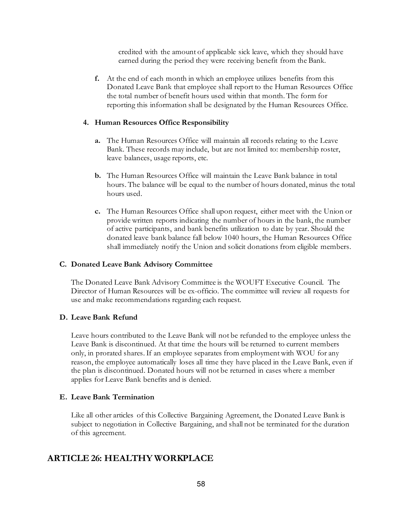credited with the amount of applicable sick leave, which they should have earned during the period they were receiving benefit from the Bank.

**f.** At the end of each month in which an employee utilizes benefits from this Donated Leave Bank that employee shall report to the Human Resources Office the total number of benefit hours used within that month. The form for reporting this information shall be designated by the Human Resources Office.

#### **4. Human Resources Office Responsibility**

- **a.** The Human Resources Office will maintain all records relating to the Leave Bank. These records may include, but are not limited to: membership roster, leave balances, usage reports, etc.
- **b.** The Human Resources Office will maintain the Leave Bank balance in total hours. The balance will be equal to the number of hours donated, minus the total hours used.
- **c.** The Human Resources Office shall upon request, either meet with the Union or provide written reports indicating the number of hours in the bank, the number of active participants, and bank benefits utilization to date by year. Should the donated leave bank balance fall below 1040 hours, the Human Resources Office shall immediately notify the Union and solicit donations from eligible members.

#### **C. Donated Leave Bank Advisory Committee**

The Donated Leave Bank Advisory Committee is the WOUFT Executive Council. The Director of Human Resources will be ex-officio. The committee will review all requests for use and make recommendations regarding each request.

#### **D. Leave Bank Refund**

Leave hours contributed to the Leave Bank will not be refunded to the employee unless the Leave Bank is discontinued. At that time the hours will be returned to current members only, in prorated shares. If an employee separates from employment with WOU for any reason, the employee automatically loses all time they have placed in the Leave Bank, even if the plan is discontinued. Donated hours will not be returned in cases where a member applies for Leave Bank benefits and is denied.

#### **E. Leave Bank Termination**

Like all other articles of this Collective Bargaining Agreement, the Donated Leave Bank is subject to negotiation in Collective Bargaining, and shall not be terminated for the duration of this agreement.

### **ARTICLE 26: HEALTHY WORKPLACE**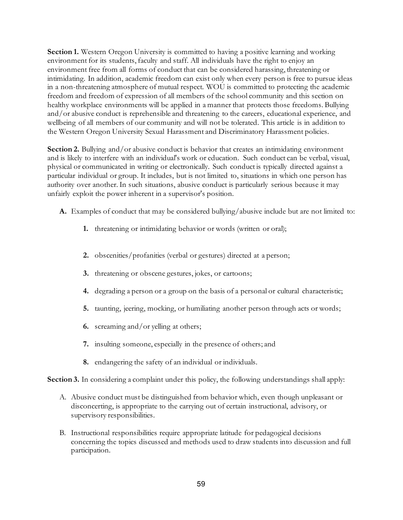**Section 1.** Western Oregon University is committed to having a positive learning and working environment for its students, faculty and staff. All individuals have the right to enjoy an environment free from all forms of conduct that can be considered harassing, threatening or intimidating. In addition, academic freedom can exist only when every person is free to pursue ideas in a non-threatening atmosphere of mutual respect. WOU is committed to protecting the academic freedom and freedom of expression of all members of the school community and this section on healthy workplace environments will be applied in a manner that protects those freedoms. Bullying and/or abusive conduct is reprehensible and threatening to the careers, educational experience, and wellbeing of all members of our community and will not be tolerated. This article is in addition to the Western Oregon University Sexual Harassment and Discriminatory Harassment policies.

**Section 2.** Bullying and/or abusive conduct is behavior that creates an intimidating environment and is likely to interfere with an individual's work or education. Such conduct can be verbal, visual, physical or communicated in writing or electronically. Such conduct is typically directed against a particular individual or group. It includes, but is not limited to, situations in which one person has authority over another. In such situations, abusive conduct is particularly serious because it may unfairly exploit the power inherent in a supervisor's position.

- **A.** Examples of conduct that may be considered bullying/abusive include but are not limited to:
	- **1.** threatening or intimidating behavior or words (written or oral);
	- **2.** obscenities/profanities (verbal or gestures) directed at a person;
	- **3.** threatening or obscene gestures, jokes, or cartoons;
	- **4.** degrading a person or a group on the basis of a personal or cultural characteristic;
	- **5.** taunting, jeering, mocking, or humiliating another person through acts or words;
	- **6.** screaming and/or yelling at others;
	- **7.** insulting someone, especially in the presence of others; and
	- **8.** endangering the safety of an individual or individuals.

**Section 3.** In considering a complaint under this policy, the following understandings shall apply:

- A. Abusive conduct must be distinguished from behavior which, even though unpleasant or disconcerting, is appropriate to the carrying out of certain instructional, advisory, or supervisory responsibilities.
- B. Instructional responsibilities require appropriate latitude for pedagogical decisions concerning the topics discussed and methods used to draw students into discussion and full participation.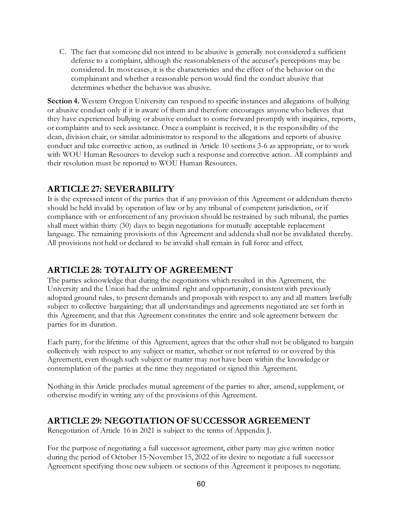C. The fact that someone did not intend to be abusive is generally not considered a sufficient defense to a complaint, although the reasonableness of the accuser's perceptions may be considered. In most cases, it is the characteristics and the effect of the behavior on the complainant and whether a reasonable person would find the conduct abusive that determines whether the behavior was abusive.

**Section 4.** Western Oregon University can respond to specific instances and allegations of bullying or abusive conduct only if it is aware of them and therefore encourages anyone who believes that they have experienced bullying or abusive conduct to come forward promptly with inquiries, reports, or complaints and to seek assistance. Once a complaint is received, it is the responsibility of the dean, division chair, or similar administrator to respond to the allegations and reports of abusive conduct and take corrective action, as outlined in Article 10 sections 3-6 as appropriate, or to work with WOU Human Resources to develop such a response and corrective action. All complaints and their resolution must be reported to WOU Human Resources.

## **ARTICLE 27: SEVERABILITY**

It is the expressed intent of the parties that if any provision of this Agreement or addendum thereto should be held invalid by operation of law or by any tribunal of competent jurisdiction, or if compliance with or enforcement of any provision should be restrained by such tribunal, the parties shall meet within thirty (30) days to begin negotiations for mutually acceptable replacement language. The remaining provisions of this Agreement and addenda shall not be invalidated thereby. All provisions not held or declared to be invalid shall remain in full force and effect.

## **ARTICLE 28: TOTALITY OF AGREEMENT**

The parties acknowledge that during the negotiations which resulted in this Agreement, the University and the Union had the unlimited right and opportunity, consistent with previously adopted ground rules, to present demands and proposals with respect to any and all matters lawfully subject to collective bargaining; that all understandings and agreements negotiated are set forth in this Agreement; and that this Agreement constitutes the entire and sole agreement between the parties for its duration.

Each party, for the lifetime of this Agreement, agrees that the other shall not be obligated to bargain collectively with respect to any subject or matter, whether or not referred to or covered by this Agreement, even though such subject or matter may not have been within the knowledge or contemplation of the parties at the time they negotiated or signed this Agreement.

Nothing in this Article precludes mutual agreement of the parties to alter, amend, supplement, or otherwise modify in writing any of the provisions of this Agreement.

## **ARTICLE 29: NEGOTIATION OF SUCCESSOR AGREEMENT**

Renegotiation of Article 16 in 2021 is subject to the terms of Appendix J.

For the purpose of negotiating a full successor agreement, either party may give written notice during the period of October 15-November 15, 2022 of its desire to negotiate a full successor Agreement specifying those new subjects or sections of this Agreement it proposes to negotiate.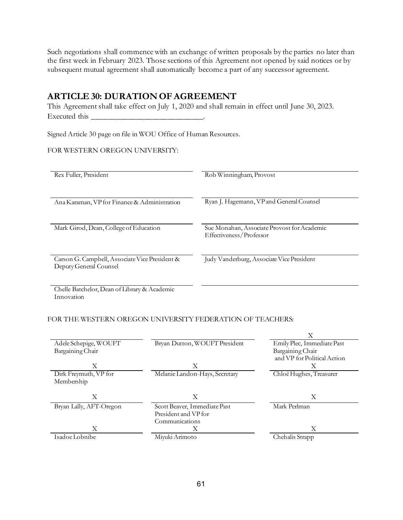Such negotiations shall commence with an exchange of written proposals by the parties no later than the first week in February 2023. Those sections of this Agreement not opened by said notices or by subsequent mutual agreement shall automatically become a part of any successor agreement.

## **ARTICLE 30: DURATION OF AGREEMENT**

This Agreement shall take effect on July 1, 2020 and shall remain in effect until June 30, 2023. Executed this \_\_\_\_\_\_\_\_\_\_\_\_\_\_\_\_\_\_\_\_\_\_\_\_\_\_\_\_.

Signed Article 30 page on file in WOU Office of Human Resources.

### FOR WESTERN OREGON UNIVERSITY:

| Rex Fuller, President                                                    | Rob Winningham, Provost                                                |  |
|--------------------------------------------------------------------------|------------------------------------------------------------------------|--|
| Ana Karaman, VP for Finance & Administration                             | Ryan J. Hagemann, VP and General Counsel                               |  |
| Mark Girod, Dean, College of Education                                   | Sue Monahan, Associate Provost for Academic<br>Effectiveness/Professor |  |
| Carson G. Campbell, Associate Vice President &<br>Deputy General Counsel | Judy Vanderburg, Associate Vice President                              |  |
| $-1$                                                                     |                                                                        |  |

Chelle Batchelor, Dean of Library & Academic Innovation

### FOR THE WESTERN OREGON UNIVERSITY FEDERATION OF TEACHERS:

|                         |                                | Х                           |
|-------------------------|--------------------------------|-----------------------------|
| Adele Schepige, WOUFT   | Bryan Dutton, WOUFT President  | Emily Plec, Immediate Past  |
| Bargaining Chair        |                                | Bargaining Chair            |
|                         |                                | and VP for Political Action |
| Х                       | Х                              | Х                           |
| Dirk Freymuth, VP for   | Melanie Landon-Hays, Secretary | Chloë Hughes, Treasurer     |
| Membership              |                                |                             |
|                         |                                |                             |
| Х                       | X                              | X                           |
| Bryan Lally, AFT-Oregon | Scott Beaver, Immediate Past   | Mark Perlman                |
|                         | President and VP for           |                             |
|                         | Communications                 |                             |
| Х                       | X                              | Χ                           |
| Isadoe Lobnibe          |                                | Chehalis Strapp             |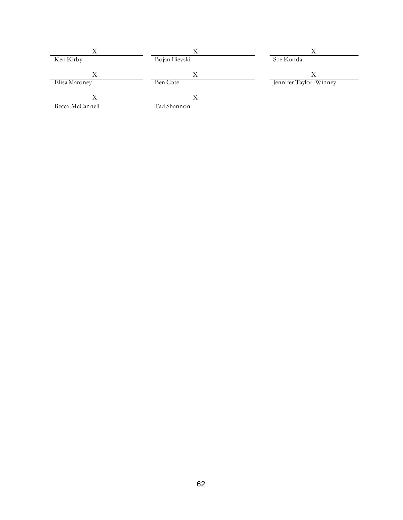| Ken Kirby          | Bojan Ilievski | Sue Kunda              |
|--------------------|----------------|------------------------|
| Х<br>Elisa Maroney | Λ<br>Ben Cote  | Jennifer Taylor-Winney |
| Х                  |                |                        |
| Becca McCannell    | Tad Shannon    |                        |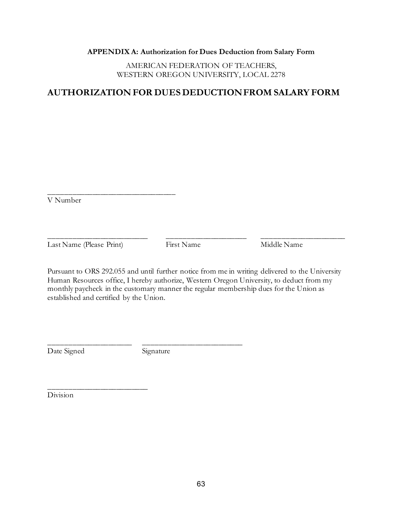#### **APPENDIX A: Authorization for Dues Deduction from Salary Form**

AMERICAN FEDERATION OF TEACHERS, WESTERN OREGON UNIVERSITY, LOCAL 2278

## **AUTHORIZATION FOR DUES DEDUCTION FROM SALARY FORM**

\_\_\_\_\_\_\_\_\_\_\_\_\_\_\_\_\_\_\_\_\_\_\_\_\_\_\_\_\_\_\_\_ V Number

Last Name (Please Print) First Name Middle Name

Pursuant to ORS 292.055 and until further notice from me in writing delivered to the University Human Resources office, I hereby authorize, Western Oregon University, to deduct from my monthly paycheck in the customary manner the regular membership dues for the Union as established and certified by the Union.

\_\_\_\_\_\_\_\_\_\_\_\_\_\_\_\_\_\_\_\_\_\_\_\_\_ \_\_\_\_\_\_\_\_\_\_\_\_\_\_\_\_\_\_\_\_ \_\_\_\_\_\_\_\_\_\_\_\_\_\_\_\_\_\_\_\_\_

Date Signed Signature

\_\_\_\_\_\_\_\_\_\_\_\_\_\_\_\_\_\_\_\_\_ \_\_\_\_\_\_\_\_\_\_\_\_\_\_\_\_\_\_\_\_\_\_\_\_\_

Division

\_\_\_\_\_\_\_\_\_\_\_\_\_\_\_\_\_\_\_\_\_\_\_\_\_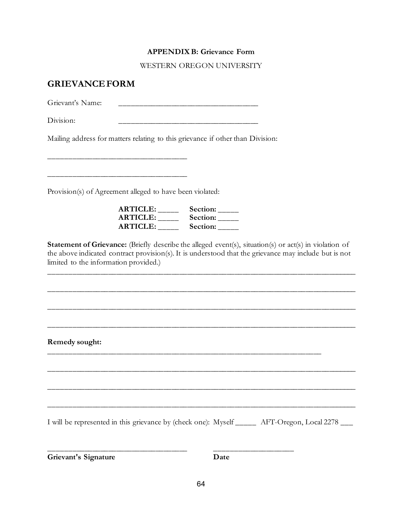#### **APPENDIX B: Grievance Form**

WESTERN OREGON UNIVERSITY

### **GRIEVANCE FORM**

 $G$ rievant's Name:

Division:

Mailing address for matters relating to this grievance if other than Division:

Provision(s) of Agreement alleged to have been violated:

\_\_\_\_\_\_\_\_\_\_\_\_\_\_\_\_\_\_\_\_\_\_\_\_\_\_\_\_\_\_\_\_\_\_\_

\_\_\_\_\_\_\_\_\_\_\_\_\_\_\_\_\_\_\_\_\_\_\_\_\_\_\_\_\_\_\_\_\_\_\_

| <b>ARTICLE:</b> | Section: |
|-----------------|----------|
| <b>ARTICLE:</b> | Section: |
| <b>ARTICLE:</b> | Section: |

**Statement of Grievance:** (Briefly describe the alleged event(s), situation(s) or act(s) in violation of the above indicated contract provision(s). It is understood that the grievance may include but is not limited to the information provided.)

\_\_\_\_\_\_\_\_\_\_\_\_\_\_\_\_\_\_\_\_\_\_\_\_\_\_\_\_\_\_\_\_\_\_\_\_\_\_\_\_\_\_\_\_\_\_\_\_\_\_\_\_\_\_\_\_\_\_\_\_\_\_\_\_\_\_\_\_\_\_\_\_\_\_\_\_\_\_

\_\_\_\_\_\_\_\_\_\_\_\_\_\_\_\_\_\_\_\_\_\_\_\_\_\_\_\_\_\_\_\_\_\_\_\_\_\_\_\_\_\_\_\_\_\_\_\_\_\_\_\_\_\_\_\_\_\_\_\_\_\_\_\_\_\_\_\_\_\_\_\_\_\_\_\_\_\_

\_\_\_\_\_\_\_\_\_\_\_\_\_\_\_\_\_\_\_\_\_\_\_\_\_\_\_\_\_\_\_\_\_\_\_\_\_\_\_\_\_\_\_\_\_\_\_\_\_\_\_\_\_\_\_\_\_\_\_\_\_\_\_\_\_\_\_\_\_\_\_\_\_\_\_\_\_\_

\_\_\_\_\_\_\_\_\_\_\_\_\_\_\_\_\_\_\_\_\_\_\_\_\_\_\_\_\_\_\_\_\_\_\_\_\_\_\_\_\_\_\_\_\_\_\_\_\_\_\_\_\_\_\_\_\_\_\_\_\_\_\_\_\_\_\_\_\_\_\_\_\_\_\_\_\_\_

\_\_\_\_\_\_\_\_\_\_\_\_\_\_\_\_\_\_\_\_\_\_\_\_\_\_\_\_\_\_\_\_\_\_\_\_\_\_\_\_\_\_\_\_\_\_\_\_\_\_\_\_\_\_\_\_\_\_\_\_\_\_\_\_\_\_\_\_\_\_\_\_\_\_\_\_\_\_

\_\_\_\_\_\_\_\_\_\_\_\_\_\_\_\_\_\_\_\_\_\_\_\_\_\_\_\_\_\_\_\_\_\_\_\_\_\_\_\_\_\_\_\_\_\_\_\_\_\_\_\_\_\_\_\_\_\_\_\_\_\_\_\_\_\_\_\_\_\_\_\_\_\_\_\_\_\_

\_\_\_\_\_\_\_\_\_\_\_\_\_\_\_\_\_\_\_\_\_\_\_\_\_\_\_\_\_\_\_\_\_\_\_\_\_\_\_\_\_\_\_\_\_\_\_\_\_\_\_\_\_\_\_\_\_\_\_\_\_\_\_\_\_\_\_\_\_

\_\_\_\_\_\_\_\_\_\_\_\_\_\_\_\_\_\_\_\_\_\_\_\_\_\_\_\_\_\_\_\_\_\_\_ \_\_\_\_\_\_\_\_\_\_\_\_\_\_\_\_\_\_\_\_

**Remedy sought:** 

I will be represented in this grievance by (check one): Myself **\_\_\_\_\_** AFT-Oregon, Local 2278 **\_\_\_**

**Grievant's Signature Date**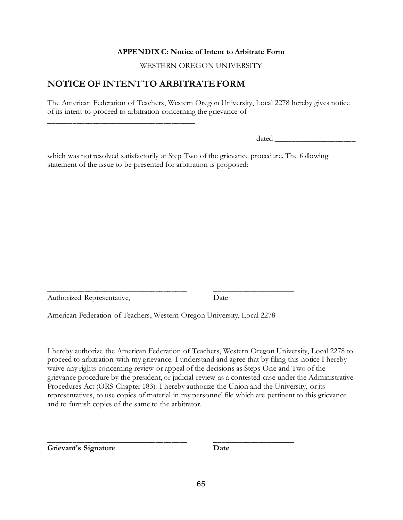#### **APPENDIX C: Notice of Intent to Arbitrate Form**

WESTERN OREGON UNIVERSITY

## **NOTICE OF INTENT TO ARBITRATE FORM**

\_\_\_\_\_\_\_\_\_\_\_\_\_\_\_\_\_\_\_\_\_\_\_\_\_\_\_\_\_\_\_\_\_\_\_\_\_

The American Federation of Teachers, Western Oregon University, Local 2278 hereby gives notice of its intent to proceed to arbitration concerning the grievance of

dated  $\Box$ 

which was not resolved satisfactorily at Step Two of the grievance procedure. The following statement of the issue to be presented for arbitration is proposed:

\_\_\_\_\_\_\_\_\_\_\_\_\_\_\_\_\_\_\_\_\_\_\_\_\_\_\_\_\_\_\_\_\_\_\_ \_\_\_\_\_\_\_\_\_\_\_\_\_\_\_\_\_\_\_\_ Authorized Representative, Date

American Federation of Teachers, Western Oregon University, Local 2278

\_\_\_\_\_\_\_\_\_\_\_\_\_\_\_\_\_\_\_\_\_\_\_\_\_\_\_\_\_\_\_\_\_\_\_ \_\_\_\_\_\_\_\_\_\_\_\_\_\_\_\_\_\_\_\_

I hereby authorize the American Federation of Teachers, Western Oregon University, Local 2278 to proceed to arbitration with my grievance. I understand and agree that by filing this notice I hereby waive any rights concerning review or appeal of the decisions as Steps One and Two of the grievance procedure by the president, or judicial review as a contested case under the Administrative Procedures Act (ORS Chapter 183). I hereby authorize the Union and the University, or its representatives, to use copies of material in my personnel file which are pertinent to this grievance and to furnish copies of the same to the arbitrator.

**Grievant's Signature Date**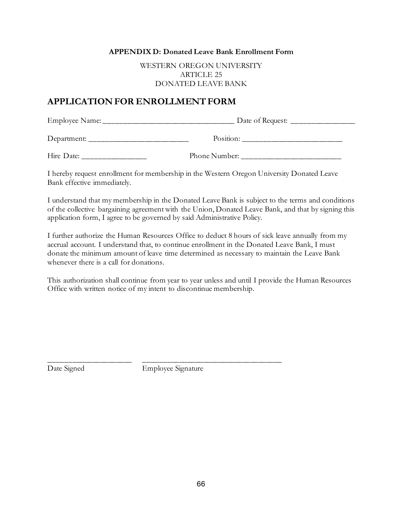#### **APPENDIX D: Donated Leave Bank Enrollment Form**

WESTERN OREGON UNIVERSITY ARTICLE 25 DONATED LEAVE BANK

### **APPLICATION FOR ENROLLMENT FORM**

| Employee Name: | Date of Request: |
|----------------|------------------|
| Department:    | Position:        |

Hire Date: The Burner: The Phone Number:

I hereby request enrollment for membership in the Western Oregon University Donated Leave Bank effective immediately.

I understand that my membership in the Donated Leave Bank is subject to the terms and conditions of the collective bargaining agreement with the Union, Donated Leave Bank, and that by signing this application form, I agree to be governed by said Administrative Policy.

I further authorize the Human Resources Office to deduct 8 hours of sick leave annually from my accrual account. I understand that, to continue enrollment in the Donated Leave Bank, I must donate the minimum amount of leave time determined as necessary to maintain the Leave Bank whenever there is a call for donations.

This authorization shall continue from year to year unless and until I provide the Human Resources Office with written notice of my intent to discontinue membership.

Date Signed Employee Signature

\_\_\_\_\_\_\_\_\_\_\_\_\_\_\_\_\_\_\_\_\_ \_\_\_\_\_\_\_\_\_\_\_\_\_\_\_\_\_\_\_\_\_\_\_\_\_\_\_\_\_\_\_\_\_\_\_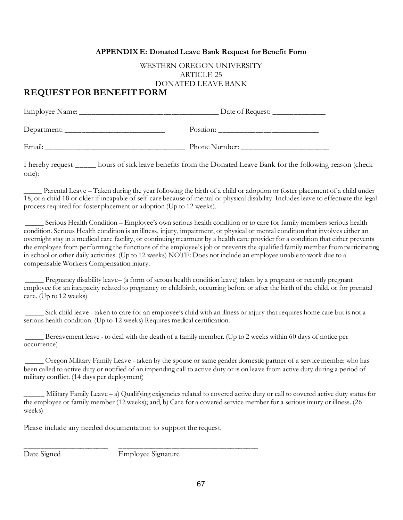#### **APPENDIX E: Donated Leave Bank Request for Benefit Form**

### WESTERN OREGON UNIVERSITY ARTICLE 25 DONATED LEAVE BANK

## **REQUEST FOR BENEFIT FORM**

| Employee Name: | Date of Request: |
|----------------|------------------|
| Department:    | Position:        |
| Email:         | Phone Number:    |

I hereby request \_\_\_\_\_ hours of sick leave benefits from the Donated Leave Bank for the following reason (check one):

Parental Leave – Taken during the year following the birth of a child or adoption or foster placement of a child under 18, or a child 18 or older if incapable of self-care because of mental or physical disability. Includes leave to effectuate the legal process required for foster placement or adoption (Up to 12 weeks).

\_\_\_\_\_ Serious Health Condition – Employee's own serious health condition or to care for family members serious health condition. Serious Health condition is an illness, injury, impairment, or physical or mental condition that involves either an overnight stay in a medical care facility, or continuing treatment by a health care provider for a condition that either prevents the employee from performing the functions of the employee's job or prevents the qualified family member from participating in school or other daily activities. (Up to 12 weeks) NOTE: Does not include an employee unable to work due to a compensable Workers Compensation injury.

\_\_\_\_\_ Pregnancy disability leave– (a form of serous health condition leave) taken by a pregnant or recently pregnant employee for an incapacity related to pregnancy or childbirth, occurring before or after the birth of the child, or for prenatal care. (Up to 12 weeks)

\_\_\_\_\_ Sick child leave - taken to care for an employee's child with an illness or injury that requires home care but is not a serious health condition. (Up to 12 weeks) Requires medical certification.

\_\_\_\_\_ Bereavement leave - to deal with the death of a family member. (Up to 2 weeks within 60 days of notice per occurrence)

\_\_\_\_\_ Oregon Military Family Leave - taken by the spouse or same gender domestic partner of a service member who has been called to active duty or notified of an impending call to active duty or is on leave from active duty during a period of military conflict. (14 days per deployment)

\_\_\_\_\_ Military Family Leave – a) Qualifying exigencies related to covered active duty or call to covered active duty status for the employee or family member (12 weeks); and, b) Care for a covered service member for a serious injury or illness. (26 weeks)

Please include any needed documentation to support the request.

Date Signed Employee Signature

\_\_\_\_\_\_\_\_\_\_\_\_\_\_\_\_\_\_\_\_\_ \_\_\_\_\_\_\_\_\_\_\_\_\_\_\_\_\_\_\_\_\_\_\_\_\_\_\_\_\_\_\_\_\_\_\_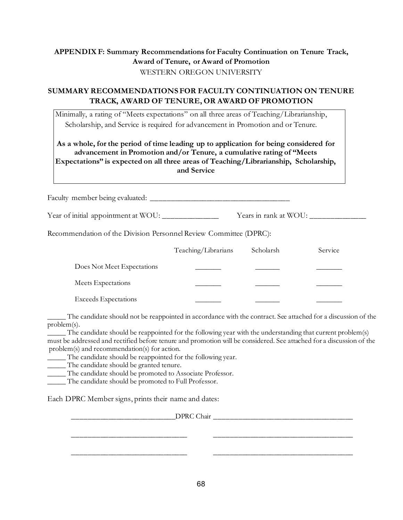### **APPENDIX F: Summary Recommendations for Faculty Continuation on Tenure Track, Award of Tenure, or Award of Promotion** WESTERN OREGON UNIVERSITY

### **SUMMARY RECOMMENDATIONS FOR FACULTY CONTINUATION ON TENURE TRACK, AWARD OF TENURE, OR AWARD OF PROMOTION**

Minimally, a rating of "Meets expectations" on all three areas of Teaching/Librarianship, Scholarship, and Service is required for advancement in Promotion and or Tenure.

**As a whole, for the period of time leading up to application for being considered for advancement in Promotion and/or Tenure, a cumulative rating of "Meets Expectations" is expected on all three areas of Teaching/Librarianship, Scholarship, and Service**

Faculty member being evaluated: \_\_\_\_\_\_\_\_\_\_\_\_\_\_\_\_\_\_\_\_\_\_\_\_\_\_\_\_\_\_\_\_\_\_\_

Year of initial appointment at WOU: \_\_\_\_\_\_\_\_\_\_\_\_\_\_ Years in rank at WOU: \_\_\_\_\_\_\_\_\_\_\_\_\_\_

Recommendation of the Division Personnel Review Committee (DPRC):

|                             | Teaching/Librarians | Scholarsh | Service |
|-----------------------------|---------------------|-----------|---------|
| Does Not Meet Expectations  |                     |           |         |
| Meets Expectations          |                     |           |         |
| <b>Exceeds Expectations</b> |                     |           |         |

\_\_\_\_\_ The candidate should not be reappointed in accordance with the contract. See attached for a discussion of the problem(s).

 $\frac{1}{\sqrt{2}}$  The candidate should be reappointed for the following year with the understanding that current problem(s) must be addressed and rectified before tenure and promotion will be considered. See attached for a discussion of the problem(s) and recommendation(s) for action.

\_\_\_\_\_\_\_\_\_\_\_\_\_\_\_\_\_\_\_\_\_\_\_\_\_\_\_\_\_ \_\_\_\_\_\_\_\_\_\_\_\_\_\_\_\_\_\_\_\_\_\_\_\_\_\_\_\_\_\_\_\_\_\_\_

\_\_\_\_\_\_\_\_\_\_\_\_\_\_\_\_\_\_\_\_\_\_\_\_\_\_\_\_\_ \_\_\_\_\_\_\_\_\_\_\_\_\_\_\_\_\_\_\_\_\_\_\_\_\_\_\_\_\_\_\_\_\_\_\_

- \_\_\_\_\_ The candidate should be reappointed for the following year.
- \_\_\_\_\_ The candidate should be granted tenure.
- \_\_\_\_\_ The candidate should be promoted to Associate Professor.
- \_\_\_\_\_ The candidate should be promoted to Full Professor.

Each DPRC Member signs, prints their name and dates:

DPRC Chair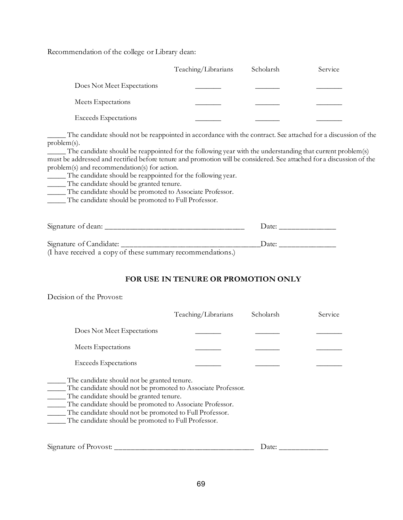Recommendation of the college or Library dean:

|                             | Teaching/Librarians | Scholarsh | Service |
|-----------------------------|---------------------|-----------|---------|
| Does Not Meet Expectations  |                     |           |         |
| Meets Expectations          |                     |           |         |
| <b>Exceeds</b> Expectations |                     |           |         |

The candidate should not be reappointed in accordance with the contract. See attached for a discussion of the problem(s).

\_\_\_\_\_ The candidate should be reappointed for the following year with the understanding that current problem(s) must be addressed and rectified before tenure and promotion will be considered. See attached for a discussion of the problem(s) and recommendation(s) for action.

\_\_\_\_\_ The candidate should be reappointed for the following year.

\_\_\_\_\_ The candidate should be granted tenure.

\_\_\_\_\_ The candidate should be promoted to Associate Professor.

\_\_\_\_\_ The candidate should be promoted to Full Professor.

| Signature of dean:                                         | $12$ ate: |
|------------------------------------------------------------|-----------|
| Signature of Candidate:                                    | $12$ ater |
| (I have received a copy of these summary recommendations.) |           |

### **FOR USE IN TENURE OR PROMOTION ONLY**

Decision of the Provost:

|                                                                                                                                                                                                                                                                                                                                      | Teaching/Librarians | Scholarsh | Service |
|--------------------------------------------------------------------------------------------------------------------------------------------------------------------------------------------------------------------------------------------------------------------------------------------------------------------------------------|---------------------|-----------|---------|
| Does Not Meet Expectations                                                                                                                                                                                                                                                                                                           |                     |           |         |
| Meets Expectations                                                                                                                                                                                                                                                                                                                   |                     |           |         |
| <b>Exceeds Expectations</b>                                                                                                                                                                                                                                                                                                          |                     |           |         |
| The candidate should not be granted tenure.<br>The candidate should not be promoted to Associate Professor.<br>The candidate should be granted tenure.<br>The candidate should be promoted to Associate Professor.<br>The candidate should not be promoted to Full Professor.<br>The candidate should be promoted to Full Professor. |                     |           |         |
| Signature of Provost: _______                                                                                                                                                                                                                                                                                                        |                     | Date:     |         |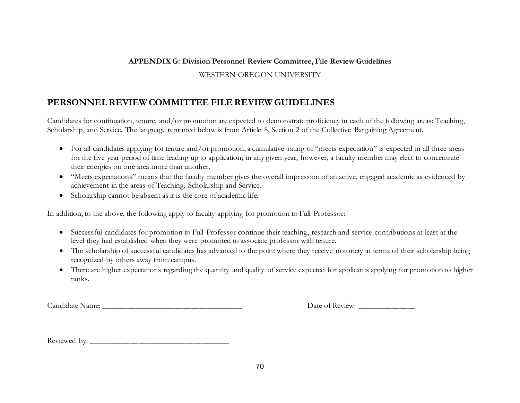### **APPENDIX G: Division Personnel Review Committee, File Review Guidelines**

### WESTERN OREGON UNIVERSITY

## **PERSONNEL REVIEW COMMITTEE FILE REVIEW GUIDELINES**

Candidates for continuation, tenure, and/or promotion are expected to demonstrate proficiency in each of the following areas: Teaching, Scholarship, and Service. The language reprinted below is from Article 8, Section 2 of the Collective Bargaining Agreement.

- For all candidates applying for tenure and/or promotion, a cumulative rating of "meets expectation" is expected in all three areas for the five year period of time leading up to application; in any given year, however, a faculty member may elect to concentrate their energies on one area more than another.
- "Meets expectations" means that the faculty member gives the overall impression of an active, engaged academic as evidenced by achievement in the areas of Teaching, Scholarship and Service.
- Scholarship cannot be absent as it is the core of academic life.

In addition, to the above, the following apply to faculty applying for promotion to Full Professor:

- Successful candidates for promotion to Full Professor continue their teaching, research and service contributions at least at the level they had established when they were promoted to associate professor with tenure.
- The scholarship of successful candidates has advanced to the point where they receive notoriety in terms of their scholarship being recognized by others away from campus.
- There are higher expectations regarding the quantity and quality of service expected for applicants applying for promotion to higher ranks.

Candidate Name: \_\_\_\_\_\_\_\_\_\_\_\_\_\_\_\_\_\_\_\_\_\_\_\_\_\_\_\_\_\_\_\_\_\_\_ Date of Review: \_\_\_\_\_\_\_\_\_\_\_\_\_\_

Reviewed by: \_\_\_\_\_\_\_\_\_\_\_\_\_\_\_\_\_\_\_\_\_\_\_\_\_\_\_\_\_\_\_\_\_\_\_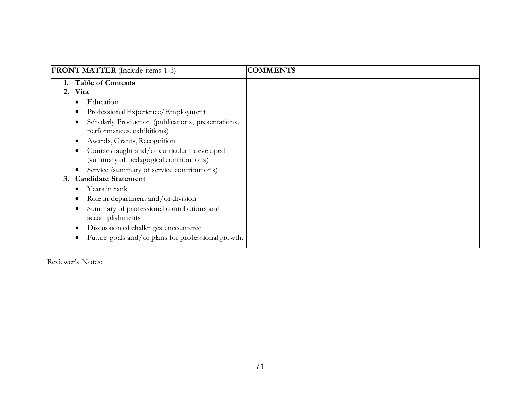| <b>FRONT MATTER</b> (Include items 1-3)                                                                                                                                                                                                                                                                                                | <b>COMMENTS</b> |
|----------------------------------------------------------------------------------------------------------------------------------------------------------------------------------------------------------------------------------------------------------------------------------------------------------------------------------------|-----------------|
| <b>Table of Contents</b><br>2. Vita                                                                                                                                                                                                                                                                                                    |                 |
| Education<br>Professional Experience/Employment<br>Scholarly Production (publications, presentations,<br>performances, exhibitions)<br>Awards, Grants, Recognition<br>Courses taught and/or curriculum developed<br>(summary of pedagogical contributions)<br>Service (summary of service contributions)<br><b>Candidate Statement</b> |                 |
| Years in rank<br>Role in department and/or division<br>Summary of professional contributions and<br>accomplishments<br>Discussion of challenges encountered<br>Future goals and/or plans for professional growth.                                                                                                                      |                 |

Reviewer's Notes: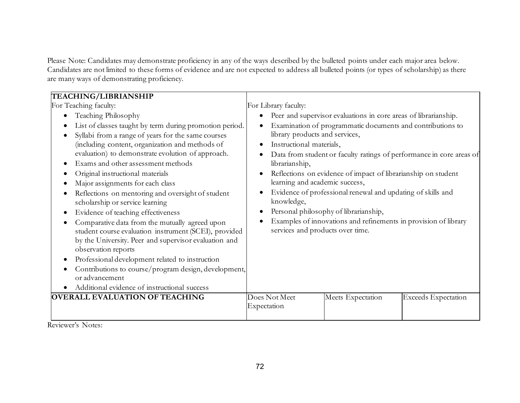Please Note: Candidates may demonstrate proficiency in any of the ways described by the bulleted points under each major area below. Candidates are not limited to these forms of evidence and are not expected to address all bulleted points (or types of scholarship) as there are many ways of demonstrating proficiency.

| <b>TEACHING/LIBRIANSHIP</b>                                                                                                                                                                                                                                                                                                                                                                                                                                                                                                                                                                                                                                                                                                                                                                                                                                                   |                                                                                                                                                                  |                                                                                                                                                                                                                                                                                                        |                                                                                                                                         |  |
|-------------------------------------------------------------------------------------------------------------------------------------------------------------------------------------------------------------------------------------------------------------------------------------------------------------------------------------------------------------------------------------------------------------------------------------------------------------------------------------------------------------------------------------------------------------------------------------------------------------------------------------------------------------------------------------------------------------------------------------------------------------------------------------------------------------------------------------------------------------------------------|------------------------------------------------------------------------------------------------------------------------------------------------------------------|--------------------------------------------------------------------------------------------------------------------------------------------------------------------------------------------------------------------------------------------------------------------------------------------------------|-----------------------------------------------------------------------------------------------------------------------------------------|--|
| For Teaching faculty:                                                                                                                                                                                                                                                                                                                                                                                                                                                                                                                                                                                                                                                                                                                                                                                                                                                         | For Library faculty:                                                                                                                                             |                                                                                                                                                                                                                                                                                                        |                                                                                                                                         |  |
| Teaching Philosophy<br>$\bullet$<br>List of classes taught by term during promotion period.<br>Syllabi from a range of years for the same courses<br>(including content, organization and methods of<br>evaluation) to demonstrate evolution of approach.<br>Exams and other assessment methods<br>Original instructional materials<br>Major assignments for each class<br>Reflections on mentoring and oversight of student<br>scholarship or service learning<br>Evidence of teaching effectiveness<br>Comparative data from the mutually agreed upon<br>student course evaluation instrument (SCEI), provided<br>by the University. Peer and supervisor evaluation and<br>observation reports<br>Professional development related to instruction<br>Contributions to course/program design, development,<br>or advancement<br>Additional evidence of instructional success | library products and services,<br>Instructional materials,<br>librarianship,<br>learning and academic success,<br>knowledge,<br>services and products over time. | Peer and supervisor evaluations in core areas of librarianship.<br>Examination of programmatic documents and contributions to<br>Reflections on evidence of impact of librarianship on student<br>Evidence of professional renewal and updating of skills and<br>Personal philosophy of librarianship, | Data from student or faculty ratings of performance in core areas of<br>Examples of innovations and refinements in provision of library |  |
| <b>OVERALL EVALUATION OF TEACHING</b>                                                                                                                                                                                                                                                                                                                                                                                                                                                                                                                                                                                                                                                                                                                                                                                                                                         | Does Not Meet<br>Expectation                                                                                                                                     | Meets Expectation                                                                                                                                                                                                                                                                                      | <b>Exceeds</b> Expectation                                                                                                              |  |
|                                                                                                                                                                                                                                                                                                                                                                                                                                                                                                                                                                                                                                                                                                                                                                                                                                                                               |                                                                                                                                                                  |                                                                                                                                                                                                                                                                                                        |                                                                                                                                         |  |

Reviewer's Notes: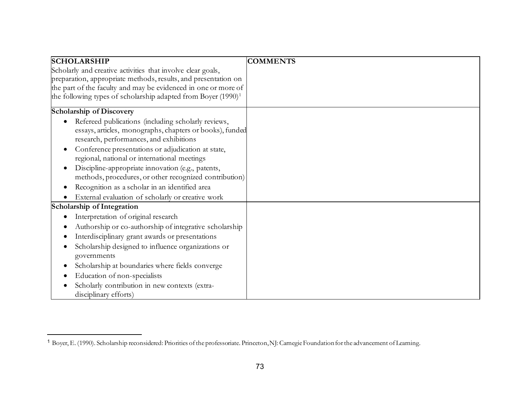<span id="page-72-0"></span>

| <b>SCHOLARSHIP</b>                                                        | <b>COMMENTS</b> |
|---------------------------------------------------------------------------|-----------------|
| Scholarly and creative activities that involve clear goals,               |                 |
| preparation, appropriate methods, results, and presentation on            |                 |
| the part of the faculty and may be evidenced in one or more of            |                 |
| the following types of scholarship adapted from Boyer (1990) <sup>1</sup> |                 |
| <b>Scholarship of Discovery</b>                                           |                 |
| Refereed publications (including scholarly reviews,                       |                 |
| essays, articles, monographs, chapters or books), funded                  |                 |
| research, performances, and exhibitions                                   |                 |
| Conference presentations or adjudication at state,                        |                 |
| regional, national or international meetings                              |                 |
| Discipline-appropriate innovation (e.g., patents,                         |                 |
| methods, procedures, or other recognized contribution)                    |                 |
| Recognition as a scholar in an identified area<br>٠                       |                 |
| External evaluation of scholarly or creative work                         |                 |
| Scholarship of Integration                                                |                 |
| Interpretation of original research                                       |                 |
| Authorship or co-authorship of integrative scholarship                    |                 |
| Interdisciplinary grant awards or presentations                           |                 |
| Scholarship designed to influence organizations or                        |                 |
| governments                                                               |                 |
| Scholarship at boundaries where fields converge<br>$\bullet$              |                 |
| Education of non-specialists                                              |                 |
| Scholarly contribution in new contexts (extra-                            |                 |
| disciplinary efforts)                                                     |                 |

<sup>1</sup> Boyer, E. (1990). Scholarship reconsidered: Priorities of the professoriate. Princeton, NJ: Carnegie Foundation for the advancement of Learning.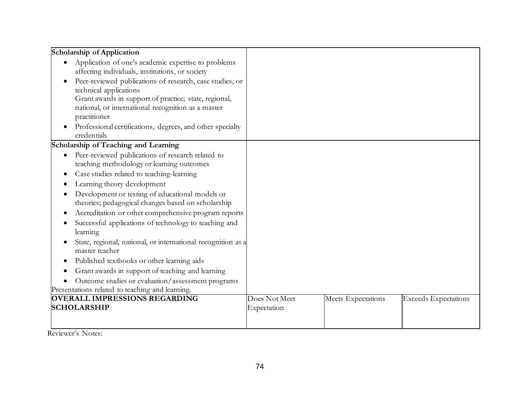| <b>Scholarship of Application</b>                                  |               |                    |                             |
|--------------------------------------------------------------------|---------------|--------------------|-----------------------------|
| Application of one's academic expertise to problems                |               |                    |                             |
| affecting individuals, institutions, or society                    |               |                    |                             |
| Peer-reviewed publications of research, case studies, or           |               |                    |                             |
| technical applications                                             |               |                    |                             |
| Grant awards in support of practice; state, regional,              |               |                    |                             |
| national, or international recognition as a master                 |               |                    |                             |
| practitioner                                                       |               |                    |                             |
| Professional certifications, degrees, and other specialty          |               |                    |                             |
| credentials                                                        |               |                    |                             |
| Scholarship of Teaching and Learning                               |               |                    |                             |
| Peer-reviewed publications of research related to<br>$\bullet$     |               |                    |                             |
| teaching methodology or learning outcomes                          |               |                    |                             |
| Case studies related to teaching-learning<br>$\bullet$             |               |                    |                             |
| Learning theory development                                        |               |                    |                             |
| Development or testing of educational models or                    |               |                    |                             |
| theories; pedagogical changes based on scholarship                 |               |                    |                             |
| Accreditation or other comprehensive program reports               |               |                    |                             |
| Successful applications of technology to teaching and<br>$\bullet$ |               |                    |                             |
| learning                                                           |               |                    |                             |
| State, regional, national, or international recognition as a       |               |                    |                             |
| master teacher                                                     |               |                    |                             |
| Published textbooks or other learning aids<br>$\bullet$            |               |                    |                             |
| Grant awards in support of teaching and learning<br>$\bullet$      |               |                    |                             |
| Outcome studies or evaluation/assessment programs                  |               |                    |                             |
| Presentations related to teaching and learning.                    |               |                    |                             |
| <b>OVERALL IMPRESSIONS REGARDING</b>                               | Does Not Meet | Meets Expectations | <b>Exceeds Expectations</b> |
| <b>SCHOLARSHIP</b>                                                 | Expectation   |                    |                             |
|                                                                    |               |                    |                             |
|                                                                    |               |                    |                             |

Reviewer's Notes: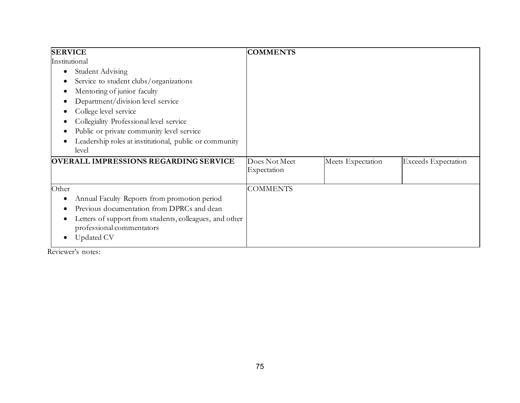| <b>SERVICE</b>                                                       | <b>COMMENTS</b>              |                   |                            |
|----------------------------------------------------------------------|------------------------------|-------------------|----------------------------|
| Institutional                                                        |                              |                   |                            |
| <b>Student Advising</b><br>€                                         |                              |                   |                            |
| Service to student clubs/organizations                               |                              |                   |                            |
| Mentoring of junior faculty<br>$\bullet$                             |                              |                   |                            |
| Department/division level service                                    |                              |                   |                            |
| College level service                                                |                              |                   |                            |
| Collegiality Professional level service                              |                              |                   |                            |
| Public or private community level service                            |                              |                   |                            |
| Leadership roles at institutional, public or community               |                              |                   |                            |
| level                                                                |                              |                   |                            |
| <b>OVERALL IMPRESSIONS REGARDING SERVICE</b>                         | Does Not Meet<br>Expectation | Meets Expectation | <b>Exceeds</b> Expectation |
| Other                                                                | <b>COMMENTS</b>              |                   |                            |
| Annual Faculty Reports from promotion period                         |                              |                   |                            |
| Previous documentation from DPRCs and dean                           |                              |                   |                            |
| Letters of support from students, colleagues, and other<br>$\bullet$ |                              |                   |                            |
| professional commentators                                            |                              |                   |                            |
| Updated CV<br>$\bullet$                                              |                              |                   |                            |

Reviewer's notes: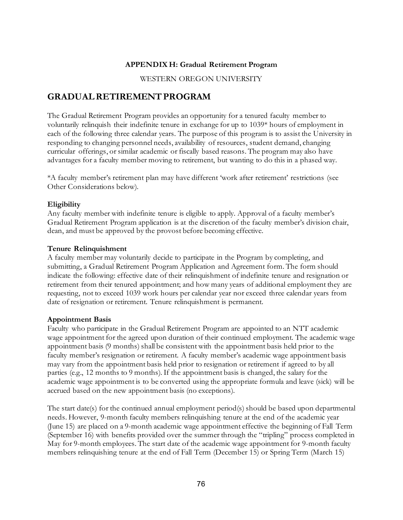#### **APPENDIX H: Gradual Retirement Program**

WESTERN OREGON UNIVERSITY

# **GRADUAL RETIREMENT PROGRAM**

The Gradual Retirement Program provides an opportunity for a tenured faculty member to voluntarily relinquish their indefinite tenure in exchange for up to 1039\* hours of employment in each of the following three calendar years. The purpose of this program is to assist the University in responding to changing personnel needs, availability of resources, student demand, changing curricular offerings, or similar academic or fiscally based reasons. The program may also have advantages for a faculty member moving to retirement, but wanting to do this in a phased way.

\*A faculty member's retirement plan may have different 'work after retirement' restrictions (see Other Considerations below).

#### **Eligibility**

Any faculty member with indefinite tenure is eligible to apply. Approval of a faculty member's Gradual Retirement Program application is at the discretion of the faculty member's division chair, dean, and must be approved by the provost before becoming effective.

#### **Tenure Relinquishment**

A faculty member may voluntarily decide to participate in the Program by completing, and submitting, a Gradual Retirement Program Application and Agreement form. The form should indicate the following: effective date of their relinquishment of indefinite tenure and resignation or retirement from their tenured appointment; and how many years of additional employment they are requesting, not to exceed 1039 work hours per calendar year nor exceed three calendar years from date of resignation or retirement. Tenure relinquishment is permanent.

#### **Appointment Basis**

Faculty who participate in the Gradual Retirement Program are appointed to an NTT academic wage appointment for the agreed upon duration of their continued employment. The academic wage appointment basis (9 months) shall be consistent with the appointment basis held prior to the faculty member's resignation or retirement. A faculty member's academic wage appointment basis may vary from the appointment basis held prior to resignation or retirement if agreed to by all parties (e.g., 12 months to 9 months). If the appointment basis is changed, the salary for the academic wage appointment is to be converted using the appropriate formula and leave (sick) will be accrued based on the new appointment basis (no exceptions).

The start date(s) for the continued annual employment period(s) should be based upon departmental needs. However, 9-month faculty members relinquishing tenure at the end of the academic year (June 15) are placed on a 9-month academic wage appointment effective the beginning of Fall Term (September 16) with benefits provided over the summer through the "tripling" process completed in May for 9-month employees. The start date of the academic wage appointment for 9-month faculty members relinquishing tenure at the end of Fall Term (December 15) or Spring Term (March 15)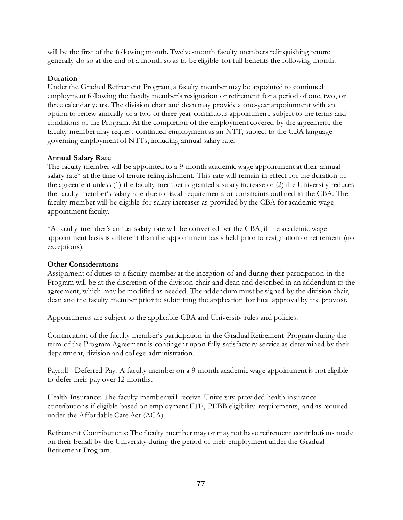will be the first of the following month. Twelve-month faculty members relinquishing tenure generally do so at the end of a month so as to be eligible for full benefits the following month.

#### **Duration**

Under the Gradual Retirement Program, a faculty member may be appointed to continued employment following the faculty member's resignation or retirement for a period of one, two, or three calendar years. The division chair and dean may provide a one-year appointment with an option to renew annually or a two or three year continuous appointment, subject to the terms and conditions of the Program. At the completion of the employment covered by the agreement, the faculty member may request continued employment as an NTT, subject to the CBA language governing employment of NTTs, including annual salary rate.

#### **Annual Salary Rate**

The faculty member will be appointed to a 9-month academic wage appointment at their annual salary rate\* at the time of tenure relinquishment. This rate will remain in effect for the duration of the agreement unless (1) the faculty member is granted a salary increase or (2) the University reduces the faculty member's salary rate due to fiscal requirements or constraints outlined in the CBA. The faculty member will be eligible for salary increases as provided by the CBA for academic wage appointment faculty.

\*A faculty member's annual salary rate will be converted per the CBA, if the academic wage appointment basis is different than the appointment basis held prior to resignation or retirement (no exceptions).

#### **Other Considerations**

Assignment of duties to a faculty member at the inception of and during their participation in the Program will be at the discretion of the division chair and dean and described in an addendum to the agreement, which may be modified as needed. The addendum must be signed by the division chair, dean and the faculty member prior to submitting the application for final approval by the provost.

Appointments are subject to the applicable CBA and University rules and policies.

Continuation of the faculty member's participation in the Gradual Retirement Program during the term of the Program Agreement is contingent upon fully satisfactory service as determined by their department, division and college administration.

Payroll - Deferred Pay: A faculty member on a 9-month academic wage appointment is not eligible to defer their pay over 12 months.

Health Insurance: The faculty member will receive University-provided health insurance contributions if eligible based on employment FTE, PEBB eligibility requirements, and as required under the Affordable Care Act (ACA).

Retirement Contributions: The faculty member may or may not have retirement contributions made on their behalf by the University during the period of their employment under the Gradual Retirement Program.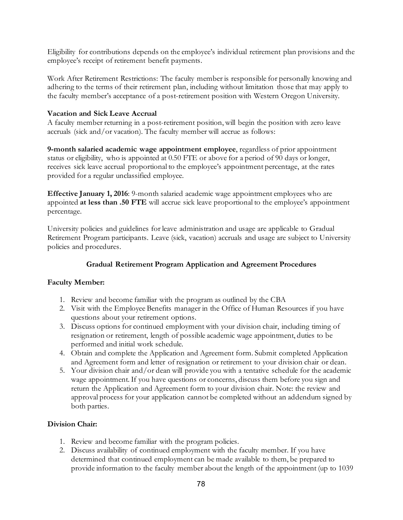Eligibility for contributions depends on the employee's individual retirement plan provisions and the employee's receipt of retirement benefit payments.

Work After Retirement Restrictions: The faculty member is responsible for personally knowing and adhering to the terms of their retirement plan, including without limitation those that may apply to the faculty member's acceptance of a post-retirement position with Western Oregon University.

#### **Vacation and Sick Leave Accrual**

A faculty member returning in a post-retirement position, will begin the position with zero leave accruals (sick and/or vacation). The faculty member will accrue as follows:

**9-month salaried academic wage appointment employee**, regardless of prior appointment status or eligibility, who is appointed at 0.50 FTE or above for a period of 90 days or longer, receives sick leave accrual proportional to the employee's appointment percentage, at the rates provided for a regular unclassified employee.

**Effective January 1, 2016**: 9-month salaried academic wage appointment employees who are appointed **at less than .50 FTE** will accrue sick leave proportional to the employee's appointment percentage.

University policies and guidelines for leave administration and usage are applicable to Gradual Retirement Program participants. Leave (sick, vacation) accruals and usage are subject to University policies and procedures.

#### **Gradual Retirement Program Application and Agreement Procedures**

#### **Faculty Member:**

- 1. Review and become familiar with the program as outlined by the CBA
- 2. Visit with the Employee Benefits manager in the Office of Human Resources if you have questions about your retirement options.
- 3. Discuss options for continued employment with your division chair, including timing of resignation or retirement, length of possible academic wage appointment, duties to be performed and initial work schedule.
- 4. Obtain and complete the Application and Agreement form. Submit completed Application and Agreement form and letter of resignation or retirement to your division chair or dean.
- 5. Your division chair and/or dean will provide you with a tentative schedule for the academic wage appointment. If you have questions or concerns, discuss them before you sign and return the Application and Agreement form to your division chair. Note: the review and approval process for your application cannot be completed without an addendum signed by both parties.

### **Division Chair:**

- 1. Review and become familiar with the program policies.
- 2. Discuss availability of continued employment with the faculty member. If you have determined that continued employment can be made available to them, be prepared to provide information to the faculty member about the length of the appointment (up to 1039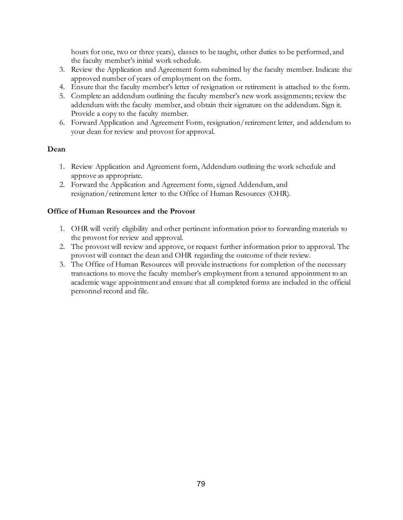hours for one, two or three years), classes to be taught, other duties to be performed, and the faculty member's initial work schedule.

- 3. Review the Application and Agreement form submitted by the faculty member. Indicate the approved number of years of employment on the form.
- 4. Ensure that the faculty member's letter of resignation or retirement is attached to the form.
- 5. Complete an addendum outlining the faculty member's new work assignments; review the addendum with the faculty member, and obtain their signature on the addendum. Sign it. Provide a copy to the faculty member.
- 6. Forward Application and Agreement Form, resignation/retirement letter, and addendum to your dean for review and provost for approval.

#### **Dean**

- 1. Review Application and Agreement form, Addendum outlining the work schedule and approve as appropriate.
- 2. Forward the Application and Agreement form, signed Addendum, and resignation/retirement letter to the Office of Human Resources (OHR).

#### **Office of Human Resources and the Provost**

- 1. OHR will verify eligibility and other pertinent information prior to forwarding materials to the provost for review and approval.
- 2. The provost will review and approve, or request further information prior to approval. The provost will contact the dean and OHR regarding the outcome of their review.
- 3. The Office of Human Resources will provide instructions for completion of the necessary transactions to move the faculty member's employment from a tenured appointment to an academic wage appointment and ensure that all completed forms are included in the official personnel record and file.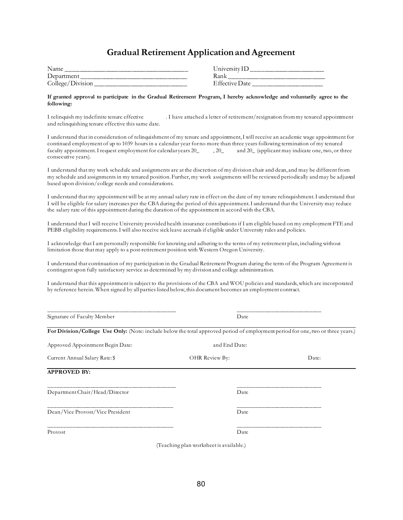## **Gradual Retirement Application and Agreement**

| Name             | University1.               |
|------------------|----------------------------|
| Department       | Rank                       |
| College/Division | <sup>T</sup> ffective Date |

| University ID  |  |
|----------------|--|
| Rank           |  |
| Effective Date |  |

#### **If granted approval to participate in the Gradual Retirement Program, I hereby acknowledge and voluntarily agree to the following:**

I relinquish my indefinite tenure effective . I have attached a letter of retirement/resignation from my tenured appointment and relinquishing tenure effective this same date.

I understand that in consideration of relinquishment of my tenure and appointment, I will receive an academic wage appointment for continued employment of up to 1039 hours in a calendar year for no more than three years following termination of my tenured faculty appointment. I request employment for calendar years  $20_$ ,  $20_$  and  $20_$  (applicant may indicate one, two, or three consecutive years).

I understand that my work schedule and assignments are at the discretion of my division chair and dean, and may be different from my schedule and assignments in my tenured position. Further, my work assignments will be reviewed periodically and may be adjusted based upon division/college needs and considerations.

I understand that my appointment will be at my annual salary rate in effect on the date of my tenure relinquishment. I understand that I will be eligible for salary increases per the CBA during the period of this appointment. I understand that the University may reduce the salary rate of this appointment during the duration of the appointment in accord with the CBA.

I understand that I will receive University provided health insurance contributions if I am eligible based on my employment FTE and PEBB eligibility requirements. I will also receive sick leave accruals if eligible under University rules and policies.

I acknowledge that I am personally responsible for knowing and adhering to the terms of my retirement plan, including without limitation those that may apply to a post-retirement position with Western Oregon University.

I understand that continuation of my participation in the Gradual Retirement Program during the term of the Program Agreement is contingent upon fully satisfactory service as determined by my division and college administration.

I understand that this appointment is subject to the provisions of the CBA and WOU policies and standards, which are incorporated by reference herein. When signed by all parties listed below, this document becomes an employment contract.

| Signature of Faculty Member                                                                                                      | Date                                    |       |
|----------------------------------------------------------------------------------------------------------------------------------|-----------------------------------------|-------|
| For Division/College Use Only: (Note: include below the total approved period of employment period for one, two or three years.) |                                         |       |
| Approved Appointment Begin Date:                                                                                                 | and End Date:                           |       |
| Current Annual Salary Rate: \$                                                                                                   | OHR Review By:                          | Date: |
| <b>APPROVED BY:</b>                                                                                                              |                                         |       |
| Department Chair/Head/Director                                                                                                   | Date                                    |       |
| Dean/Vice Provost/Vice President                                                                                                 | Date                                    |       |
| Provost                                                                                                                          | Date                                    |       |
|                                                                                                                                  | (Teaching plan worksheet is available.) |       |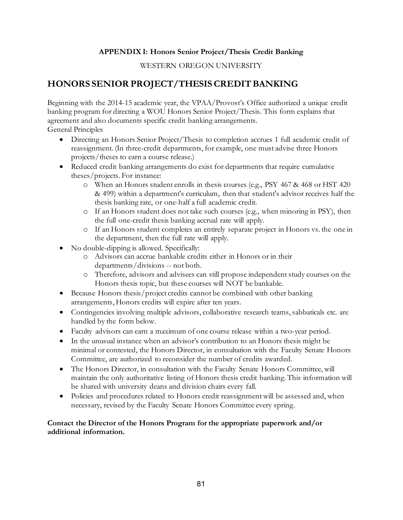#### **APPENDIX I: Honors Senior Project/Thesis Credit Banking**

#### WESTERN OREGON UNIVERSITY

# **HONORS SENIOR PROJECT/THESIS CREDIT BANKING**

Beginning with the 2014-15 academic year, the VPAA/Provost's Office authorized a unique credit banking program for directing a WOU Honors Senior Project/Thesis. This form explains that agreement and also documents specific credit banking arrangements. General Principles

- Directing an Honors Senior Project/Thesis to completion accrues 1 full academic credit of reassignment. (In three-credit departments, for example, one must advise three Honors projects/theses to earn a course release.)
- Reduced credit banking arrangements do exist for departments that require cumulative theses/projects. For instance:
	- o When an Honors student enrolls in thesis courses (e.g., PSY 467 & 468 or HST 420 & 499) within a department's curriculum, then that student's advisor receives half the thesis banking rate, or one-half a full academic credit.
	- o If an Honors student does not take such courses (e.g., when minoring in PSY), then the full one-credit thesis banking accrual rate will apply.
	- o If an Honors student completes an entirely separate project in Honors vs. the one in the department, then the full rate will apply.
- No double-dipping is allowed. Specifically:
	- o Advisors can accrue bankable credits either in Honors or in their departments/divisions -- not both.
	- o Therefore, advisors and advisees can still propose independent study courses on the Honors thesis topic, but these courses will NOT be bankable.
- Because Honors thesis/project credits cannot be combined with other banking arrangements, Honors credits will expire after ten years.
- Contingencies involving multiple advisors, collaborative research teams, sabbaticals etc. are handled by the form below.
- Faculty advisors can earn a maximum of one course release within a two-year period.
- In the unusual instance when an advisor's contribution to an Honors thesis might be minimal or contested, the Honors Director, in consultation with the Faculty Senate Honors Committee, are authorized to reconsider the number of credits awarded.
- The Honors Director, in consultation with the Faculty Senate Honors Committee, will maintain the only authoritative listing of Honors thesis credit banking. This information will be shared with university deans and division chairs every fall.
- Policies and procedures related to Honors credit reassignment will be assessed and, when necessary, revised by the Faculty Senate Honors Committee every spring.

#### **Contact the Director of the Honors Program for the appropriate paperwork and/or additional information.**